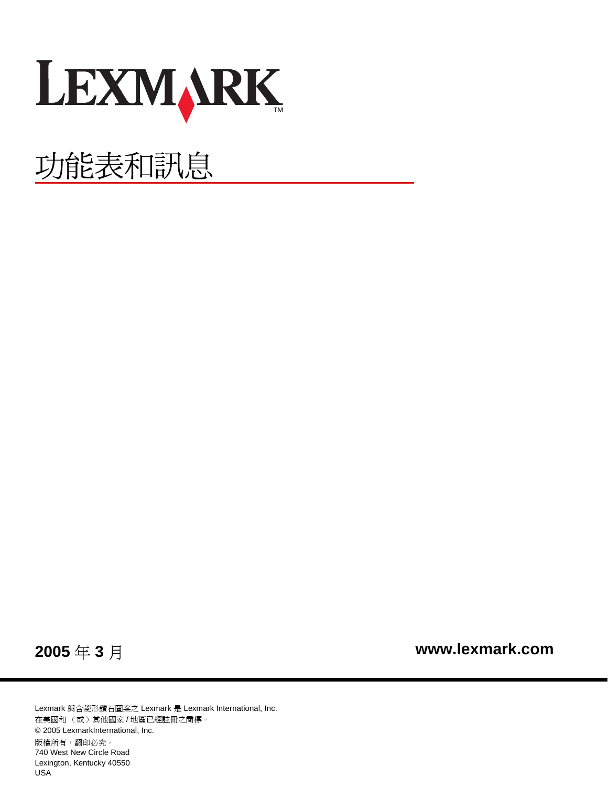

# 功能表和訊息

**2005** 年 **3** 月

 **[www.lexmark.com](http://www.lexmark.com)**

Lexmark 與含菱形鑽石圖案之 Lexmark 是 Lexmark International, Inc. 在美國和 (或)其他國家 / 地區已經註冊之商標。 © 2005 LexmarkInternational, Inc. 版權所有,翻印必究。 740 West New Circle Road Lexington, Kentucky 40550 USA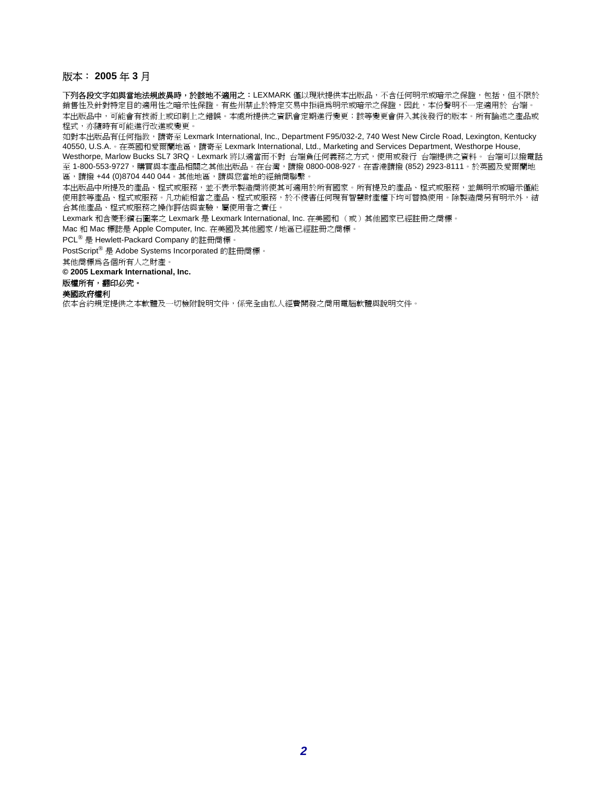#### 版本: **2005** 年 **3** 月

下列各段文字如與當地法規歧異時,於該地不適用之:LEXMARK 僅以現狀提供本出版品,不含任何明示或暗示之保證,包括,但不限於 銷售性及針對特定目的適用性之暗示性保證。有些州禁止於特定交易中拒絕爲明示或暗示之保證,因此,本份聲明不一定適用於 台端。 本出版品中,可能會有技術上或印刷上之錯誤。本處所提供之資訊會定期進行變更;該等變更會併入其後發行的版本。所有論述之產品或 程式,亦隨時有可能進行改進或變更。

如對本出版品有任何指教, 請寄至 Lexmark International, Inc., Department F95/032-2, 740 West New Circle Road, Lexington, Kentucky 40550, U.S.A. 。在英國和愛爾蘭地區,請寄至 Lexmark International, Ltd., Marketing and Services Department, Westhorpe House, Westhorpe, Marlow Bucks SL7 3RQ。Lexmark 將以適當而不對 台端負任何義務之方式,使用或發行 台端提供之資料。 台端可以撥電話 至 1-800-553-9727,購買與本產品相關之其他出版品。在台灣,請撥 0800-008-927。在香港請撥 (852) 2923-8111。於英國及愛爾蘭地 區,請撥 +44 (0)8704 440 044。其他地區,請與您當地的經銷商聯繫。

本出版品中所提及的產品、程式或服務,並不表示製造商將使其可適用於所有國家。所有提及的產品、程式或服務,並無明示或暗示僅能 使用該等產品、程式或服務。凡功能相當之產品、程式或服務,於不侵害任何現有智慧財產權下均可替換使用。除製造商另有明示外,結 合其他產品、程式或服務之操作評估與查驗,屬使用者之責任。

Lexmark 和含菱形鑽石圖案之 Lexmark 是 Lexmark International, Inc. 在美國和 (或)其他國家已經註冊之商標。

Mac 和 Mac 標誌是 Apple Computer, Inc. 在美國及其他國家 / 地區已經註冊之商標。

PCL® 是 Hewlett-Packard Company 的註冊商標。

PostScript® 是 Adobe Systems Incorporated 的註冊商標。

其他商標為各個所有人之財產。

**© 2005 Lexmark International, Inc.**

#### 版權所有,翻印必究。

#### 美國政府權利

依本合約規定提供之本軟體及一切檢附說明文件,係完全由私人經費開發之商用電腦軟體與說明文件。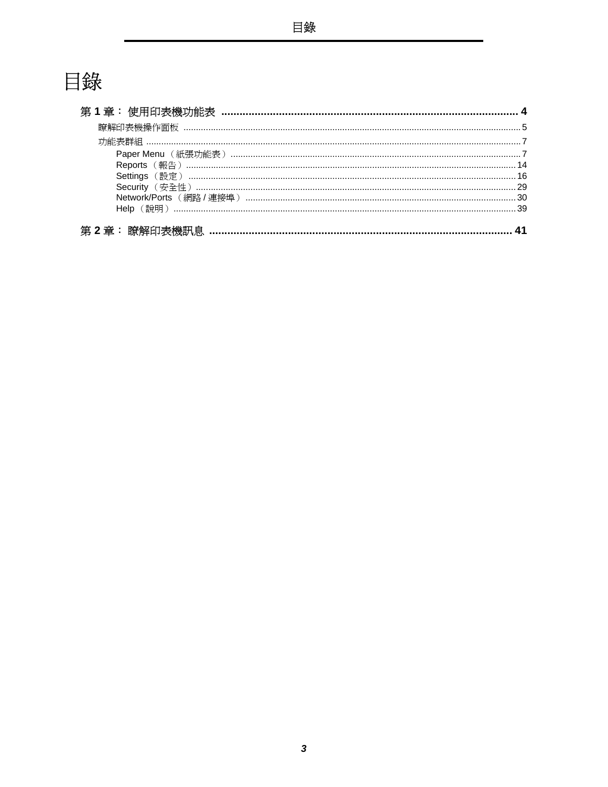# 目錄

| 第 |  |
|---|--|
|   |  |
|   |  |
|   |  |
|   |  |
|   |  |
|   |  |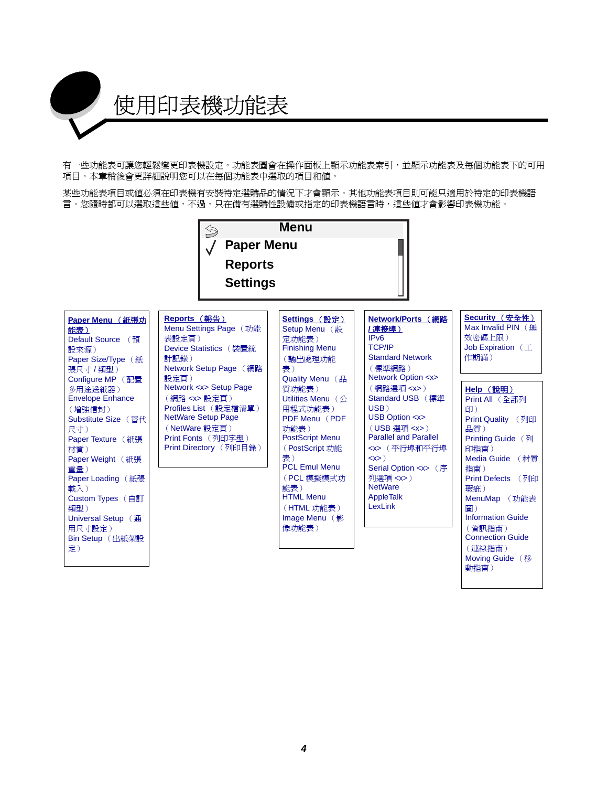<span id="page-3-0"></span>

有一些功能表可讓您輕鬆變更印表機設定。功能表圖會在操作面板上顯示功能表索引,並顯示功能表及每個功能表下的可用 項目。本章稍後會更詳細說明您可以在每個功能表中選取的項目和值。

某些功能表項目或值必須在印表機有安裝特定選購品的情況下才會顯示。其他功能表項目則可能只適用於特定的印表機語 言。您隨時都可以選取這些值,不過,只在備有選購性設備或指定的印表機語言時,這些值才會影響印表機功能。

<span id="page-3-1"></span>

| Paper Menu (紙張功<br>能表)<br>Default Source (預<br>設來源)<br>Paper Size/Type (紙<br>張尺寸 / 類型)<br>Configure MP (配置<br>多用途送紙器)<br><b>Envelope Enhance</b><br>(增強信封)<br>Substitute Size (替代<br>尺寸)<br>Paper Texture (紙張<br>材質)<br>Paper Weight (紙張<br>重量)<br>Paper Loading (紙張<br>載入)<br>Custom Types (自訂<br>類型)<br>Universal Setup (通<br>用尺寸設定)<br>Bin Setup (出紙架設<br>定) | Reports (報告)<br>Menu Settings Page (功能<br>表設定頁)<br>Device Statistics (裝置統<br>計記錄)<br>Network Setup Page (網路<br>設定頁)<br>Network <x> Setup Page<br/>(網路 <x> 設定頁)<br/>Profiles List (設定檔清單)<br/><b>NetWare Setup Page</b><br/>(NetWare 設定頁)<br/>Print Fonts (列印字型)<br/>Print Directory (列印目錄)</x></x> | Settings (設定)<br>Setup Menu (設<br>定功能表)<br><b>Finishing Menu</b><br>(輸出處理功能<br>表)<br>Quality Menu (品<br>質功能表)<br>Utilities Menu (公<br>用程式功能表)<br>PDF Menu (PDF<br>功能表)<br><b>PostScript Menu</b><br>(PostScript 功能<br>表)<br><b>PCL Emul Menu</b><br>(PCL 模擬模式功<br>能表)<br><b>HTML Menu</b><br>(HTML 功能表)<br>Image Menu $(\frac{1}{2})$<br>像功能表) | <b>Network/Ports (網路</b><br>IPv6<br><b>TCP/IP</b><br><b>Standard Network</b><br>(標準網路)<br><b>Network Option <x></x></b><br>(網路選項 <x>)<br/><b>Standard USB</b> (標準<br/>USB)<br/>USB Option <x><br/>(USB 選項 <x>)<br/><b>Parallel and Parallel</b><br/><x>(平行埠和平行埠<br/>&lt; x &gt; 0<br/><b>Serial Option <x></x></b> (序<br/>列選項 <x>)<br/><b>NetWare</b><br/>AppleTalk<br/>LexLink</x></x></x></x></x> | Security (安全性)<br>Max Invalid PIN $($ fffff<br>效密碼上限)<br>Job Expiration $(\mathbb{I})$<br>作期滿)<br>Help (說明)<br>Print All (全部列<br>印)<br>Print Quality (列印<br>品質)<br>Printing Guide (列<br>印指南)<br>Media Guide (材質<br>指南)<br>Print Defects (列印<br>瑕疵)<br>MenuMap (功能表<br>圖)<br><b>Information Guide</b><br>(資訊指南)<br><b>Connection Guide</b><br>(連線指南) |
|-----------------------------------------------------------------------------------------------------------------------------------------------------------------------------------------------------------------------------------------------------------------------------------------------------------------------------------------------------------------|----------------------------------------------------------------------------------------------------------------------------------------------------------------------------------------------------------------------------------------------------------------------------------------------------|------------------------------------------------------------------------------------------------------------------------------------------------------------------------------------------------------------------------------------------------------------------------------------------------------------------------------------------------|-----------------------------------------------------------------------------------------------------------------------------------------------------------------------------------------------------------------------------------------------------------------------------------------------------------------------------------------------------------------------------------------------------|-----------------------------------------------------------------------------------------------------------------------------------------------------------------------------------------------------------------------------------------------------------------------------------------------------------------------------------------------------|
|                                                                                                                                                                                                                                                                                                                                                                 |                                                                                                                                                                                                                                                                                                    |                                                                                                                                                                                                                                                                                                                                                |                                                                                                                                                                                                                                                                                                                                                                                                     | Moving Guide (移                                                                                                                                                                                                                                                                                                                                     |

[動指南\)](#page-39-8)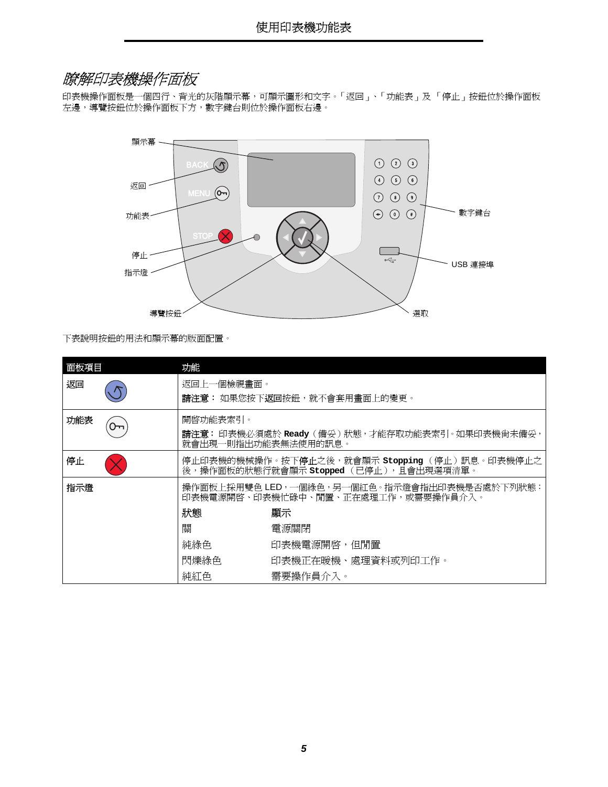### <span id="page-4-0"></span>瞭解印表機操作面板

<span id="page-4-3"></span>印表機操作面板是一個四行、背光的灰階顯示幕,可顯示圖形和文字。「返回」、「功能表」及 「停止」按鈕位於操作面板 左邊,導覽按鈕位於操作面板下方,數字鍵台則位於操作面板右邊。



下表說明按鈕的用法和顯示幕的版面配置。

<span id="page-4-2"></span><span id="page-4-1"></span>

| 面板項目       |                            | 功能                                         |                                                                                                         |  |  |
|------------|----------------------------|--------------------------------------------|---------------------------------------------------------------------------------------------------------|--|--|
| 返回         |                            | 返回上一個檢視畫面。<br>請注意: 如果您按下返回按鈕, 就不會套用畫面上的變更。 |                                                                                                         |  |  |
| 功能表<br>᠐᠊᠇ |                            | 開啓功能表索引。                                   | 請注意: 印表機必須處於 Ready (備妥)狀態,才能存取功能表索引。如果印表機尙未備妥,<br>就會出現一則指出功能表無法使用的訊息。                                   |  |  |
| 停止         |                            |                                            | 停止印表機的機械操作。按下 <b>停止</b> 之後,就會顯示 <b>stopping</b> (停止)訊息。印表機停止之<br>後,操作面板的狀態行就會顯示 stopped (已停止),且會出現選項清單。 |  |  |
| 指示燈        |                            |                                            | 操作面板上採用雙色 LED,一個綠色,另一個紅色。指示燈會指出印表機是否處於下列狀態:<br>印表機電源開啓、印表機忙碌中、閒置、正在處理工作,或需要操作員介入。                       |  |  |
|            |                            | 狀態                                         | 顯示                                                                                                      |  |  |
| 關          |                            |                                            | 電源關閉                                                                                                    |  |  |
|            |                            | 純綠色<br>印表機電源開啓,但閒置                         |                                                                                                         |  |  |
|            | 閃爍綠色<br>印表機正在暖機、處理資料或列印工作。 |                                            |                                                                                                         |  |  |
|            |                            | 純紅色                                        | 需要操作員介入。                                                                                                |  |  |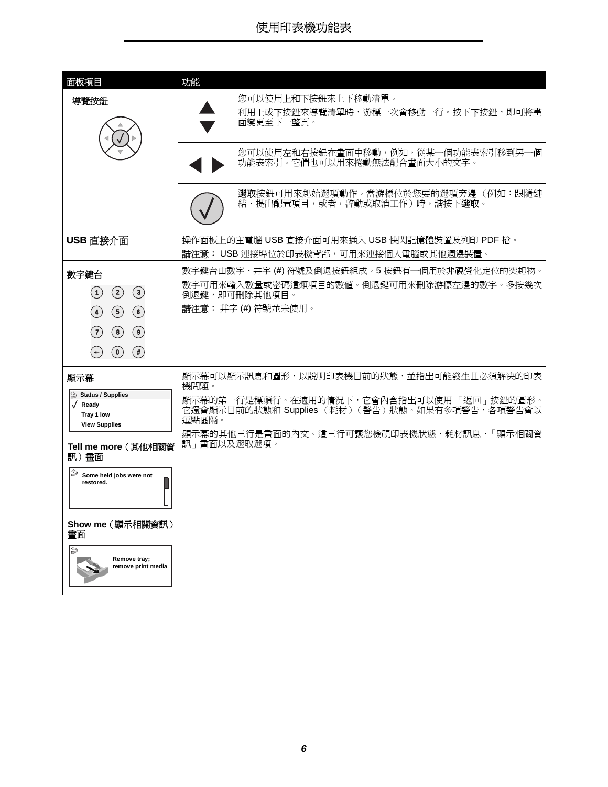<span id="page-5-2"></span><span id="page-5-1"></span><span id="page-5-0"></span>

| 面板項目                                                                 | 功能                                                                                     |
|----------------------------------------------------------------------|----------------------------------------------------------------------------------------|
| 導覽按鈕                                                                 | 您可以使用上和下按鈕來上下移動清單。<br>利用上或下按鈕來導覽清單時,游標一次會移動一行。按下下按鈕,即可將畫<br>面變更至下一整頁。                  |
|                                                                      | 您可以使用左和右按鈕在畫面中移動,例如,從某一個功能表索引移到另一個<br>功能表索引。它們也可以用來捲動無法配合畫面大小的文字。                      |
|                                                                      | <b>選取</b> 按鈕可用來起始選項動作。當游標位於您要的選項旁邊(例如:跟隨鏈<br>結、提出配置項目,或者,啓動或取消工作)時,請按下 <b>選取</b> 。     |
| USB 直接介面                                                             | 操作面板上的主電腦 USB 直接介面可用來插入 USB 快閃記憶體裝置及列印 PDF 檔。<br>請注意: USB 連接埠位於印表機背部,可用來連接個人電腦或其他週邊裝置。 |
| 數字鍵台                                                                 | 數字鍵台由數字、井字 (#) 符號及倒退按鈕組成。5 按鈕有一個用於非視覺化定位的突起物。                                          |
| (1)<br>$\left( 2\right)$<br>$\left( 3\right)$                        | 數字可用來輸入數量或密碼這類項目的數值。倒退鍵可用來刪除游標左邊的數字。多按幾次<br>倒退鍵,即可刪除其他項目。                              |
| $\circled{5}$<br>$\left( \clubsuit \right)$<br>(6)                   | 請注意: 井字(#)符號並未使用。                                                                      |
| (7)<br>(8)<br>(9)                                                    |                                                                                        |
| $\left( \bullet \right)$<br>$(\ast)$<br>$(\textcolor{red}{\bullet})$ |                                                                                        |
| 顯示幕                                                                  | 顯示幕可以顯示訊息和圖形,以說明印表機目前的狀態,並指出可能發生且必須解決的印表<br>機問題。                                       |
| Status / Supplies<br>√ Ready                                         | 顯示幕的第一行是標頭行。在適用的情況下,它會內含指出可以使用「 返回 」 按鈕的圖形。                                            |
| Tray 1 low<br><b>View Supplies</b>                                   | 它還會顯示目前的狀態和 Supplies (耗材) (警告)狀態。如果有多項警告, 各項警告會以<br>逗點區隔。                              |
| Tell me more (其他相關資                                                  | 顯示幕的其他三行是畫面的內文。這三行可讓您檢視印表機狀態、耗材訊息、「顯示相關資<br>訊」畫面以及選取選項。                                |
| 訊)畫面                                                                 |                                                                                        |
| Some held jobs were not<br>restored.                                 |                                                                                        |
| Show me (顯示相關資訊)<br>畫面                                               |                                                                                        |
| ⇘<br>Remove tray;<br>remove print media                              |                                                                                        |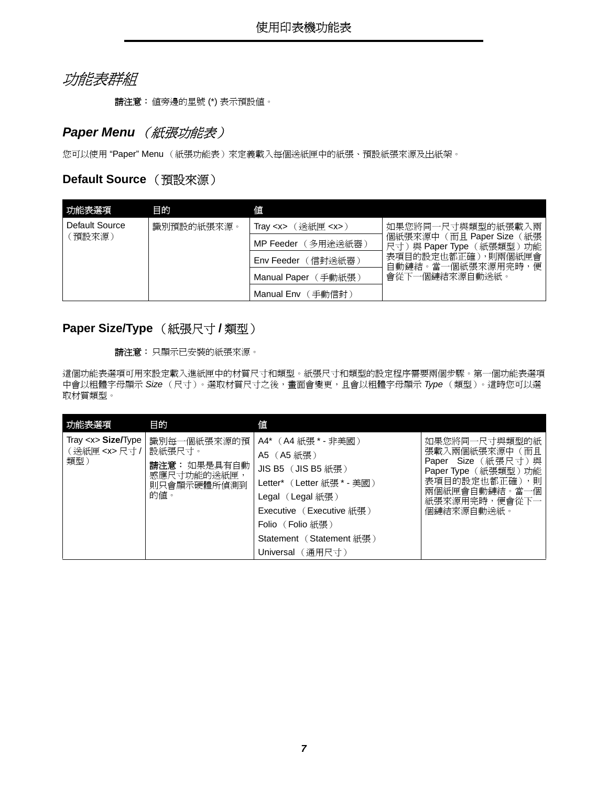### <span id="page-6-0"></span>功能表群組

請注意:值旁邊的星號 (\*) 表示預設值。

### <span id="page-6-8"></span><span id="page-6-1"></span>**Paper Menu** (紙張功能表)

您可以使用 "Paper" Menu (紙張功能表)來定義載入每個送紙匣中的紙張、預設紙張來源及出紙架。

### <span id="page-6-4"></span>**Default Source** (預設來源)

<span id="page-6-2"></span>

| 功能表選項          | 目的         | 値                             |                                                           |
|----------------|------------|-------------------------------|-----------------------------------------------------------|
| Default Source | 識別預設的紙張來源。 | 〔送紙匣 <x>〕<br/>Tray &lt; x</x> | 如果您將同一尺寸與類型的紙張載入兩                                         |
| 預設來源)          |            | 〔多用途送紙器〕<br>MP Feeder         | 個紙張來源中 (而且 Paper Size<br>(紙張<br>尺寸)與 Paper Type (紙張類型) 功能 |
|                |            | (信封送紙器)<br>Env Feeder         | 表項目的設定也都正確),則兩個紙匣會<br>自動鏈結。當一個紙張來源用完時,便                   |
|                |            | 手動紙張)<br><b>Manual Paper</b>  | 會從下一個鏈結來源自動送紙。                                            |
|                |            | 手動信封)<br>Manual Env           |                                                           |

#### <span id="page-6-5"></span><span id="page-6-3"></span>**Paper Size/Type** (紙張尺寸 **/** 類型)

<span id="page-6-7"></span>請注意:只顯示已安裝的紙張來源。

這個功能表選項可用來設定載入進紙匣中的材質尺寸和類型。紙張尺寸和類型的設定程序需要兩個步驟。第一個功能表選項 中會以粗體字母顯示 Size (尺寸)。選取材質尺寸之後,畫面會變更,且會以粗體字母顯示 Type (類型)。這時您可以選 取材質類型。

<span id="page-6-6"></span>

| 功能表選項                                                  | 目的                                                                         | 値                                                                                                                                                                                                        |                                                                                                                                                            |
|--------------------------------------------------------|----------------------------------------------------------------------------|----------------------------------------------------------------------------------------------------------------------------------------------------------------------------------------------------------|------------------------------------------------------------------------------------------------------------------------------------------------------------|
| Tray <x> Size/Type<br/>(送紙匣 <x> 尺寸 /  <br/>類型)</x></x> | 識別每一個紙張來源的預<br>設紙張尺寸。<br>請注意: 如果是具有自動<br>感應尺寸功能的送紙匣,<br>則只會顯示硬體所偵測到<br>的值。 | A4* (A4紙張 * - 非美國)<br>A5 (A5紙張)<br>JIS B5 (JIS B5 紙張)<br>Letter* (Letter 紙張 * - 美國 )<br>Legal (Legal 紙張)<br>Executive (Executive 紙張)<br>Folio (Folio 紙張)<br>Statement (Statement 紙張)<br>Universal (通用尺寸) | 如果您將同一尺寸與類型的紙<br>張載入兩個紙張來源中<br>(而且<br>Paper Size (紙張尺寸)與<br>) 功能<br>Paper Type (紙張類型)<br>表項目的設定也都正確)<br>,則<br>兩個紙匣會自動鏈結。當一個<br>紙張來源用完時,便會從下一<br>個鏈結來源自動送紙。 |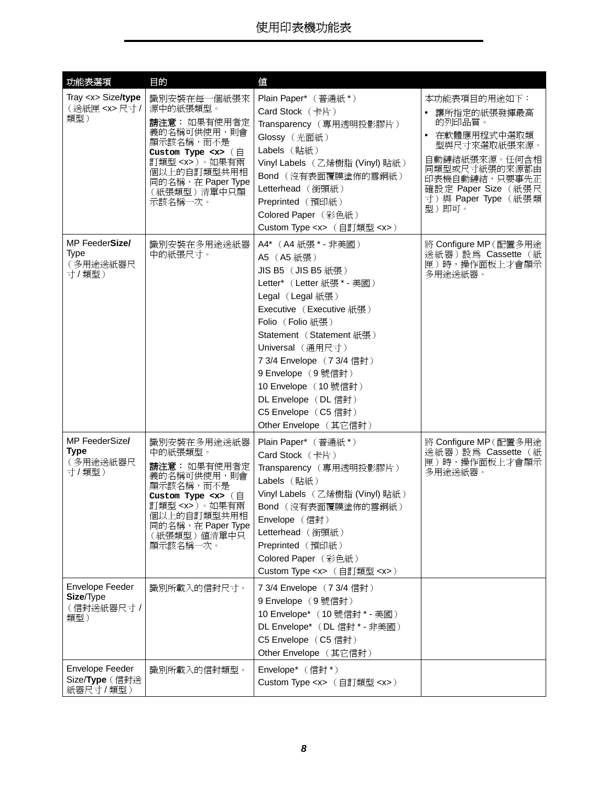<span id="page-7-2"></span><span id="page-7-1"></span><span id="page-7-0"></span>

| 功能表選項                                                   | 目的                                                                                                                                                                                                           | 値                                                                                                                                                                                                                                                                                                                                                   |                                                                                                                                                                                             |
|---------------------------------------------------------|--------------------------------------------------------------------------------------------------------------------------------------------------------------------------------------------------------------|-----------------------------------------------------------------------------------------------------------------------------------------------------------------------------------------------------------------------------------------------------------------------------------------------------------------------------------------------------|---------------------------------------------------------------------------------------------------------------------------------------------------------------------------------------------|
| Tray <x> Size/type<br/>(送紙匣 <x> 尺寸 /<br/>類型)</x></x>    | 識別安裝在每一個紙張來<br>源中的紙張類型。<br>請注意: 如果有使用者定<br>義的名稱可供使用,則會<br>顯示該名稱,而不是<br>Custom Type $\langle x \rangle$ ( $\hat{H}$<br>訂類型 <x>)。如果有兩<br/>個以上的自訂類型共用相<br/>同的名稱, 在 Paper Type<br/>(紙張類型)清單中只顯<br/>示該名稱一次。</x>   | Plain Paper* (普通紙*)<br>Card Stock (卡片)<br>Transparency (專用透明投影膠片)<br>Glossy (光面紙)<br>Labels (貼紙)<br>Vinyl Labels (乙烯樹脂 (Vinyl) 貼紙)<br>Bond (沒有表面覆膜塗佈的雪銅紙)<br>Letterhead (銜頭紙)<br>Preprinted (預印紙)<br>Colored Paper (彩色紙)<br>Custom Type <x> (自訂類型 <x>)</x></x>                                                                                      | 本功能表項目的用途如下:<br>讓所指定的紙張發揮最高<br>$\bullet$<br>的列印品質。<br>在軟體應用程式中選取類<br>型與尺寸來選取紙張來源。<br>自動鏈結紙張來源。任何含相<br>同類型或尺寸紙張的來源都由<br>印表機自動鏈結,只要事先正<br>確設定 Paper Size (紙張尺<br>寸)與 Paper Type (紙張類<br>型)即可。 |
| MP FeederSize/<br>Type<br>(多用途送紙器尺<br>寸/類型)             | 識別安裝在多用途送紙器<br>中的紙張尺寸。                                                                                                                                                                                       | A4* (A4紙張*-非美國)<br>A5 (A5紙張)<br>JIS B5 (JIS B5 紙張)<br>Letter* (Letter 紙張 * - 美國)<br>Legal (Legal 紙張)<br>Executive (Executive 紙張)<br>Folio (Folio 紙張)<br>Statement (Statement 紙張)<br>Universal (通用尺寸)<br>7 3/4 Envelope (7 3/4 信封)<br>9 Envelope (9號信封)<br>10 Envelope (10 號信封)<br>DL Envelope (DL信封)<br>C5 Envelope (C5信封)<br>Other Envelope (其它信封) | 將 Configure MP (配置多用途<br>送紙器)設為 Cassette (紙<br>匣)時,操作面板上才會顯示<br>多用途送紙器。                                                                                                                     |
| MP FeederSize/<br>Type<br>(多用途送紙器尺<br>寸/類型)             | 識別安裝在多用途送紙器<br>中的紙張類型。<br>請注意: 如果有使用者定<br>義的名稱可供使用,則會<br>顯示該名稱,而不是<br>Custom Type $\langle x \rangle$ ( $\hat{H}$<br>訂類型 <x> )。如果有兩<br/>個以上的自訂類型共用相<br/>同的名稱, 在 Paper Type<br/>(紙張類型) 値清單中只<br/>顯示該名稱一次。</x> | Plain Paper* (普通紙*)<br>Card Stock (卡片)<br>Transparency (專用透明投影膠片)<br>Labels (貼紙)<br>Vinyl Labels (乙烯樹脂 (Vinyl) 貼紙)<br>Bond (沒有表面覆膜塗佈的雪銅紙)<br>Envelope (信封)<br>Letterhead (銜頭紙)<br>Preprinted (預印紙)<br>Colored Paper (彩色紙)<br>Custom Type <x> (自訂類型 <x>)</x></x>                                                                                     | 將 Configure MP (配置多用途<br>送紙器)設為 Cassette (紙<br>匣)時,操作面板上才會顯示<br>多用途送紙器。                                                                                                                     |
| Envelope Feeder<br>Size/Type<br>(信封送紙器尺寸 /<br>類型)       | 識別所載入的信封尺寸。                                                                                                                                                                                                  | 7 3/4 Envelope (7 3/4 信封)<br>9 Envelope (9號信封)<br>10 Envelope* (10 號信封 * - 美國)<br>DL Envelope* (DL 信封 * - 非美國)<br>C5 Envelope (C5信封)<br>Other Envelope (其它信封)                                                                                                                                                                                       |                                                                                                                                                                                             |
| Envelope Feeder<br>Size/ <b>Type</b> (信封送<br>紙器尺寸 / 類型) | 識別所載入的信封類型。                                                                                                                                                                                                  | Envelope* (信封*)<br>Custom Type <x> (自訂類型 <x>)</x></x>                                                                                                                                                                                                                                                                                               |                                                                                                                                                                                             |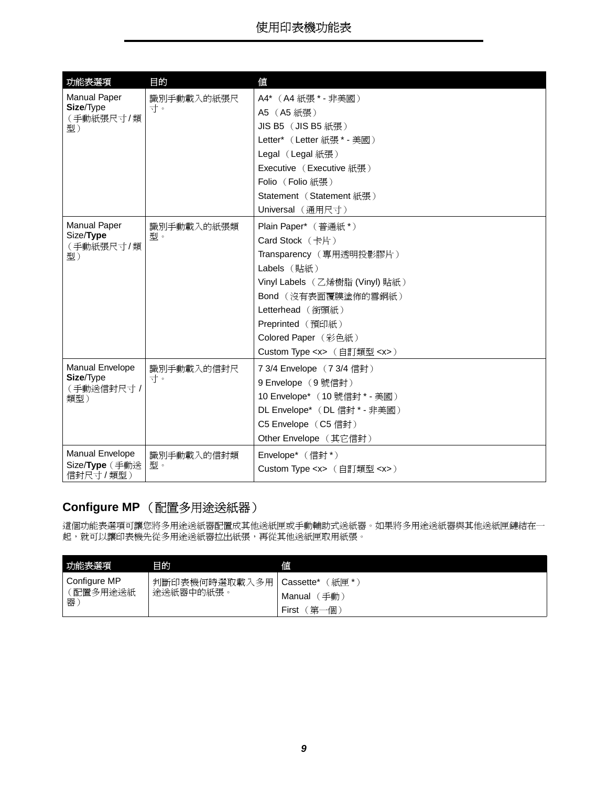<span id="page-8-5"></span><span id="page-8-4"></span>

| 功能表選項                                | 目的               | 値                                  |  |
|--------------------------------------|------------------|------------------------------------|--|
| <b>Manual Paper</b>                  | 識別手動載入的紙張尺<br>寸。 | A4* (A4紙張 * - 非美國)                 |  |
| Size/Type<br>(手動紙張尺寸/類               |                  | A5 (A5紙張)                          |  |
| 型)                                   |                  | JIS B5 (JIS B5 紙張)                 |  |
|                                      |                  | Letter* (Letter 紙張 * - 美國)         |  |
|                                      |                  | Legal (Legal 紙張)                   |  |
|                                      |                  | Executive (Executive 紙張)           |  |
|                                      |                  | Folio (Folio 紙張)                   |  |
|                                      |                  | Statement (Statement 紙張)           |  |
|                                      |                  | Universal (通用尺寸)                   |  |
| <b>Manual Paper</b>                  | 識別手動載入的紙張類       | Plain Paper* (普通紙*)                |  |
| Size/Type                            | 型。               | Card Stock (卡片)                    |  |
| (手動紙張尺寸/類<br>型)                      |                  | Transparency (專用透明投影膠片)            |  |
|                                      |                  | Labels (貼紙)                        |  |
|                                      |                  | Vinyl Labels (乙烯樹脂 (Vinyl) 貼紙)     |  |
|                                      |                  | Bond (沒有表面覆膜塗佈的雪銅紙)                |  |
|                                      |                  | Letterhead (銜頭紙)                   |  |
|                                      |                  | Preprinted (預印紙)                   |  |
|                                      |                  | Colored Paper (彩色紙)                |  |
|                                      |                  | Custom Type <x> (自訂類型 <x>)</x></x> |  |
| Manual Envelope                      | 識別手動載入的信封尺       | 7 3/4 Envelope (7 3/4 信封)          |  |
| Size/Type<br>(手動送信封尺寸 /              | 寸。               | 9 Envelope (9號信封)                  |  |
| 類型)                                  |                  | 10 Envelope* (10號信封 * - 美國)        |  |
|                                      |                  | DL Envelope* (DL 信封 * - 非美國)       |  |
|                                      |                  | C5 Envelope (C5信封)                 |  |
|                                      |                  | Other Envelope (其它信封)              |  |
| Manual Envelope                      | 識別手動載入的信封類       | Envelope* (信封*)                    |  |
| Size/ <b>Type</b> (手動送<br>信封尺寸 / 類型) | 型。               | Custom Type <x> (自訂類型 <x>)</x></x> |  |

### <span id="page-8-3"></span><span id="page-8-2"></span><span id="page-8-1"></span><span id="page-8-0"></span>**Configure MP** (配置多用途送紙器)

這個功能表選項可讓您將多用途送紙器配置成其他送紙匣或手動輔助式送紙器。如果將多用途送紙器與其他送紙匣鏈結在一 起,就可以讓印表機先從多用途送紙器拉出紙張,再從其他送紙匣取用紙張。

| 功能表選項        | 目的                | 値                |
|--------------|-------------------|------------------|
| Configure MP | 判斷印表機何時選取載入<br>多用 | 紙匣*<br>Cassette* |
| 配置多用途送紙<br>器 | 途送紙器中的紙張。         | 手動<br>Manual     |
|              |                   | 第<br>First<br>一個 |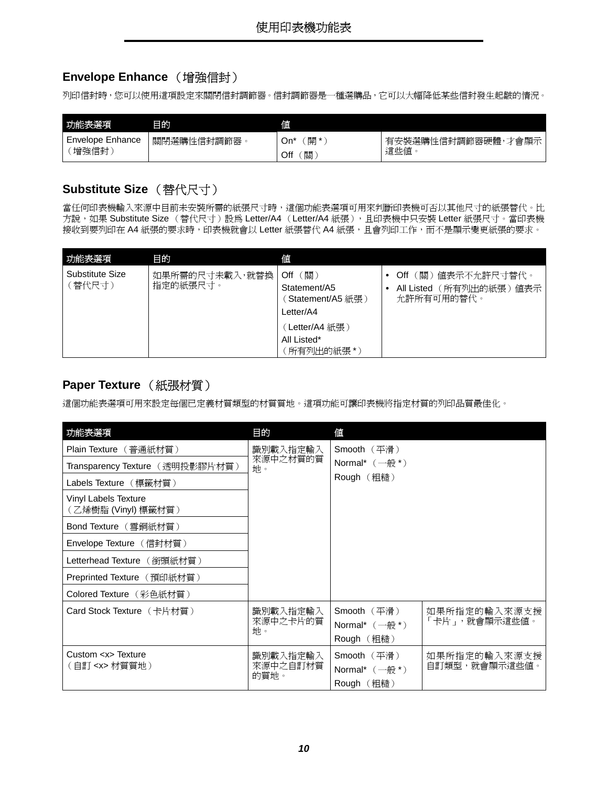### <span id="page-9-3"></span><span id="page-9-0"></span>**Envelope Enhance** (增強信封)

列印信封時,您可以使用這項設定來關閉信封調節器。信封調節器是一種選購品,它可以大幅降低某些信封發生起皺的情況。

| 功能表選項                       | 目的         | 値                    |                            |
|-----------------------------|------------|----------------------|----------------------------|
| Enhance<br>Envelope<br>增強信封 | 關閉選購性信封調節器 | 開<br>On'<br>關<br>Off | 安裝選購性信封調節器硬體<br>才會顯<br>這些値 |

### <span id="page-9-5"></span><span id="page-9-1"></span>**Substitute Size** (替代尺寸)

當任何印表機輸入來源中目前未安裝所需的紙張尺寸時,這個功能表選項可用來判斷印表機可否以其他尺寸的紙張替代。比 方說,如果 Substitute Size (替代尺寸)設為 Letter/A4 (Letter/A4 紙張),且印表機中只安裝 Letter 紙張尺寸。當印表機 接收到要列印在 A4 紙張的要求時,印表機就會以 Letter 紙張替代 A4 紙張, 且會列印工作,而不是顯示變更紙張的要求。

| 功能表選項                     | 目的                         | 値                                                             |                                                                 |
|---------------------------|----------------------------|---------------------------------------------------------------|-----------------------------------------------------------------|
| Substitute Size<br>〔替代尺寸) | 如果所需的尺寸未載入,就替換<br>指定的紙張尺寸。 | [關)<br>Off<br>Statement/A5<br>〔Statement/A5 紙張 〕<br>Letter/A4 | (關)値表示不允許尺寸替代。<br>Off<br>All Listed (所有列出的紙張) 值表示<br>允許所有可用的替代。 |
|                           |                            | (Letter/A4 紙張 )<br>All Listed*<br>〔所有列出的紙張 *〕                 |                                                                 |

### <span id="page-9-4"></span><span id="page-9-2"></span>**Paper Texture** (紙張材質)

這個功能表選項可用來設定每個已定義材質類型的材質質地。這項功能可讓印表機將指定材質的列印品質最佳化。

| 功能表選項                                        | 目的                           | 値                                                            |                               |
|----------------------------------------------|------------------------------|--------------------------------------------------------------|-------------------------------|
| Plain Texture (普通紙材質)                        | 識別載入指定輸入                     | Smooth (平滑)                                                  |                               |
| Transparency Texture(透明投影膠片材質)               | 來源中之材質的質<br>地。               | Normal* $(-\n{m}^*)$                                         |                               |
| Labels Texture (標籤材質)                        |                              | Rough (粗糙)                                                   |                               |
| Vinyl Labels Texture<br>(乙烯樹脂 (Vinyl) 標籤材質)  |                              |                                                              |                               |
| Bond Texture (雪銅紙材質)                         |                              |                                                              |                               |
| Envelope Texture (信封材質)                      |                              |                                                              |                               |
| Letterhead Texture (銜頭紙材質)                   |                              |                                                              |                               |
| Preprinted Texture (預印紙材質)                   |                              |                                                              |                               |
| Colored Texture (彩色紙材質)                      |                              |                                                              |                               |
| Card Stock Texture (卡片材質)                    | 識別載入指定輸入<br>來源中之卡片的質<br>地。   | Smooth (平滑)<br>Normal* $(-\oplus)^*$<br>Rough (粗糙)           | 如果所指定的輸入來源支援<br>「卡片」,就會顯示這些值。 |
| Custom <x> Texture<br/>(自訂 <x> 材質質地)</x></x> | 識別載入指定輸入<br>來源中之自訂材質<br>的質地。 | Smooth $(\frac{1}{2})$<br>Normal* $(-\n{m}^*)$<br>Rough (粗糙) | 如果所指定的輸入來源支援<br>自訂類型,就會顯示這些值。 |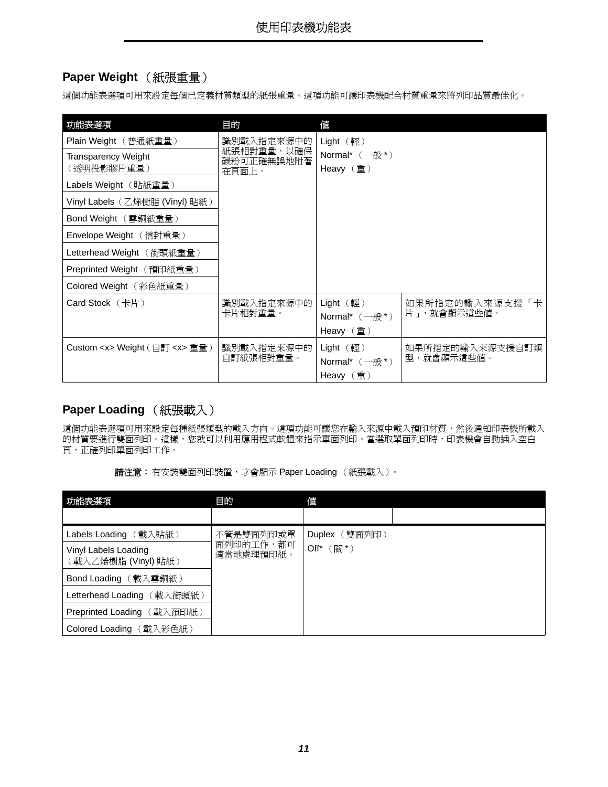### <span id="page-10-2"></span>**Paper Weight** (紙張重量)

這個功能表選項可用來設定每個已定義材質類型的紙張重量。這項功能可讓印表機配合材質重量來將列印品質最佳化。

| 功能表選項                                   | 目的                       | 值                                                             |                 |
|-----------------------------------------|--------------------------|---------------------------------------------------------------|-----------------|
| Plain Weight (普通紙重量)                    | 識別載入指定來源中的               | $Light$ (輕)                                                   |                 |
| <b>Transparency Weight</b>              | 紙張相對重量,以確保<br>碳粉可正確無誤地附著 | Normal* $(-\n{m}^*)$                                          |                 |
| (透明投影膠片重量)                              | 在頁面上。                    | Heavy $(\nvert \underline{\mathsf{f}}\underline{\mathsf{f}})$ |                 |
| Labels Weight (貼紙重量)                    |                          |                                                               |                 |
| Vinyl Labels (乙烯樹脂 (Vinyl) 貼紙)          |                          |                                                               |                 |
| Bond Weight (雪銅紙重量)                     |                          |                                                               |                 |
| Envelope Weight (信封重量)                  |                          |                                                               |                 |
| Letterhead Weight (銜頭紙重量)               |                          |                                                               |                 |
| Preprinted Weight (預印紙重量)               |                          |                                                               |                 |
| Colored Weight (彩色紙重量)                  |                          |                                                               |                 |
| Card Stock  (卡片)                        | 識別載入指定來源中的               | Light (                                                       | 如果所指定的輸入來源支援「卡  |
|                                         | 卡片相對重量。                  | Normal* $(-\n{m}^*)$                                          | 片」, 就會顯示這些值。    |
|                                         |                          | Heavy $(\nvert \underline{\mathsf{f}}\underline{\mathsf{f}})$ |                 |
| Custom <x> Weight ( 自訂 <x> 重量 )</x></x> | 識別載入指定來源中的               | Light $(\nvert \mathbb{E})$                                   | 如果所指定的輸入來源支援自訂類 |
|                                         | 自訂紙張相對重量。                | Normal* $(-\n{m}^*)$                                          | 型,就會顯示這些值。      |
|                                         |                          | Heavy $(\nexists)$                                            |                 |

### <span id="page-10-1"></span><span id="page-10-0"></span>**Paper Loading** (紙張載入)

這個功能表選項可用來設定每種紙張類型的載入方向。這項功能可讓您在輸入來源中載入預印材質,然後通知印表機所載入 的材質要進行雙面列印。這樣,您就可以利用應用程式軟體來指示單面列印。當選取單面列印時,印表機會自動插入空白 頁,正確列印單面列印工作。

| 功能表選項                                        | 目的                     | 値               |  |
|----------------------------------------------|------------------------|-----------------|--|
|                                              |                        |                 |  |
| Labels Loading (載入貼紙)                        | 不管是雙面列印或單              | Duplex (雙面列印)   |  |
| Vinyl Labels Loading<br>(載入乙烯樹脂 (Vinyl) 貼紙 ) | 面列印的工作,都可<br>適當地處理預印紙。 | (關*)<br>$Off^*$ |  |
| Bond Loading (載入雪銅紙)                         |                        |                 |  |
| Letterhead Loading (載入銜頭紙)                   |                        |                 |  |
| Preprinted Loading (載入預印紙)                   |                        |                 |  |
| Colored Loading (載入彩色紙)                      |                        |                 |  |

|  | <b>請注意:</b> 有安裝雙面列印裝置,才會顯示 Paper Loading (紙張載入)。 |  |
|--|--------------------------------------------------|--|
|  |                                                  |  |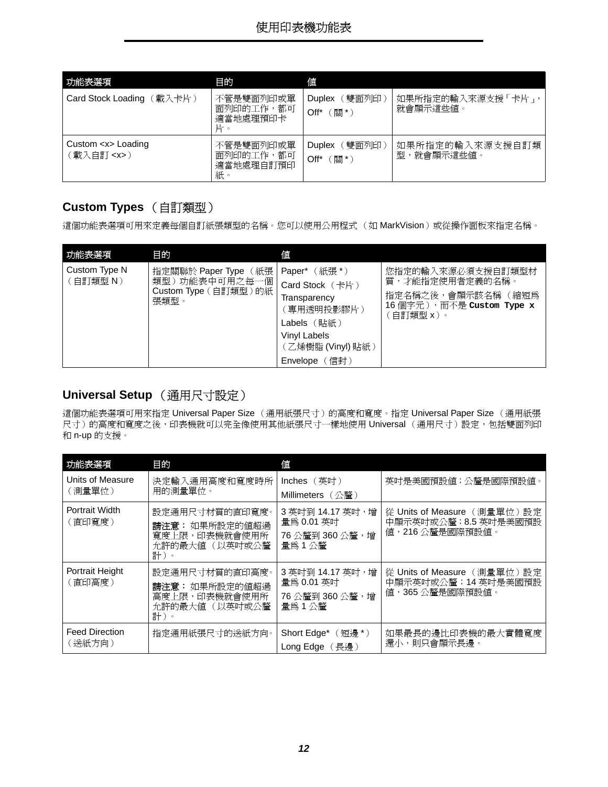| 功能表選項                                    | 目的                                        | 値                                          |                                   |
|------------------------------------------|-------------------------------------------|--------------------------------------------|-----------------------------------|
| 〔載入卡片)<br>Card Stock Loading             | 不管是雙面列印或單<br>面列印的工作,都可<br>適當地處理預印卡<br>片。  | 〔雙面列印〕<br><b>Duplex</b><br>[關*)<br>$Off^*$ | 如果所指定的輸入來源支援 「卡片」,<br>就會顯示這些值。    |
| Custom <x> Loading<br/>載入自訂 <x>)</x></x> | 不管是雙面列印或單<br>面列印的工作,都可<br>適當地處理自訂預印<br>紙。 | (雙面列印)<br><b>Duplex</b><br>【關*)<br>$Off^*$ | 如果所指定的輸入來源支援自訂類<br>,就會顯示這些值。<br>型 |

### <span id="page-11-2"></span><span id="page-11-0"></span>**Custom Types** (自訂類型)

這個功能表選項可用來定義每個自訂紙張類型的名稱。您可以使用公用程式 (如 MarkVision)或從操作面板來指定名稱。

<span id="page-11-8"></span>

| 功能表選項                     | 目的                                                                    | 値                                                                                                                                            |                                                                                                       |
|---------------------------|-----------------------------------------------------------------------|----------------------------------------------------------------------------------------------------------------------------------------------|-------------------------------------------------------------------------------------------------------|
| Custom Type N<br>(自訂類型 N) | 指定關聯於 Paper Type (紙張<br>類型)功能表中可用之每一個<br>Custom Type (自訂類型)的紙<br>張類型。 | Paper* $(ME^*)$<br>Card Stock (卡片)<br>Transparency<br>〔專用透明投影膠片〕<br>Labels(貼紙)<br><b>Vinyl Labels</b><br>(乙烯樹脂(Vinyl)貼紙)<br>(信封)<br>Envelope | 您指定的輸入來源必須支援自訂類型材<br>質,才能指定使用者定義的名稱。<br>指定名稱之後,會顯示該名稱 (縮短為<br>16個字元), 而不是 Custom Type x<br>〔自訂類型 x )。 |

#### <span id="page-11-1"></span>**Universal Setup** (通用尺寸設定)

<span id="page-11-7"></span>這個功能表選項可用來指定 Universal Paper Size (通用紙張尺寸)的高度和寬度。指定 Universal Paper Size (通用紙張 尺寸)的高度和寬度之後,印表機就可以完全像使用其他紙張尺寸一樣地使用 Universal (通用尺寸)設定,包括雙面列印 和 n-up 的支援。

<span id="page-11-6"></span><span id="page-11-5"></span><span id="page-11-4"></span><span id="page-11-3"></span>

| 功能表選項                           | 目的                                                                         | 値                                                          |                                                                         |
|---------------------------------|----------------------------------------------------------------------------|------------------------------------------------------------|-------------------------------------------------------------------------|
| Units of Measure<br>(測量單位)      | 決定輸入通用高度和寬度時所<br>用的測量單位。                                                   | Inches (英时)<br>Millimeters (公釐)                            | 英吋是美國預設值;公釐是國際預設值。                                                      |
| Portrait Width<br>(直印寬度)        | 設定通用尺寸材質的直印寬度。<br>請注意: 如果所設定的值超過<br>寬度上限,印表機就會使用所<br>允許的最大值 (以英吋或公釐<br>計)。 | 3 英吋到 14.17 英吋,增<br>量為 0.01 英吋<br>76公釐到360公釐,增<br>量為1公釐    | 從 Units of Measure (測量單位) 設定<br>中顯示英吋或公釐; 8.5 英吋是美國預設<br>值,216公釐是國際預設值。 |
| Portrait Height<br>(直印高度)       | 設定通用尺寸材質的直印高度。<br>請注意: 如果所設定的値超過<br>高度上限,印表機就會使用所<br>允許的最大値 (以英吋或公釐<br>計)。 | 3 英吋到 14.17 英吋,增<br>量為 0.01 英吋<br>76 公釐到 360 公釐,增<br>量為1公釐 | 從 Units of Measure (測量單位)設定<br>中顯示英吋或公釐;14英吋是美國預設<br>值,365公釐是國際預設值。     |
| <b>Feed Direction</b><br>(送紙方向) | 指定通用紙張尺寸的送紙方向。                                                             | Short Edge*<br>(短邊 *)<br>Long Edge (長邊)                    | 如果最長的邊比印表機的最大實體寬度<br>還小,則只會顯示長邊。                                        |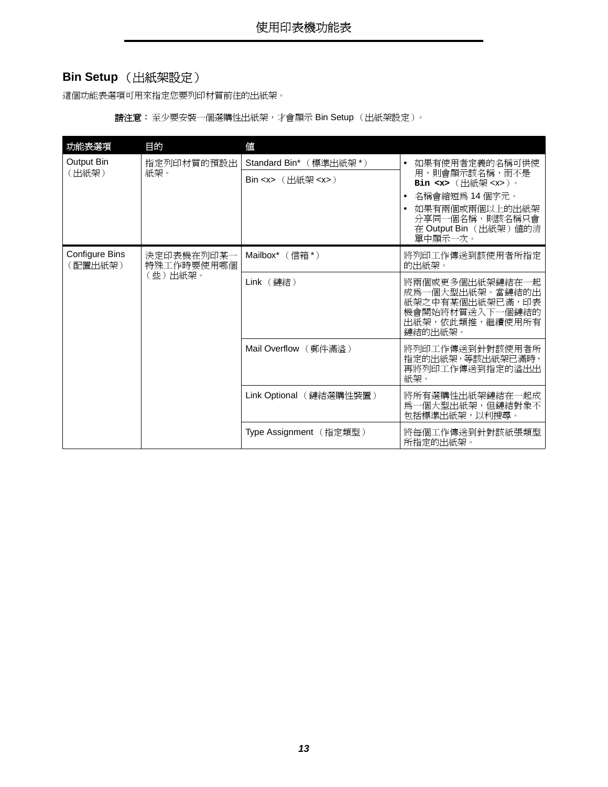### <span id="page-12-0"></span>**Bin Setup** (出紙架設定)

這個功能表選項可用來指定您要列印材質前往的出紙架。

請注意:至少要安裝一個選購性出紙架,才會顯示 Bin Setup (出紙架設定)。

<span id="page-12-2"></span><span id="page-12-1"></span>

| 功能表選項                            | 目的                       | 值                                                                                                      |                                                                       |
|----------------------------------|--------------------------|--------------------------------------------------------------------------------------------------------|-----------------------------------------------------------------------|
| Output Bin                       | 指定列印材質的預設出               | Standard Bin* (標準出紙架*)                                                                                 | 如果有使用者定義的名稱可供使                                                        |
| (出紙架)                            | 紙架。                      | $\mathsf{Bin} \ll \succ \left( \text{H} \mathbb{R} \right) \ll \ll \succ$                              | 用,則會顯示該名稱,而不是<br>Bin <x> (出紙架 <x>)。</x></x>                           |
|                                  |                          |                                                                                                        | 名稱會縮短爲 14 個字元。                                                        |
|                                  |                          |                                                                                                        | 如果有兩個或兩個以上的出紙架<br>分享同一個名稱,則該名稱只會<br>在 Output Bin (出紙架) 值的清<br>單中顯示一次。 |
| <b>Configure Bins</b><br>(配置出紙架) | 決定印表機在列印某一<br>特殊工作時要使用哪個 | Mailbox $*$ (信箱*)                                                                                      | 將列印工作傳送到該使用者所指定<br>的出紙架。                                              |
| (些)出紙架。                          | Link (鏈結)                | 將兩個或更多個出紙架鏈結在一起<br>成爲一個大型出紙架。當鏈結的出<br>紙架之中有某個出紙架已滿,印表<br>機會開始將材質送入下一個鏈結的<br>出紙架,依此類推,繼續使用所有<br>鏈結的出紙架。 |                                                                       |
|                                  |                          | Mail Overflow (郵件滿溢)                                                                                   | 將列印工作傳送到針對該使用者所<br>指定的出紙架, 等該出紙架已滿時,<br>再將列印工作傳送到指定的溢出出<br>紙架。        |
|                                  |                          | Link Optional (鏈結選購性裝置)                                                                                | 將所有選購性出紙架鏈結在一起成<br>爲一個大型出紙架,但鏈結對象不<br>包括標準出紙架,以利搜尋。                   |
|                                  |                          | Type Assignment (指定類型)                                                                                 | 將每個工作傳送到針對該紙張類型<br>所指定的出紙架。                                           |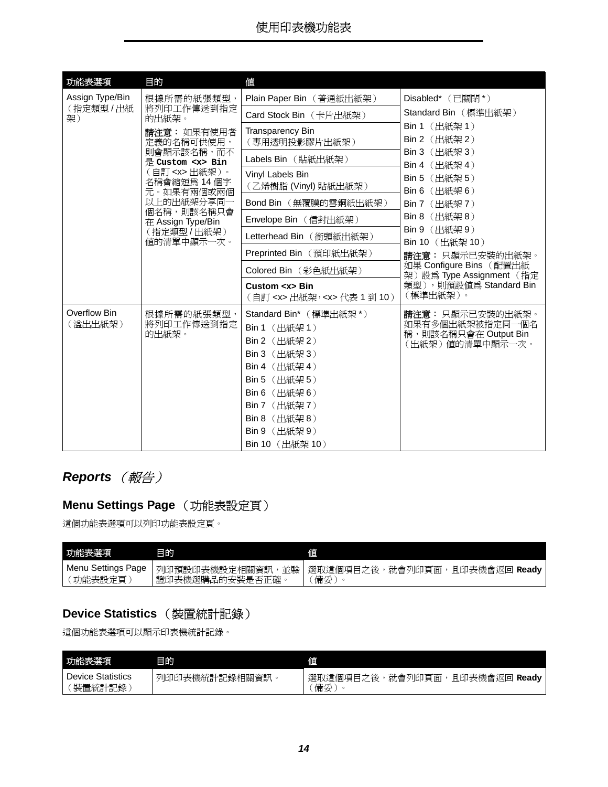<span id="page-13-3"></span>

| 功能表選項                   | 目的                                     | 値                                                                                                                                                                                                  |                                                                                |
|-------------------------|----------------------------------------|----------------------------------------------------------------------------------------------------------------------------------------------------------------------------------------------------|--------------------------------------------------------------------------------|
| Assign Type/Bin         | 根據所需的紙張類型,                             | Plain Paper Bin (普通紙出紙架)                                                                                                                                                                           | Disabled* (已關閉*)                                                               |
| (指定類型/出紙<br>架)          | 將列印工作傳送到指定<br>的出紙架。                    | Card Stock Bin (卡片出紙架)                                                                                                                                                                             | Standard Bin (標準出紙架)                                                           |
|                         | 請注意: 如果有使用者<br>定義的名稱可供使用,              | Transparency Bin<br>(專用透明投影膠片出紙架)                                                                                                                                                                  | Bin 1 (出紙架 1)<br>Bin 2 (出紙架 2)                                                 |
|                         | 則會顯示該名稱,而不<br>是 Custom <x> Bin</x>     | Labels Bin (貼紙出紙架)                                                                                                                                                                                 | Bin 3 (出紙架 3)<br>Bin 4 (出紙架 4)                                                 |
|                         | (自訂 <x>出紙架)。<br/>名稱會縮短爲 14個字</x>       | Vinyl Labels Bin<br>(乙烯樹脂(Vinyl)貼紙出紙架)                                                                                                                                                             | Bin 5 (出紙架 5)                                                                  |
|                         | 元。如果有兩個或兩個<br>以上的出紙架分享同一<br>個名稱,則該名稱只會 | Bond Bin (無覆膜的雪銅紙出紙架)                                                                                                                                                                              | Bin 6 (出紙架 6)<br><b>Bin 7</b> (出紙架 7)                                          |
|                         | 在 Assign Type/Bin                      | Envelope Bin (信封出紙架)                                                                                                                                                                               | Bin 8 (出紙架 8)                                                                  |
|                         | (指定類型/出紙架)<br>值的清單中顯示一次。               | Letterhead Bin (銜頭紙出紙架)                                                                                                                                                                            | Bin 9 (出紙架 9)<br>Bin 10 (出紙架 10)                                               |
|                         |                                        | Preprinted Bin (預印紙出紙架)                                                                                                                                                                            | 請注意: 只顯示已安裝的出紙架。                                                               |
|                         |                                        | Colored Bin (彩色紙出紙架)                                                                                                                                                                               | 如果 Configure Bins (配置出紙<br>架)設為 Type Assignment (指定                            |
|                         |                                        | Custom <x> Bin<br/>(自訂 <x> 出紙架, <x> 代表 1 到 10)</x></x></x>                                                                                                                                         | 類型),則預設值爲 Standard Bin<br>(標準出紙架)。                                             |
| Overflow Bin<br>(溢出出紙架) | 根據所需的紙張類型,<br>將列印工作傳送到指定<br>的出紙架。      | Standard Bin* (標準出紙架*)<br>Bin 1 (出紙架 1)<br>Bin 2 (出紙架 2)<br>Bin 3 (出紙架 3)<br>Bin 4 (出紙架 4)<br>Bin 5 (出紙架 5)<br>Bin 6 (出紙架 6)<br>Bin 7 (出紙架 7)<br>Bin 8 (出紙架 8)<br>Bin 9 (出紙架 9)<br>Bin 10 (出紙架 10) | 請注意:只顯示已安裝的出紙架。<br>如果有多個出紙架被指定同一個名<br>稱,則該名稱只會在 Output Bin<br>(出紙架) 値的清單中顯示一次。 |

### <span id="page-13-6"></span><span id="page-13-0"></span>**Reports** (報告)

## <span id="page-13-1"></span>**Menu Settings Page** (功能表設定頁)

這個功能表選項可以列印功能表設定頁。

<span id="page-13-5"></span>

| 功能表選項                        | 目的                                    | 値                                                |
|------------------------------|---------------------------------------|--------------------------------------------------|
| Menu Settings Page<br>功能表設定頁 | 並驗<br>列印預設印表機設定相關資訊<br>證印表機選購品的安裝是否正確 | 選取這個項目之後<br>就會列印百面<br>且印表機會返回 <b>Ready</b><br>備妥 |

### <span id="page-13-2"></span>**Device Statistics** (裝置統計記錄)

這個功能表選項可以顯示印表機統計記錄。

<span id="page-13-4"></span>

| 功能表選項                              | 目的                 | 値                                         |
|------------------------------------|--------------------|-------------------------------------------|
| <b>Device Statistics</b><br>装置統計記錄 | 印印表機統計記錄相關資訊<br>列旧 | 且印表機會返回 Ready<br>就會列印頁面<br>選取這個項目之後<br>備妥 |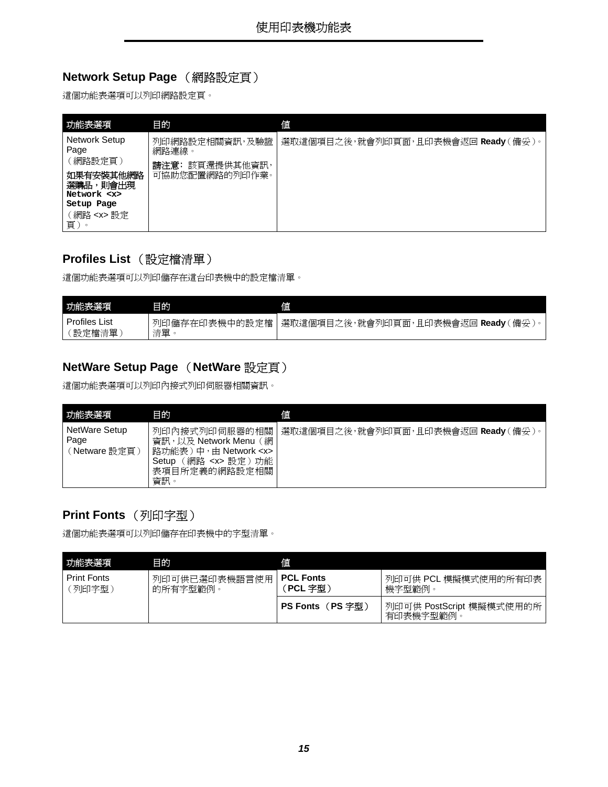### <span id="page-14-1"></span>**Network Setup Page** (網路設定頁)

這個功能表選項可以列印網路設定頁。

<span id="page-14-6"></span><span id="page-14-0"></span>

| 功能表選項                                                      | 目的                                   | 値                                  |
|------------------------------------------------------------|--------------------------------------|------------------------------------|
| Network Setup<br>Page                                      | 列印網路設定相關資訊,及驗證<br>網路連線。              | 選取這個項目之後,就會列印頁面,且印表機會返回 Ready(備妥)。 |
| (網路設定頁)<br>如果有安裝其他網路<br>選購品,則會出現<br>Network <x></x>        | 該頁還提供其他資訊,<br>講注意:<br>可協助您配置網路的列印作業。 |                                    |
| Setup Page<br>(網路 <x> 設定<br/>頁)<br/><math>\circ</math></x> |                                      |                                    |

#### <span id="page-14-2"></span>**Profiles List** (設定檔清單)

這個功能表選項可以列印儲存在這台印表機中的設定檔清單。

<span id="page-14-8"></span>

| 功能表選項                | 目的            | 値                               |
|----------------------|---------------|---------------------------------|
| <b>Profiles List</b> | 列印儲存在印表機中的設定檔 | 選取這個項目之後,就會列印頁面,且印表機會返回 Ready ( |
| 設定檔清單                | 清單            | (備妥)                            |

### <span id="page-14-3"></span>**NetWare Setup Page** (**NetWare** 設定頁)

這個功能表選項可以列印內接式列印伺服器相關資訊。

<span id="page-14-5"></span>

| 功能表選項                                  | 目的                                                                                                                                                                  | 値                                  |
|----------------------------------------|---------------------------------------------------------------------------------------------------------------------------------------------------------------------|------------------------------------|
| NetWare Setup<br>Page<br>(Netware 設定頁) | 列印內接式列印伺服器的相關<br>網<br>資訊,以及 Network Menu<br>路功能表)<br>$\uparrow \psi$ + $\uparrow$ Network <x><br/>網路<br/>功能<br/><x> 設定)<br/>Setup<br/>表項目所定義的網路設定相關<br/>資訊。</x></x> | 選取這個項目之後,就會列印頁面,且印表機會返回 Ready(備妥)。 |

### <span id="page-14-4"></span>**Print Fonts** (列印字型)

這個功能表選項可以列印儲存在印表機中的字型清單。

<span id="page-14-7"></span>

| 功能表選項                        | 目的                        | 値                          |                                      |
|------------------------------|---------------------------|----------------------------|--------------------------------------|
| <b>Print Fonts</b><br>〔列印字型〕 | 列印可供已選印表機語言使用<br>的所有字型範例。 | <b>PCL Fonts</b><br>PCL 字型 | 列印可供 PCL 模擬模式使用的所有印表  <br>機字型範例。     |
|                              |                           | (PS 字型)<br><b>PS Fonts</b> | 列印可供 PostScript 模擬模式使用的所<br>有印表機字型範例 |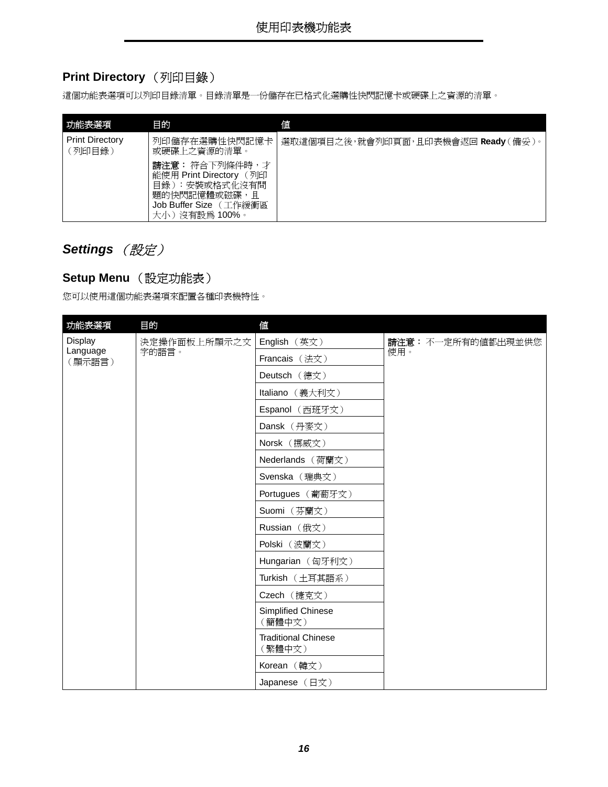### <span id="page-15-1"></span>**Print Directory** (列印目錄)

這個功能表選項可以列印目錄清單。目錄清單是一份儲存在已格式化選購性快閃記憶卡或硬碟上之資源的清單。

<span id="page-15-4"></span>

| 功能表選項                            | 目的                                                                                                                       | 値                                   |
|----------------------------------|--------------------------------------------------------------------------------------------------------------------------|-------------------------------------|
| <b>Print Directory</b><br>(列印目錄) | 列印儲存在選購性快閃記憶卡<br>或硬碟上之資源的清單。                                                                                             | 選取這個項目之後,就會列印頁面,且印表機會返回 Ready (備妥)。 |
|                                  | 請注意: 符合下列條件時,才<br>能使用 Print Directory (列印<br>目錄):安裝或格式化沒有問<br>題的快閃記憶體或磁碟,<br>目<br>Job Buffer Size (工作緩衝區<br>大小)沒有設為100%。 |                                     |

### <span id="page-15-6"></span><span id="page-15-0"></span>**Settings** (設定)

#### <span id="page-15-5"></span><span id="page-15-2"></span>**Setup Menu** (設定功能表)

您可以使用這個功能表選項來配置各種印表機特性。

<span id="page-15-3"></span>

| 功能表選項              | 目的                           | 值                                    |                    |
|--------------------|------------------------------|--------------------------------------|--------------------|
| Display            | 決定操作面板上所顯示之文                 | English (英文)                         | 請注意: 不一定所有的值都出現並供您 |
| Language<br>(顯示語言) | 字的語言。                        | Francais (法文)                        | 使用。                |
|                    | Deutsch (德文)                 |                                      |                    |
|                    |                              | Italiano (義大利文)                      |                    |
|                    |                              | Espanol (西班牙文)                       |                    |
|                    |                              | Dansk (丹麥文)                          |                    |
|                    |                              | Norsk (挪威文)                          |                    |
|                    |                              | Nederlands (荷蘭文)                     |                    |
|                    | Svenska (瑞典文)                |                                      |                    |
|                    | Portugues (葡萄牙文)             |                                      |                    |
|                    |                              | Suomi (芬蘭文)                          |                    |
|                    |                              | Russian (俄文)                         |                    |
|                    |                              | Polski (波蘭文)                         |                    |
|                    |                              | Hungarian (匈牙利文)                     |                    |
|                    |                              | Turkish (土耳其語系)                      |                    |
|                    |                              | Czech (捷克文)                          |                    |
|                    | Simplified Chinese<br>(簡體中文) |                                      |                    |
|                    |                              | <b>Traditional Chinese</b><br>(繁體中文) |                    |
|                    |                              | Korean (韓文)                          |                    |
|                    |                              | Japanese (日文)                        |                    |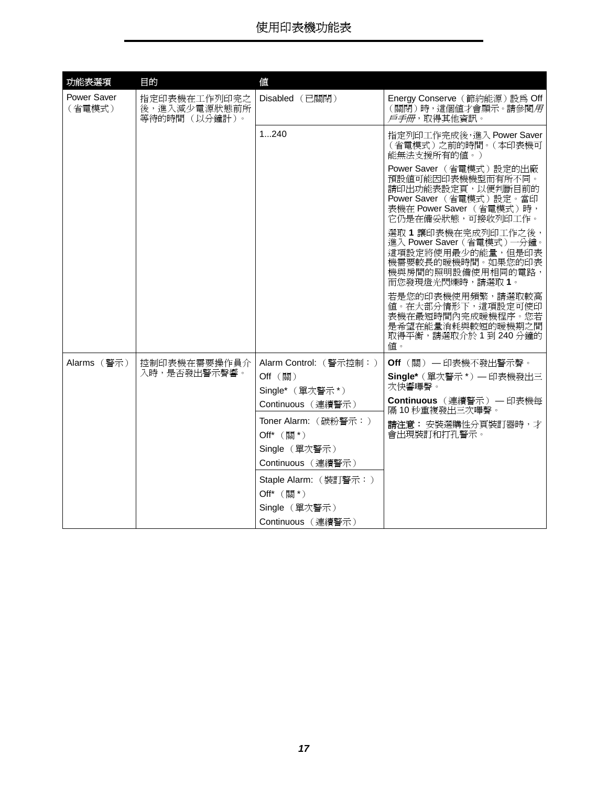<span id="page-16-1"></span><span id="page-16-0"></span>

| 功能表選項                 | 目的                                            | 值                                  |                                                                                                                                               |
|-----------------------|-----------------------------------------------|------------------------------------|-----------------------------------------------------------------------------------------------------------------------------------------------|
| Power Saver<br>(省電模式) | 指定印表機在工作列印完之<br>後,進入減少電源狀態前所<br>等待的時間 (以分鐘計)。 | Disabled (已關閉)                     | Energy Conserve (節約能源)設為 Off<br>(關閉)時,這個值才會顯示。請參閱用<br><i>戶手冊</i> ,取得其他資訊。                                                                     |
|                       |                                               | 1240                               | 指定列印工作完成後,進入 Power Saver<br>(省電模式)之前的時間。(本印表機可<br>能無法支援所有的值。)                                                                                 |
|                       |                                               |                                    | Power Saver (省電模式)設定的出廠<br>預設値可能因印表機機型而有所不同。<br>請印出功能表設定頁,以便判斷目前的<br>Power Saver (省電模式)設定。當印<br>表機在 Power Saver (省電模式)時,<br>它仍是在備妥狀態,可接收列印工作。 |
|                       |                                               |                                    | 選取1讓印表機在完成列印工作之後,<br>進入 Power Saver (省電模式)一分鐘。<br>這項設定將使用最少的能量,但是印表<br>機需要較長的暖機時間。如果您的印表<br>機與房間的照明設備使用相同的電路,<br>而您發現燈光閃爍時,請選取 1。             |
|                       |                                               |                                    | 若是您的印表機使用頻繁,請選取較高<br>值。在大部分情形下,這項設定可使印<br>表機在最短時間內完成暖機程序。您若<br>是希望在能量消耗與較短的暖機期之間<br>取得平衡,請選取介於1到240分鐘的<br>值。                                  |
| Alarms (警示)           | 控制印表機在需要操作員介                                  | Alarm Control: (警示控制:)             | Off (關) - 印表機不發出警示聲。                                                                                                                          |
|                       | 入時,是否發出警示聲響。                                  | Off (關)<br>Single* (單次警示*)         | Single* (單次警示*) - 印表機發出三<br>次快響嗶聲。                                                                                                            |
|                       |                                               | Continuous (連續警示)                  | Continuous (連續警示) — 印表機每<br>隔10秒重複發出三次嗶聲。                                                                                                     |
|                       |                                               | Toner Alarm: (碳粉警示:)<br>Off* (關*)  | 請注意: 安裝選購性分頁裝訂器時, 才<br>會出現裝訂和打孔警示。                                                                                                            |
|                       |                                               | Single (單次警示)<br>Continuous (連續警示) |                                                                                                                                               |
|                       |                                               | Staple Alarm: (裝訂警示:)<br>Off* (關*) |                                                                                                                                               |
|                       |                                               | Single (單次警示)<br>Continuous (連續警示) |                                                                                                                                               |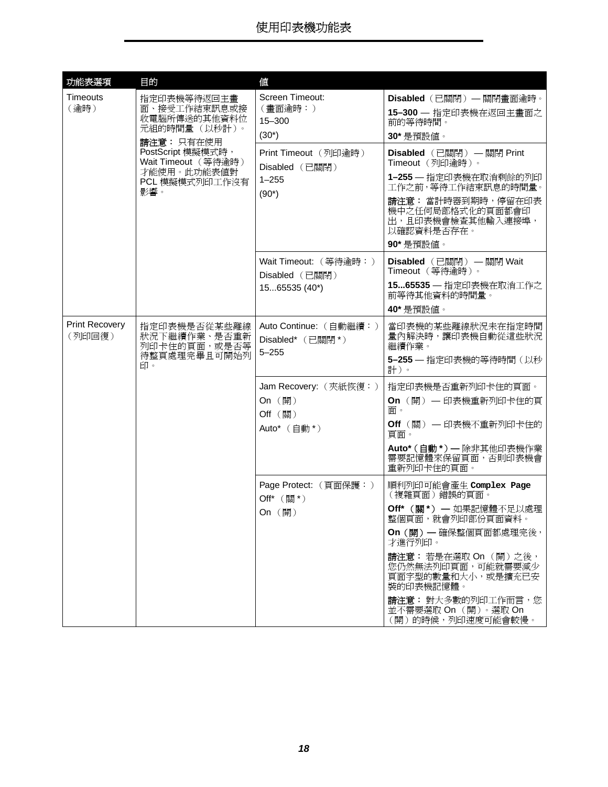<span id="page-17-1"></span><span id="page-17-0"></span>

| 功能表選項                           | 目的                                                                                                                                                             | 值                                                                                                                   |                                                                                                                                                                                                                                                                          |
|---------------------------------|----------------------------------------------------------------------------------------------------------------------------------------------------------------|---------------------------------------------------------------------------------------------------------------------|--------------------------------------------------------------------------------------------------------------------------------------------------------------------------------------------------------------------------------------------------------------------------|
| <b>Timeouts</b><br>(逾時)         | 指定印表機等待返回主畫<br>面、接受工作結束訊息或接<br>收電腦所傳送的其他資料位<br>元組的時間量 (以秒計)。<br>請注意: 只有在使用<br>PostScript 模擬模式時,<br>Wait Timeout (等待逾時)<br>才能使用。此功能表值對<br>PCL 模擬模式列印工作沒有<br>影響。 | Screen Timeout:<br>(畫面逾時:)<br>15-300<br>$(30^*)$<br>Print Timeout (列印逾時)<br>Disabled (已關閉)<br>$1 - 255$<br>$(90^*)$ | Disabled (已關閉) — 關閉畫面逾時。<br>15-300 - 指定印表機在返回主畫面之<br>前的等待時間。<br>30* 是預設値。<br>Disabled (已關閉) — 關閉 Print<br>Timeout (列印逾時)。<br>1-255 - 指定印表機在取消剩餘的列印<br>工作之前, 等待工作結束訊息的時間量。<br>請注意: 當計時器到期時, 停留在印表<br>機中之任何局部格式化的頁面都會印<br>出,且印表機會檢查其他輸入連接埠,<br>以確認資料是否存在。                  |
|                                 |                                                                                                                                                                | Wait Timeout: (等待逾時:)<br>Disabled (已關閉)<br>1565535 (40*)                                                            | 90* 是預設値。<br>Disabled (已關閉) — 關閉 Wait<br>Timeout (等待逾時)。<br>1565535 - 指定印表機在取消工作之<br>前等待其他資料的時間量。<br>40* 是預設値。                                                                                                                                                           |
| <b>Print Recovery</b><br>(列印回復) | 指定印表機是否從某些離線<br>狀況下繼續作業、是否重新<br>列印卡住的頁面,或是否等<br>待整頁處理完畢且可開始列<br>印。                                                                                             | Auto Continue: (自動繼續:)<br>Disabled* (已關閉*)<br>$5 - 255$                                                             | 當印表機的某些離線狀況未在指定時間<br>量內解決時,讓印表機自動從這些狀況<br>繼續作業。<br>5-255 — 指定印表機的等待時間 (以秒<br>計)。                                                                                                                                                                                         |
|                                 |                                                                                                                                                                | Jam Recovery: (夾紙恢復:)<br>On (開)<br>Off (關)<br>Auto* (自動*)                                                           | 指定印表機是否重新列印卡住的頁面。<br>On (開) — 印表機重新列印卡住的頁<br>而。<br>Off (關) — 印表機不重新列印卡住的<br>頁面。<br>Auto* (自動 *) — 除非其他印表機作業<br>需要記憶體來保留頁面,否則印表機會<br>重新列印卡住的頁面。                                                                                                                           |
|                                 |                                                                                                                                                                | Page Protect: (頁面保護:)<br>Off* (關*)<br>On $(\mathbb{H})$                                                             | 順利列印可能會產生 Complex Page<br>(複雜頁面)錯誤的頁面。<br>Off* (關*) - 如果記憶體不足以處理<br>整個頁面,就會列印部份頁面資料。<br>On (開) - 確保整個頁面都處理完後,<br>才進行列印。<br>請注意: 若是在選取 On (開)之後,<br>您仍然無法列印頁面,可能就需要減少<br>頁面字型的數量和大小,或是擴充已安<br>裝的印表機記憶體。<br>請注意: 對大多數的列印工作而言,您<br>並不需要選取 On (開)。選取 On<br>(開)的時候,列印速度可能會較慢。 |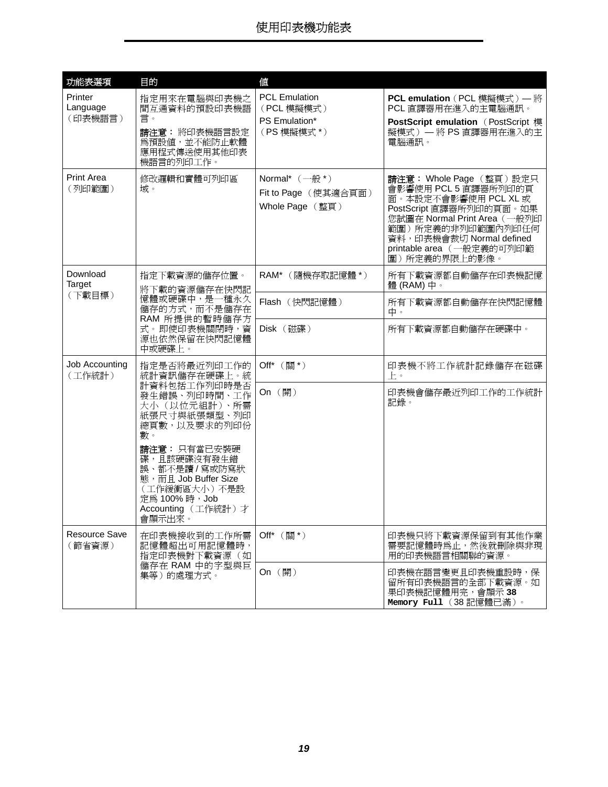<span id="page-18-4"></span><span id="page-18-3"></span><span id="page-18-2"></span><span id="page-18-1"></span><span id="page-18-0"></span>

| 功能表選項                          | 目的                                                                                                                | 値                                                                 |                                                                                                                                                                                                                                    |
|--------------------------------|-------------------------------------------------------------------------------------------------------------------|-------------------------------------------------------------------|------------------------------------------------------------------------------------------------------------------------------------------------------------------------------------------------------------------------------------|
| Printer<br>Language<br>(印表機語言) | 指定用來在電腦與印表機之<br>間互通資料的預設印表機語<br>言。<br>請注意:將印表機語言設定<br>爲預設値,並不能防止軟體<br>應用程式傳送使用其他印表<br>機語言的列印工作。                   | <b>PCL Emulation</b><br>(PCL 模擬模式)<br>PS Emulation*<br>(PS 模擬模式*) | PCL emulation (PCL 模擬模式) – 將<br>PCL 直譯器用在進入的主電腦通訊。<br>PostScript emulation (PostScript 模<br>擬模式) 一將 PS 直譯器用在進入的主<br>雷腦涌訊。                                                                                                          |
| <b>Print Area</b><br>(列印範圍)    | 修改邏輯和實體可列印區<br>域。                                                                                                 | Normal* $(-\n{m}^*)$<br>Fit to Page (使其適合頁面)<br>Whole Page (整頁)   | 請注意: Whole Page (整頁)設定只<br>會影響使用 PCL 5 直譯器所列印的頁<br>面。本設定不會影響使用 PCL XL 或<br>PostScript 直譯器所列印的頁面。如果<br>您試圖在 Normal Print Area (一般列印<br>範圍)所定義的非列印範圍內列印任何<br>資料, 印表機會裁切 Normal defined<br>printable area (一般定義的可列印範<br>圍)所定義的界限上的影像。 |
| Download<br>Target             | 指定下載資源的儲存位置。<br>將下載的資源儲存在快閃記                                                                                      | RAM* (隨機存取記憶體*)                                                   | 所有下載資源都自動儲存在印表機記憶<br>體 (RAM) 中。                                                                                                                                                                                                    |
| (下載目標)                         | 憶體或硬碟中,是一種永久<br>儲存的方式,而不是儲存在<br>RAM 所提供的暫時儲存方<br>式。即使印表機關閉時,資<br>源也依然保留在快閃記憶體<br>中或硬碟上。                           | Flash (快閃記憶體)                                                     | 所有下載資源都自動儲存在快閃記憶體<br>中。                                                                                                                                                                                                            |
|                                |                                                                                                                   | Disk (磁碟)                                                         | 所有下載資源都自動儲存在硬碟中。                                                                                                                                                                                                                   |
| Job Accounting<br>(工作統計)       | 指定是否將最近列印工作的<br>統計資訊儲存在硬碟上。統                                                                                      | Off* (關*)                                                         | 印表機不將工作統計記錄儲存在磁碟<br>上。                                                                                                                                                                                                             |
|                                | 計資料包括工作列印時是否<br>發生錯誤、列印時間、工作<br>大小(以位元組計)、所需<br>紙張尺寸與紙張類型、列印<br>總頁數,以及要求的列印份<br>數。<br>請注意: 只有當已安裝硬<br>碟,且該硬碟沒有發生錯 | On (開)                                                            | 印表機會儲存最近列印工作的工作統計<br>記錄。                                                                                                                                                                                                           |
|                                | 誤、都不是讀 / 寫或防寫狀<br>態, 而且 Job Buffer Size<br>(工作緩衝區大小)不是設<br>定為 100%時, Job<br>Accounting (工作統計)才<br>會顯示出來。          |                                                                   |                                                                                                                                                                                                                                    |
| Resource Save<br>(節省資源)        | 在印表機接收到的工作所需<br>記憶體超出可用記憶體時,<br>指定印表機對下載資源(如                                                                      | Off* (關*)                                                         | 印表機只將下載資源保留到有其他作業<br>需要記憶體時為止,然後就刪除與非現<br>用的印表機語言相關聯的資源。                                                                                                                                                                           |
|                                | 儲存在 RAM 中的字型與巨<br>集等)的處理方式。                                                                                       | On (開)                                                            | 印表機在語言變更且印表機重設時,保<br>留所有印表機語言的全部下載資源。如<br>果印表機記憶體用完,會顯示38<br>Memory Full (38 記憶體已滿)。                                                                                                                                               |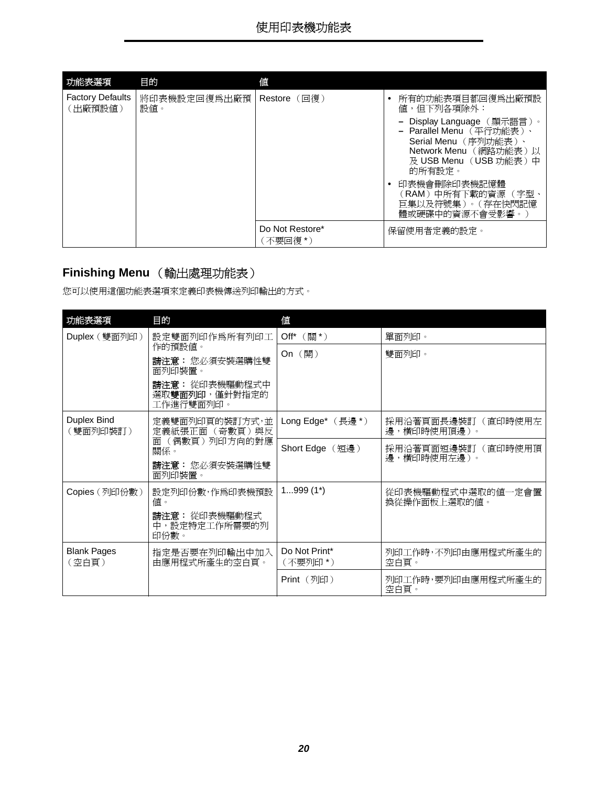<span id="page-19-3"></span>

| 功能表選項                              | 目的                  | 值                           |                                                                                                                                                                                                                        |
|------------------------------------|---------------------|-----------------------------|------------------------------------------------------------------------------------------------------------------------------------------------------------------------------------------------------------------------|
| <b>Factory Defaults</b><br>(出廠預設値) | 將印表機設定回復爲出廠預<br>設値。 | Restore $(\Box$ 復)          | 所有的功能表項目都回復爲出廠預設<br>值,但下列各項除外:                                                                                                                                                                                         |
|                                    |                     |                             | - Display Language (顯示語言)。<br>- Parallel Menu (平行功能表)、<br>Serial Menu (序列功能表)、<br>Network Menu (網路功能表)以<br>及 USB Menu (USB 功能表)中<br>的所有設定。<br>印表機會刪除印表機記憶體<br>(RAM)中所有下載的資源 (字型<br>巨集以及符號集)。(存在快閃記憶<br>體或硬碟中的資源不會受影響。) |
|                                    |                     | Do Not Restore*<br>(不要回復 *) | 保留使用者定義的設定。                                                                                                                                                                                                            |

### <span id="page-19-4"></span><span id="page-19-0"></span>**Finishing Menu** (輸出處理功能表)

您可以使用這個功能表選項來定義印表機傳送列印輸出的方式。

<span id="page-19-6"></span><span id="page-19-5"></span><span id="page-19-2"></span><span id="page-19-1"></span>

| 功能表選項                       | 目的                                           | 値                                       |                                   |
|-----------------------------|----------------------------------------------|-----------------------------------------|-----------------------------------|
| Duplex (雙面列印)               | 設定雙面列印作爲所有列印工                                | Off* (關*)                               | 單面列印。                             |
|                             | 作的預設値。<br>請注意:您必須安裝選購性雙                      | On $(\mathbb{H})$                       | 雙面列印。                             |
|                             | 面列印裝置。                                       |                                         |                                   |
|                             | 請注意: 從印表機驅動程式中<br>選取雙面列印,僅針對指定的<br>工作進行雙面列印。 |                                         |                                   |
| Duplex Bind<br>(雙面列印裝訂)     | 定義雙面列印頁的裝訂方式,並<br>定義紙張正面 (奇數頁)與反             | Long Edge* $(\frac{1}{2}, \frac{1}{2})$ | 採用沿著頁面長邊裝訂(直印時使用左<br>邊,橫印時使用頂邊)。  |
|                             | (偶數頁) 列印方向的對應<br>而<br>關係。                    | Short Edge (短邊)                         | 採用沿著頁面短邊裝訂(直印時使用頂                 |
|                             | 請注意: 您必須安裝選購性雙<br>面列印裝置。                     |                                         | 邊,橫印時使用左邊)。                       |
| Copies (列印份數)               | 設定列印份數,作爲印表機預設<br>值。                         | $1999(1^*)$                             | 從印表機驅動程式中選取的値一定會置<br>換從操作面板上選取的值。 |
|                             | 請注意: 從印表機驅動程式<br>中,設定特定工作所需要的列<br>印份數。       |                                         |                                   |
| <b>Blank Pages</b><br>(空白頁) | 指定是否要在列印輸出中加入<br>由應用程式所產生的空白頁。               | Do Not Print*<br>(不要列印 *)               | 列印工作時,不列印由應用程式所產生的<br>空白百。        |
|                             |                                              | $Print$ (列印)                            | 列印工作時,要列印由應用程式所產生的<br>空白頁。        |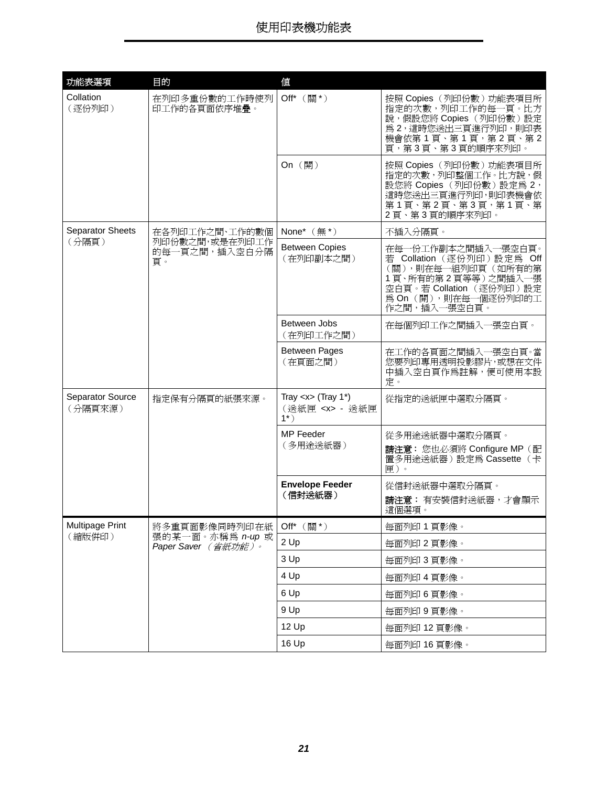<span id="page-20-3"></span><span id="page-20-2"></span><span id="page-20-1"></span><span id="page-20-0"></span>

| 功能表選項                       | 目的                                      | 値                                                                        |                                                                                                                                                                             |
|-----------------------------|-----------------------------------------|--------------------------------------------------------------------------|-----------------------------------------------------------------------------------------------------------------------------------------------------------------------------|
| Collation<br>(逐份列印)         | 在列印多重份數的工作時使列<br>印工作的各頁面依序堆疊。           | Off* (關*)                                                                | 按照 Copies (列印份數)功能表項目所<br>指定的次數,列印工作的每一頁。比方<br>說,假設您將 Copies (列印份數)設定<br>為2,這時您送出三頁進行列印,則印表<br>機會依第1頁、第1頁,第2頁、第2<br>頁,第3頁、第3頁的順序來列印。                                        |
|                             |                                         | On (開)                                                                   | 按照 Copies (列印份數)功能表項目所<br>指定的次數,列印整個工作。比方說,假<br>設您將 Copies (列印份數)設定為 2,<br>這時您送出三頁進行列印,則印表機會依<br>第1頁、第2頁、第3頁,第1頁、第<br>2頁、第3頁的順序來列印。                                         |
| Separator Sheets            | 在各列印工作之間、工作的數個                          | None* (無*)                                                               | 不插入分隔頁。                                                                                                                                                                     |
| (分隔頁)                       | 列印份數之間,或是在列印工作<br>的每一頁之間,插入空白分隔<br>百。   | <b>Between Copies</b><br>(在列印副本之間)                                       | 在每一份工作副本之間插入一張空白頁。<br>若 Collation (逐份列印) 設定為<br><b>Off</b><br>(關),則在每一組列印頁(如所有的第<br>1頁、所有的第2頁等等)之間插入一張<br>空白頁。若 Collation (逐份列印)設定<br>為 On (開), 則在每一個逐份列印的工<br>作之間,插入一張空白頁。 |
|                             |                                         | Between Jobs<br>(在列印工作之間)                                                | 在每個列印工作之間插入一張空白頁。                                                                                                                                                           |
|                             |                                         | <b>Between Pages</b><br>(在頁面之間)                                          | 在工作的各頁面之間插入一張空白頁。當<br>您要列印專用透明投影膠片,或想在文件<br>中插入空白頁作為註解,便可使用本設<br>定。                                                                                                         |
| Separator Source<br>(分隔頁來源) | 指定保有分隔頁的紙張來源。                           | Tray $< x >$ (Tray 1*)<br>(送紙匣 <x> - 送紙匣<br/><math>1^{\star}</math>)</x> | 從指定的送紙匣中選取分隔頁。                                                                                                                                                              |
|                             |                                         | MP Feeder<br>(多用途送紙器)                                                    | 從多用途送紙器中選取分隔頁。<br>請注意: 您也必須將 Configure MP (配<br>置多用途送紙器)設定為 Cassette (卡<br>匣)。                                                                                              |
|                             |                                         | <b>Envelope Feeder</b><br>(信封送紙器)                                        | 從信封送紙器中選取分隔頁。<br>請注意: 有安裝信封送紙器, 才會顯示<br>這個選項。                                                                                                                               |
| Multipage Print             | 將多重頁面影像同時列印在紙                           | Off* (關*)                                                                | 每面列印 1 頁影像。                                                                                                                                                                 |
| (縮版併印)                      | 張的某一面。亦稱為 n-up 或<br>Paper Saver (省紙功能)。 | 2 Up                                                                     | 每面列印 2 頁影像。                                                                                                                                                                 |
|                             |                                         | 3 Up                                                                     | 每面列印 3 頁影像。                                                                                                                                                                 |
|                             |                                         | 4 Up                                                                     | 每面列印 4 頁影像。                                                                                                                                                                 |
|                             |                                         | 6 Up                                                                     | 每面列印 6 頁影像。                                                                                                                                                                 |
|                             |                                         | 9 Up                                                                     | 每面列印 9 頁影像。                                                                                                                                                                 |
|                             |                                         | 12 Up                                                                    | 每面列印 12 頁影像。                                                                                                                                                                |
|                             |                                         | 16 Up                                                                    | 每面列印 16 頁影像。                                                                                                                                                                |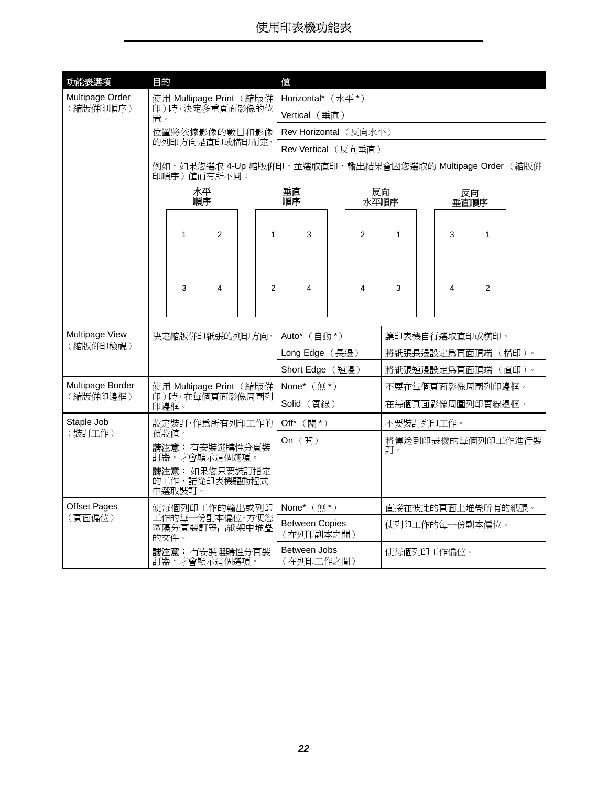<span id="page-21-4"></span><span id="page-21-3"></span><span id="page-21-2"></span><span id="page-21-1"></span><span id="page-21-0"></span>

| 功能表選項               | 目的                                     |                                         |                                 |        |                                    | 値                                                        |                         |                |                    |                          |  |                         |                |  |
|---------------------|----------------------------------------|-----------------------------------------|---------------------------------|--------|------------------------------------|----------------------------------------------------------|-------------------------|----------------|--------------------|--------------------------|--|-------------------------|----------------|--|
| Multipage Order     |                                        |                                         | 使用 Multipage Print (縮版併         |        |                                    | Horizontal* (水平*)                                        |                         |                |                    |                          |  |                         |                |  |
| (縮版併印順序)            | 印)時,決定多重頁面影像的位<br>置。                   |                                         |                                 |        |                                    | Vertical (垂直)                                            |                         |                |                    |                          |  |                         |                |  |
|                     |                                        | 位置將依據影像的數目和影像                           |                                 |        |                                    | Rev Horizontal (反向水平)                                    |                         |                |                    |                          |  |                         |                |  |
|                     |                                        |                                         | 的列印方向是直印或横印而定。                  |        |                                    | Rev Vertical (反向垂直)                                      |                         |                |                    |                          |  |                         |                |  |
|                     |                                        |                                         | 印順序) 值而有所不同:                    |        |                                    | 例如,如果您選取 4-Up 縮版併印,並選取直印,輸出結果會因您選取的 Multipage Order (縮版併 |                         |                |                    |                          |  |                         |                |  |
|                     |                                        |                                         | 水平<br>順序                        |        |                                    | 垂直<br>順序                                                 |                         |                |                    | 反向<br>反向<br>水平順序<br>垂直順序 |  |                         |                |  |
|                     |                                        | 1                                       | 2                               |        | 1                                  | 3                                                        |                         |                | $\overline{2}$     | $\mathbf{1}$             |  | 3                       | 1              |  |
|                     |                                        | 3                                       | 4                               |        | 2                                  | 4                                                        |                         |                | 4                  | 3                        |  | $\overline{\mathbf{4}}$ | $\overline{2}$ |  |
| Multipage View      |                                        |                                         | 決定縮版併印紙張的列印方向。                  |        |                                    | Auto* (自動*)                                              |                         |                |                    |                          |  | 讓印表機自行選取直印或橫印。          |                |  |
| (縮版併印檢視)            |                                        |                                         |                                 |        |                                    | Long Edge (長邊)                                           |                         |                | 將紙張長邊設定爲頁面頂端 (橫印)。 |                          |  |                         |                |  |
|                     |                                        |                                         |                                 |        |                                    | Short Edge (短邊)                                          |                         |                | 將紙張短邊設定爲頁面頂端 (直印)。 |                          |  |                         |                |  |
| Multipage Border    |                                        |                                         | 使用 Multipage Print (縮版併         |        |                                    | None* (無*)                                               |                         |                | 不要在每個頁面影像周圍列印邊框。   |                          |  |                         |                |  |
| (縮版併印邊框)            |                                        | 印邊框。                                    | 印)時,在每個頁面影像周圍列                  |        |                                    | Solid (實線)                                               |                         |                | 在每個頁面影像周圍列印實線邊框。   |                          |  |                         |                |  |
| Staple Job          |                                        |                                         | 設定裝訂,作爲所有列印工作的                  |        |                                    | Off* (關*)                                                |                         |                | 不要裝訂列印工作。          |                          |  |                         |                |  |
| (裝訂工作)              | 預設値。<br>請注意: 有安裝選購性分頁裝<br>訂器,才會顯示這個選項。 |                                         |                                 | On (開) |                                    |                                                          | 將傳送到印表機的每個列印工作進行裝<br>訂。 |                |                    |                          |  |                         |                |  |
|                     |                                        | 中選取裝訂。                                  | 請注意: 如果您只要裝訂指定<br>的工作,請從印表機驅動程式 |        |                                    |                                                          |                         |                |                    |                          |  |                         |                |  |
| <b>Offset Pages</b> |                                        |                                         | 使每個列印工作的輸出或列印                   |        |                                    | None* $(\#^*)$                                           |                         |                |                    | 直接在彼此的頁面上堆疊所有的紙張。        |  |                         |                |  |
| (頁面偏位)              |                                        | 工作的每一份副本偏位,方便您<br>區隔分頁裝訂器出紙架中堆疊<br>的文件。 |                                 |        | <b>Between Copies</b><br>(在列印副本之間) |                                                          |                         | 使列印工作的每一份副本偏位。 |                    |                          |  |                         |                |  |
|                     |                                        |                                         | 請注意: 有安裝選購性分頁裝<br>訂器,才會顯示這個選項。  |        |                                    | Between Jobs<br>(在列印工作之間)                                |                         |                | 使每個列印工作偏位。         |                          |  |                         |                |  |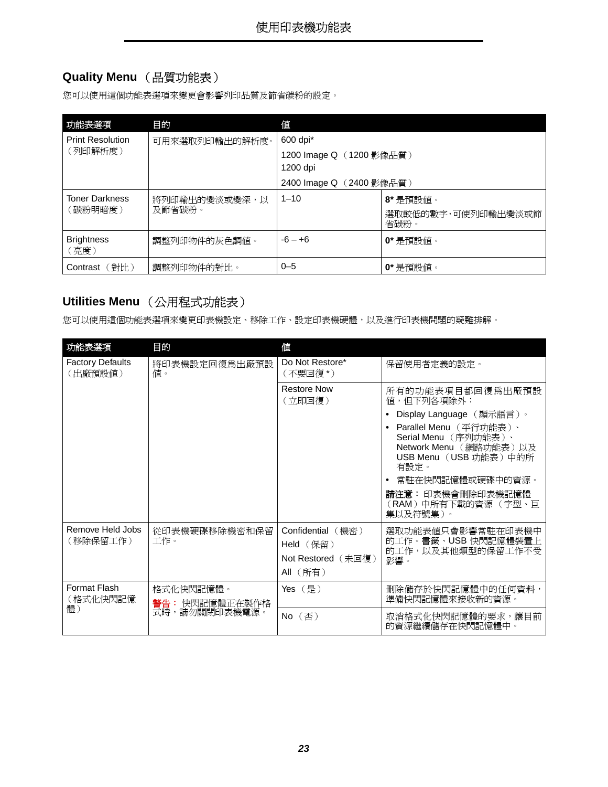### <span id="page-22-7"></span><span id="page-22-0"></span>**Quality Menu** (品質功能表)

您可以使用這個功能表選項來變更會影響列印品質及節省碳粉的設定。

<span id="page-22-9"></span><span id="page-22-6"></span>

| 功能表選項                     | 目的             | 値                                    |                            |  |  |  |  |  |
|---------------------------|----------------|--------------------------------------|----------------------------|--|--|--|--|--|
| <b>Print Resolution</b>   | 可用來選取列印輸出的解析度。 | 600 dpi*                             |                            |  |  |  |  |  |
| (列印解析度)                   |                | 1200 Image Q (1200 影像品質)<br>1200 dpi |                            |  |  |  |  |  |
|                           |                | 2400 Image Q (2400 影像品質)             |                            |  |  |  |  |  |
| <b>Toner Darkness</b>     | 將列印輸出的變淡或變深,以  | $1 - 10$                             | 8*是預設値。                    |  |  |  |  |  |
| (碳粉明暗度)                   | 及節省碳粉。         |                                      | 選取較低的數字,可使列印輸出變淡或節<br>省碳粉。 |  |  |  |  |  |
| <b>Brightness</b><br>(亮度) | 調整列印物件的灰色調値。   | $-6 - +6$                            | $0$ * 是預設値。                |  |  |  |  |  |
| (對比)<br>Contrast          | 調整列印物件的對比。     | $0 - 5$                              | 0*是預設値。                    |  |  |  |  |  |

### <span id="page-22-10"></span><span id="page-22-3"></span><span id="page-22-2"></span><span id="page-22-1"></span>**Utilities Menu** (公用程式功能表)

您可以使用這個功能表選項來變更印表機設定、移除工作、設定印表機硬體,以及進行印表機問題的疑難排解。

<span id="page-22-8"></span><span id="page-22-5"></span><span id="page-22-4"></span>

| 功能表選項                              | 目的                         | 偤                                                                |                                                                                                                                                      |
|------------------------------------|----------------------------|------------------------------------------------------------------|------------------------------------------------------------------------------------------------------------------------------------------------------|
| <b>Factory Defaults</b><br>(出廠預設値) | 將印表機設定回復爲出廠預設<br>值。        | Do Not Restore*<br>(不要回復 *)                                      | 保留使用者定義的設定。                                                                                                                                          |
|                                    |                            | <b>Restore Now</b><br>(立即回復)                                     | 所有的功能表項目都回復爲出廠預設<br>值,但下列各項除外:                                                                                                                       |
|                                    |                            |                                                                  | Display Language (顯示語言)。                                                                                                                             |
|                                    |                            |                                                                  | • Parallel Menu (平行功能表)、<br>Serial Menu (序列功能表)、<br>Network Menu (網路功能表)以及<br>USB Menu (USB 功能表)中的所<br>有設定。<br>常駐在快閃記憶體或硬碟中的資源。<br>請注意: 印表機會刪除印表機記憶體 |
|                                    |                            |                                                                  | (RAM)中所有下載的資源 (字型、巨<br>集以及符號集)。                                                                                                                      |
| Remove Held Jobs<br>(移除保留工作)       | 從印表機硬碟移除機密和保留<br>工作。       | Confidential (機密)<br>Held (保留)<br>Not Restored (未回復)<br>All (所有) | 選取功能表値只會影響常駐在印表機中<br>的工作。書籤、USB快閃記憶體裝置上<br>的工作,以及其他類型的保留工作不受<br>影響。                                                                                  |
| Format Flash<br>(格式化快閃記憶           | 格式化快閃記憶體。<br>警告:快閃記憶體正在製作格 | Yes(是)                                                           | 刪除儲存於快閃記憶體中的任何資料,<br>準備快閃記憶體來接收新的資源。                                                                                                                 |
| 體)                                 | 式時,請勿關閉印表機電源。              | $No$ $(\overline{\textcircled{}})$                               | 取消格式化快閃記憶體的要求,讓目前<br>的資源繼續儲存在快閃記憶體中。                                                                                                                 |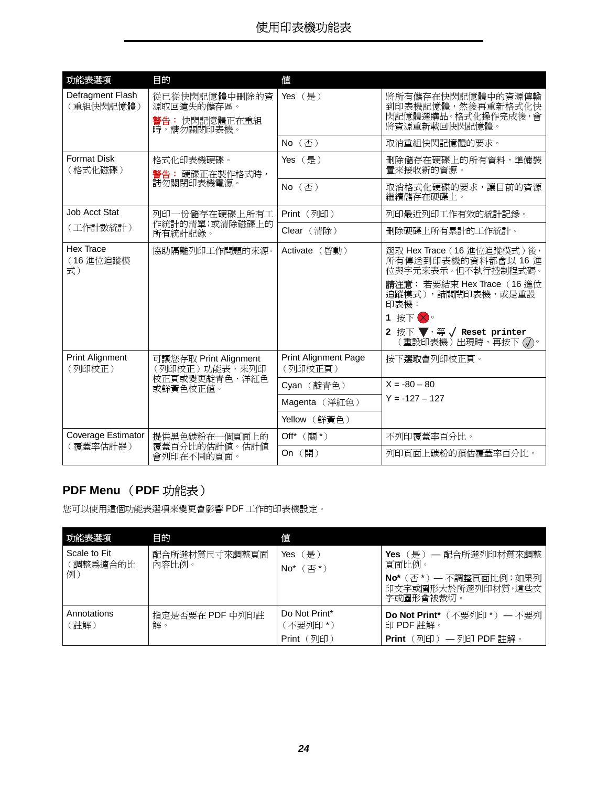<span id="page-23-8"></span><span id="page-23-5"></span><span id="page-23-4"></span><span id="page-23-3"></span>

| 功能表選項                            | 目的                                                                   | 値                                      |                                                                                                                                                                                                                                                                        |
|----------------------------------|----------------------------------------------------------------------|----------------------------------------|------------------------------------------------------------------------------------------------------------------------------------------------------------------------------------------------------------------------------------------------------------------------|
| Defragment Flash<br>(重組快閃記憶體)    | 從已從快閃記憶體中刪除的資<br>源取回遺失的儲存區。<br>警告: 快閃記憶體正在重組<br>時,請勿關閉印表機。           | Yes (是)                                | 將所有儲存在快閃記憶體中的資源傳輸<br>到印表機記憶體,然後再重新格式化快<br>閃記憶體選購品。格式化操作完成後,會<br>將資源重新載回快閃記憶體。                                                                                                                                                                                          |
|                                  |                                                                      | No (否)                                 | 取消重組快閃記憶體的要求。                                                                                                                                                                                                                                                          |
| <b>Format Disk</b><br>(格式化磁碟)    | 格式化印表機硬碟。<br>警告: 硬碟正在製作格式時,                                          | Yes (是)                                | 刪除儲存在硬碟上的所有資料,準備裝<br>置來接收新的資源。                                                                                                                                                                                                                                         |
|                                  | 請勿關閉印表機電源。                                                           | No (否)                                 | 取消格式化硬碟的要求,讓目前的資源<br>繼續儲存在硬碟上。                                                                                                                                                                                                                                         |
| Job Acct Stat                    | 列印一份儲存在硬碟上所有工                                                        | Print (列印)                             | 列印最近列印工作有效的統計記錄。                                                                                                                                                                                                                                                       |
| (工作計數統計)                         | 作統計的清單;或清除磁碟上的<br>所有統計記錄。                                            | Clear (清除)                             | 刪除硬碟上所有累計的工作統計。                                                                                                                                                                                                                                                        |
| Hex Trace<br>(16進位追蹤模<br>式)      | 協助隔離列印工作問題的來源。                                                       | Activate (啓動)                          | 選取 Hex Trace (16 進位追蹤模式)後,<br>所有傳送到印表機的資料都會以 16 進<br>位與字元來表示。但不執行控制程式碼。<br>請注意: 若要結束 Hex Trace (16 進位<br>追蹤模式),請關閉印表機,或是重設<br>印表機:<br>1 按下 8。<br>2 按下 $\blacktriangledown$ , 等 $\sqrt{}$ Reset printer<br>$\widetilde{E}$ 重設印表機 ) 出現時,再按下 $(\overline{\mathcal{N}})$ 。 |
| <b>Print Alignment</b><br>(列印校正) | 可讓您存取 Print Alignment<br>(列印校正)功能表, 來列印<br>校正頁或變更靛青色、洋紅色<br>或鮮黃色校正值。 | <b>Print Alignment Page</b><br>(列印校正頁) | 按下 <b>選取</b> 會列印校正頁。                                                                                                                                                                                                                                                   |
|                                  |                                                                      | Cyan (靛青色)                             | $X = -80 - 80$                                                                                                                                                                                                                                                         |
|                                  |                                                                      | Magenta (洋紅色)                          | $Y = -127 - 127$                                                                                                                                                                                                                                                       |
|                                  |                                                                      | Yellow (鮮黃色)                           |                                                                                                                                                                                                                                                                        |
| Coverage Estimator               | 提供黑色碳粉在一個頁面上的                                                        | Off* (關*)                              | 不列印覆蓋率百分比。                                                                                                                                                                                                                                                             |
| (覆蓋率估計器)                         | 覆蓋百分比的估計值。估計值<br>會列印在不同的頁面。                                          | On (開)                                 | 列印頁面上碳粉的預估覆蓋率百分比。                                                                                                                                                                                                                                                      |

### <span id="page-23-6"></span><span id="page-23-2"></span><span id="page-23-0"></span>**PDF Menu** (**PDF** 功能表)

您可以使用這個功能表選項來變更會影響 PDF 工作的印表機設定。

<span id="page-23-7"></span><span id="page-23-1"></span>

| 功能表選項                    | 目的                     | 値                                    |                                                                                |
|--------------------------|------------------------|--------------------------------------|--------------------------------------------------------------------------------|
| Scale to Fit<br>[調整爲適合的比 | 配合所選材質尺寸來調整頁面<br>內容比例。 | Yes $(\frac{\pi}{k})$<br>(否*)<br>No* | Yes(是)— 配合所選列印材質來調整<br>百面比例。                                                   |
| 例)                       |                        |                                      | No* (否*) — 不調整頁面比例; 如果列<br>印文字或圖形大於所選列印材質,這些文 <br>字或圖形會被裁切。                    |
| Annotations<br>註解)       | 指定是否要在 PDF 中列印註<br>解。  | Do Not Print*<br>〔不要列印 *)            | <b>Do Not Print*</b> $(\overline{R} \overline{B})$ (不要列印 *) — 不要列<br>印 PDF 註解。 |
|                          |                        | (列印)<br>Print                        | (列印)— 列印 PDF 註解。<br><b>Print</b>                                               |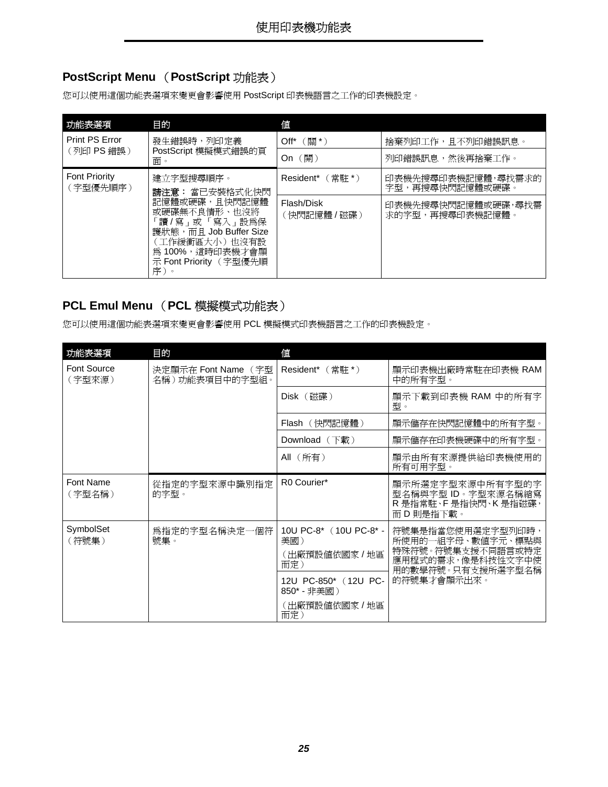### <span id="page-24-7"></span><span id="page-24-0"></span>**PostScript Menu** (**PostScript** 功能表)

您可以使用這個功能表選項來變更會影響使用 PostScript 印表機語言之工作的印表機設定。

<span id="page-24-8"></span><span id="page-24-3"></span>

| 功能表選項                            | 目的                                                                                                                                                 | 値                        |                                       |
|----------------------------------|----------------------------------------------------------------------------------------------------------------------------------------------------|--------------------------|---------------------------------------|
| Print PS Error                   | 發生錯誤時,列印定義                                                                                                                                         | 〔關 * )<br>$Off^*$        | 捨棄列印工作,且不列印錯誤訊息。                      |
| (列印 PS 錯誤)                       | PostScript 模擬模式錯誤的頁<br>面。                                                                                                                          | (開)<br>On                | 列印錯誤訊息,然後再捨棄工作。                       |
| <b>Font Priority</b><br>(字型優先順序) | 建立字型搜尋順序。<br>請注意: 當已安裝格式化快閃                                                                                                                        | Resident* (常駐*)          | 印表機先搜尋印表機記憶體,尋找需求的<br>字型,再搜尋快閃記憶體或硬碟。 |
|                                  | 記憶體或硬碟,且快閃記憶體<br>或硬碟無不良情形、也沒將<br> 讀 / 寫 」或 「寫入 」設爲保<br>護狀態, 而且 Job Buffer Size<br>(工作緩衝區大小)也沒有設<br>為100%,這時印表機才會顯<br>示 Font Priority (字型優先順<br>序)。 | Flash/Disk<br>(快閃記憶體/磁碟) | 印表機先搜尋快閃記憶體或硬碟,尋找需<br>求的字型,再搜尋印表機記憶體。 |

#### <span id="page-24-5"></span><span id="page-24-1"></span>**PCL Emul Menu** (**PCL** 模擬模式功能表)

您可以使用這個功能表選項來變更會影響使用 PCL 模擬模式印表機語言之工作的印表機設定。

<span id="page-24-6"></span><span id="page-24-4"></span><span id="page-24-2"></span>

| 功能表選項                 | 目的                                    | 値                                                                                                                     |                                                                                                                      |
|-----------------------|---------------------------------------|-----------------------------------------------------------------------------------------------------------------------|----------------------------------------------------------------------------------------------------------------------|
| Font Source<br>(字型來源) | 決定顯示在 Font Name (字型<br>名稱)功能表項目中的字型組。 | Resident* (常駐*)                                                                                                       | 顯示印表機出廠時常駐在印表機 RAM<br>中的所有字型。                                                                                        |
|                       |                                       | Disk (磁碟)                                                                                                             | 顯示下載到印表機 RAM 中的所有字<br>型。                                                                                             |
|                       |                                       | Flash (快閃記憶體)                                                                                                         | 顯示儲存在快閃記憶體中的所有字型。                                                                                                    |
|                       |                                       | Download $($ 下載 $)$                                                                                                   | 顯示儲存在印表機硬碟中的所有字型。                                                                                                    |
|                       |                                       | All (所有)                                                                                                              | 顯示由所有來源提供給印表機使用的<br>所有可用字型。                                                                                          |
| Font Name<br>(字型名稱)   | 從指定的字型來源中識別指定<br>的字型。                 | R0 Courier*                                                                                                           | 顯示所選定字型來源中所有字型的字<br>型名稱與字型 ID。字型來源名稱縮寫<br>R 是指常駐、F 是指快閃、K 是指磁碟,<br>而 D 則是指下載。                                        |
| SymbolSet<br>(符號集)    | 爲指定的字型名稱決定一個符<br>號集。                  | 10U PC-8* (10U PC-8* -<br>美國)<br>(出廠預設値依國家/地區<br>而定)<br>12U PC-850* (12U PC-<br>850* - 非美國)<br>( 出廠預設値依國家 / 地區<br>而定) | 符號集是指當您使用選定字型列印時,<br>所使用的一組字母、數値字元、標點與<br>特殊符號。符號集支援不同語言或特定<br>應用程式的需求,像是科技性文字中使<br>用的數學符號。只有支援所選字型名稱<br>的符號集才會顯示出來。 |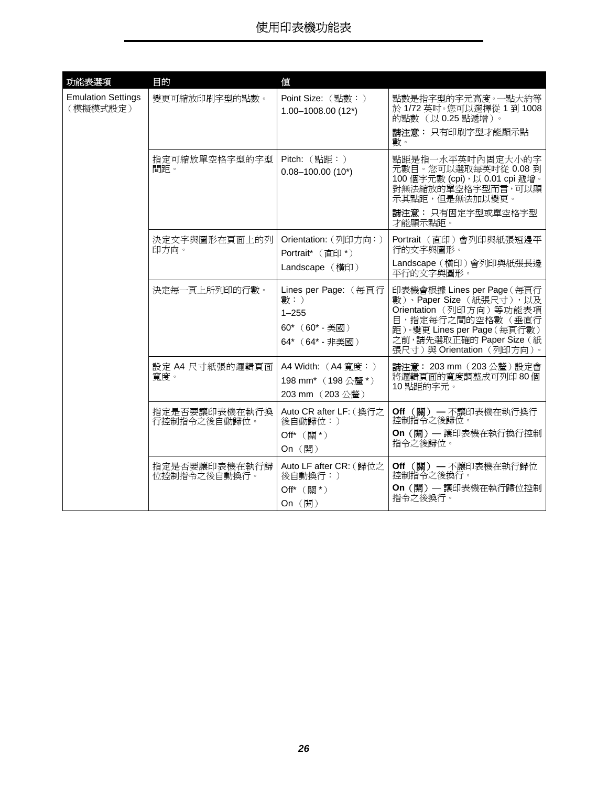<span id="page-25-0"></span>

| 功能表選項                                 | 目的                            | 値                                                                                    |                                                                                                                                                                                                |
|---------------------------------------|-------------------------------|--------------------------------------------------------------------------------------|------------------------------------------------------------------------------------------------------------------------------------------------------------------------------------------------|
| <b>Emulation Settings</b><br>(模擬模式設定) | 變更可縮放印刷字型的點數。                 | Point Size: (點數:)<br>$1.00 - 1008.00$ (12*)                                          | 點數是指字型的字元高度。一點大約等<br>於 1/72 英吋。您可以選擇從 1 到 1008<br>的點數(以0.25點遞增)。                                                                                                                               |
|                                       |                               |                                                                                      | 請注意: 只有印刷字型才能顯示點<br>數。                                                                                                                                                                         |
|                                       | 指定可縮放單空格字型的字型<br>間距。          | $Pitch:$ (點距:)<br>$0.08 - 100.00$ (10*)                                              | 點距是指一水平英吋內固定大小的字<br>元數目。您可以選取每英吋從 0.08 到<br>100 個字元數 (cpi), 以 0.01 cpi 遞增。<br>對無法縮放的單空格字型而言,可以顯<br>示其點距,但是無法加以變更。                                                                              |
|                                       |                               |                                                                                      | 請注意: 只有固定字型或單空格字型<br>才能顯示點距。                                                                                                                                                                   |
|                                       | 決定文字與圖形在頁面上的列<br>印方向。         | Orientation: (列印方向:)<br>Portrait <sup>*</sup> (直印*)                                  | Portrait (直印) 會列印與紙張短邊平<br>行的文字與圖形。                                                                                                                                                            |
|                                       |                               | Landscape (橫印)                                                                       | Landscape (橫印)會列印與紙張長邊<br>平行的文字與圖形。                                                                                                                                                            |
|                                       | 決定每一頁上所列印的行數。                 | Lines per Page: (每頁行<br>數:)<br>$1 - 255$<br>$60^*$ (60 $^*$ - 美國)<br>64* (64* - 非美國) | 印表機會根據 Lines per Page (每頁行<br>數)、Paper Size (紙張尺寸),以及<br>Orientation (列印方向) 等功能表項<br>目,指定每行之間的空格數(垂直行<br>距)。變更 Lines per Page (每頁行數)<br>之前,請先選取正確的 Paper Size (紙<br>張尺寸) 與 Orientation (列印方向)。 |
|                                       | 設定 A4 尺寸紙張的邏輯頁面<br>寬度。        | A4 Width: (A4 寬度:)<br>198 mm* (198公釐*)<br>203 mm (203公釐)                             | 請注意: 203 mm (203公釐)設定會<br>將邏輯頁面的寬度調整成可列印80個<br>10 點距的字元。                                                                                                                                       |
|                                       | 指定是否要讓印表機在執行換<br>行控制指令之後自動歸位。 | Auto CR after LF: (換行之<br>後自動歸位:)<br>Off* (關*)<br>On (開)                             | Off (關) — 不讓印表機在執行換行<br>控制指令之後歸位。<br>On (開) - 讓印表機在執行換行控制<br>指令之後歸位。                                                                                                                           |
|                                       | 指定是否要讓印表機在執行歸<br>位控制指令之後自動換行。 | Auto LF after CR: (歸位之<br>後自動換行:)<br>Off* (關*)<br>On (開)                             | Off (關) - 不讓印表機在執行歸位<br>控制指令之後換行。<br>On (開) - 讓印表機在執行歸位控制<br>指令之後換行。                                                                                                                           |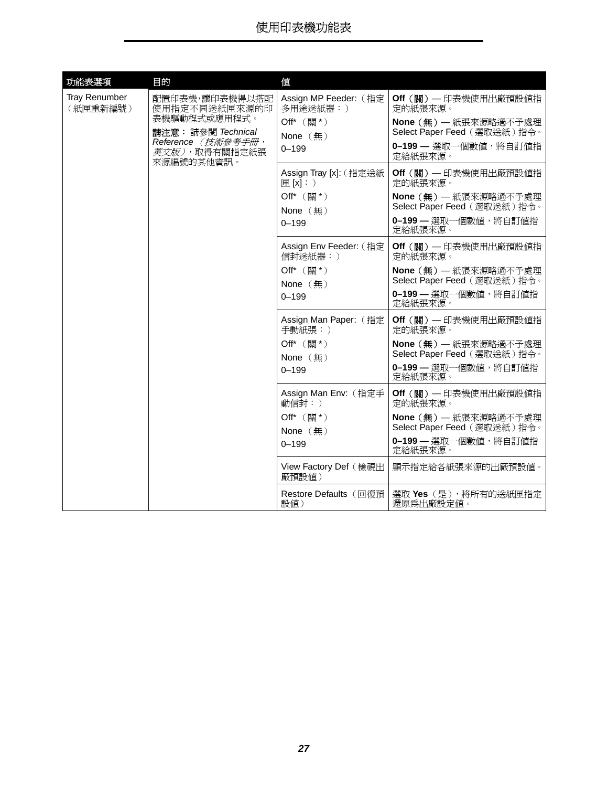<span id="page-26-0"></span>

| 功能表選項                     | 目的                                                                                                           | 値                                                                                       |                                                                                                                              |
|---------------------------|--------------------------------------------------------------------------------------------------------------|-----------------------------------------------------------------------------------------|------------------------------------------------------------------------------------------------------------------------------|
| Tray Renumber<br>(紙匣重新編號) | 配置印表機,讓印表機得以搭配<br>使用指定不同送紙匣來源的印<br>表機驅動程式或應用程式。<br>請注意: 請參閱 Technical<br>Reference (技術參考手冊,<br>英文版),取得有關指定紙張 | Assign MP Feeder: (指定<br>多用途送紙器:)<br>Off* (關*)<br>None $(\frac{\pi}{2})$<br>$0 - 199$   | Off (關) - 印表機使用出廠預設値指<br>定的紙張來源。<br>None (無) - 紙張來源略過不予處理<br>Select Paper Feed (選取送紙)指令。<br>0-199 - 選取一個數值,將自訂值指<br>定給紙張來源。  |
|                           | 來源編號的其他資訊。                                                                                                   | Assign Tray [x]: ( 指定送紙<br>[E[X]: )<br>Off* (關*)<br>None $(\frac{\pi}{2})$<br>$0 - 199$ | Off (關) - 印表機使用出廠預設値指<br>定的紙張來源。<br>None (無) - 紙張來源略過不予處理<br>Select Paper Feed (選取送紙)指令。<br>0-199 - 選取一個數值,將自訂值指<br>定給紙張來源。  |
|                           |                                                                                                              | Assign Env Feeder: (指定<br>信封送紙器:)<br>Off* (關*)<br>None $(\frac{\pi}{2})$<br>$0 - 199$   | Off (關) - 印表機使用出廠預設値指<br>定的紙張來源。<br>None (無) - 紙張來源略過不予處理<br>Select Paper Feed (選取送紙)指令。<br>0-199 - 選取一個數值, 將自訂值指<br>定給紙張來源。 |
|                           |                                                                                                              | Assign Man Paper: (指定<br>手動紙張:)<br>Off* (關*)<br>None $(\frac{\pi}{2})$<br>$0 - 199$     | Off (關) - 印表機使用出廠預設値指<br>定的紙張來源。<br>None (無) - 紙張來源略過不予處理<br>Select Paper Feed (選取送紙)指令。<br>0-199 - 選取一個數值, 將自訂值指<br>定給紙張來源。 |
|                           |                                                                                                              | Assign Man Env: (指定手<br>動信封:)<br>Off* (關*)<br>None $({\bf H})$<br>$0 - 199$             | Off (關) - 印表機使用出廠預設値指<br>定的紙張來源。<br>None (無) - 紙張來源略過不予處理<br>Select Paper Feed (選取送紙)指令。<br>0-199 - 選取一個數值, 將自訂值指<br>定給紙張來源。 |
|                           |                                                                                                              | View Factory Def (檢視出<br>廠預設値)                                                          | 顯示指定給各紙張來源的出廠預設值。                                                                                                            |
|                           |                                                                                                              | Restore Defaults (回復預<br>設値)                                                            | 選取 Yes (是),將所有的送紙匣指定<br>還原爲出廠設定値。                                                                                            |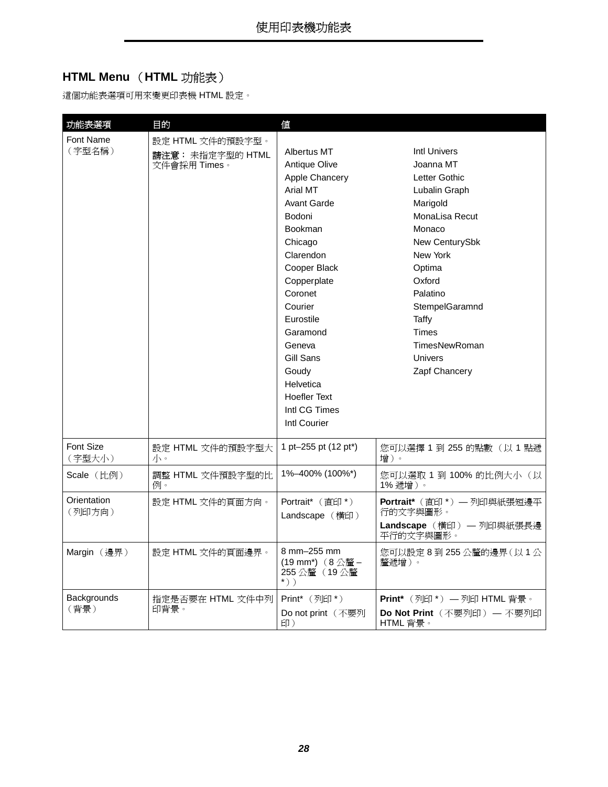### <span id="page-27-4"></span><span id="page-27-0"></span>**HTML Menu** (**HTML** 功能表)

這個功能表選項可用來變更印表機 HTML 設定。

<span id="page-27-7"></span><span id="page-27-6"></span><span id="page-27-5"></span><span id="page-27-3"></span><span id="page-27-2"></span><span id="page-27-1"></span>

| 功能表選項                      | 目的                                                   | 値                                                                                                                                                                                                                                                                                                                                     |                                                                                                                                                                                                                                                                  |
|----------------------------|------------------------------------------------------|---------------------------------------------------------------------------------------------------------------------------------------------------------------------------------------------------------------------------------------------------------------------------------------------------------------------------------------|------------------------------------------------------------------------------------------------------------------------------------------------------------------------------------------------------------------------------------------------------------------|
| <b>Font Name</b><br>(字型名稱) | 設定 HTML 文件的預設字型。<br>請注意: 未指定字型的 HTML<br>文件會採用 Times。 | Albertus MT<br><b>Antique Olive</b><br>Apple Chancery<br>Arial MT<br><b>Avant Garde</b><br>Bodoni<br><b>Bookman</b><br>Chicago<br>Clarendon<br>Cooper Black<br>Copperplate<br>Coronet<br>Courier<br>Eurostile<br>Garamond<br>Geneva<br>Gill Sans<br>Goudy<br>Helvetica<br><b>Hoefler Text</b><br>Intl CG Times<br><b>Intl Courier</b> | <b>Intl Univers</b><br>Joanna MT<br>Letter Gothic<br>Lubalin Graph<br>Marigold<br>MonaLisa Recut<br>Monaco<br>New CenturySbk<br>New York<br>Optima<br>Oxford<br>Palatino<br>StempelGaramnd<br>Taffy<br><b>Times</b><br>TimesNewRoman<br>Univers<br>Zapf Chancery |
| Font Size<br>(字型大小)        | 設定 HTML 文件的預設字型大<br>バー                               | 1 pt-255 pt (12 pt <sup>*</sup> )                                                                                                                                                                                                                                                                                                     | 您可以選擇 1 到 255 的點數 (以 1點遞<br>增)。                                                                                                                                                                                                                                  |
| Scale (比例)                 | 調整 HTML 文件預設字型的比<br>例。                               | 1%-400% (100%*)                                                                                                                                                                                                                                                                                                                       | 您可以選取 1 到 100% 的比例大小(以<br>1% 遞增 )。                                                                                                                                                                                                                               |
| Orientation<br>(列印方向)      | 設定 HTML 文件的頁面方向。                                     | Portrait <sup>*</sup> (直印*)<br>Landscape (橫印)                                                                                                                                                                                                                                                                                         | Portrait* (直印 *) - 列印與紙張短邊平<br>行的文字與圖形。<br>Landscape (横印) — 列印與紙張長邊<br>平行的文字與圖形。                                                                                                                                                                                 |
| Margin (邊界)                | 設定 HTML 文件的頁面邊界。                                     | 8 mm-255 mm<br>(19 mm*) (8公釐-<br>255 公釐(19 公釐<br>$\kappa$ ) )                                                                                                                                                                                                                                                                         | 您可以設定 8 到 255 公釐的邊界(以 1 公<br>釐遞增)。                                                                                                                                                                                                                               |
| Backgrounds<br>(背景)        | 指定是否要在 HTML 文件中列<br>印背景。                             | Print* (列印*)<br>Do not print (不要列<br>印)                                                                                                                                                                                                                                                                                               | Print* (列印*) 一列印 HTML 背景。<br>Do Not Print (不要列印) — 不要列印<br>HTML 背景。                                                                                                                                                                                              |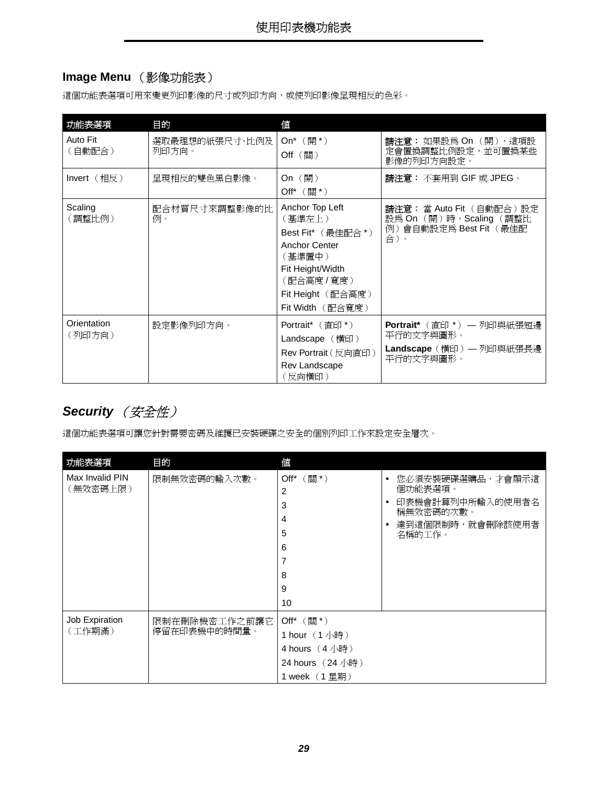### <span id="page-28-3"></span><span id="page-28-1"></span>**Image Menu** (影像功能表)

這個功能表選項可用來變更列印影像的尺寸或列印方向,或使列印影像呈現相反的色彩。

<span id="page-28-8"></span><span id="page-28-4"></span><span id="page-28-2"></span>

| 功能表選項                 | 目的                      | 値                                                                                                                                                          |                                                                                      |
|-----------------------|-------------------------|------------------------------------------------------------------------------------------------------------------------------------------------------------|--------------------------------------------------------------------------------------|
| Auto Fit<br>(自動配合)    | 選取最理想的紙張尺寸、比例及<br>列印方向。 | On <sup>*</sup> $(\frac{m}{2})^*$<br>$Off$ (關)                                                                                                             | 請注意: 如果設為 On (開), 這項設<br>定會置換調整比例設定,並可置換某些<br>影像的列印方向設定。                             |
| $Invert$ (相反)         | 呈現相反的雙色黑白影像。            | On $(\mathbb{H})$<br>Off <sup>*</sup> $(\frac{35}{10})^*$                                                                                                  | 請注意: 不套用到 GIF 或 JPEG。                                                                |
| Scaling<br>(調整比例)     | 配合材質尺寸來調整影像的比<br>例。     | Anchor Top Left<br>(基準左上)<br>Best Fit* (最佳配合*)<br><b>Anchor Center</b><br>(基準置中)<br>Fit Height/Width<br>(配合高度/寬度)<br>Fit Height (配合高度)<br>Fit Width (配合寬度) | 請注意: 當 Auto Fit (自動配合)設定<br>設為 On (開)時, Scaling (調整比<br>例)會自動設定爲 Best Fit(最佳配<br>合)。 |
| Orientation<br>(列印方向) | 設定影像列印方向。               | <b>Portrait</b> $(\vec{\textbf{f}}\textbf{f})$<br>Landscape (横印)<br><b>Rev Portrait</b> (反向直印)<br>Rev Landscape<br>(反向橫印)                                  | Portrait* (直印 *) — 列印與紙張短邊<br>平行的文字與圖形。<br>Landscape (横印) — 列印與紙張長邊<br>平行的文字與圖形。     |

### <span id="page-28-9"></span><span id="page-28-7"></span><span id="page-28-0"></span>**Security** (安全性)

這個功能表選項可讓您針對需要密碼及維護已安裝硬碟之安全的個別列印工作來設定安全層次。

<span id="page-28-6"></span><span id="page-28-5"></span>

| 功能表選項                       | 目的                            | 値                                                                                                                                    |                                                                                                                                   |
|-----------------------------|-------------------------------|--------------------------------------------------------------------------------------------------------------------------------------|-----------------------------------------------------------------------------------------------------------------------------------|
| Max Invalid PIN<br>(無效密碼上限) | 限制無效密碼的輸入次數。                  | Off* (關*)<br>2<br>3<br>4<br>5<br>6<br>7<br>8<br>9<br>10                                                                              | 您必須安裝硬碟選購品,才會顯示這<br>$\bullet$<br>個功能表選項。<br>印表機會計算列中所輸入的使用者名<br>$\bullet$<br>稱無效密碼的次數。<br>達到這個限制時,就會刪除該使用者<br>$\bullet$<br>名稱的工作。 |
| Job Expiration<br>(工作期滿)    | 限制在刪除機密工作之前讓它<br>停留在印表機中的時間量。 | Off* $(\overline{\mathbb{R}}^*)$<br>1 hour (1小時)<br>4 hours $(4/\sqrt{m})$<br>24 hours (24 小時)<br>1 week $(1 \not\equiv \mathbf{H})$ |                                                                                                                                   |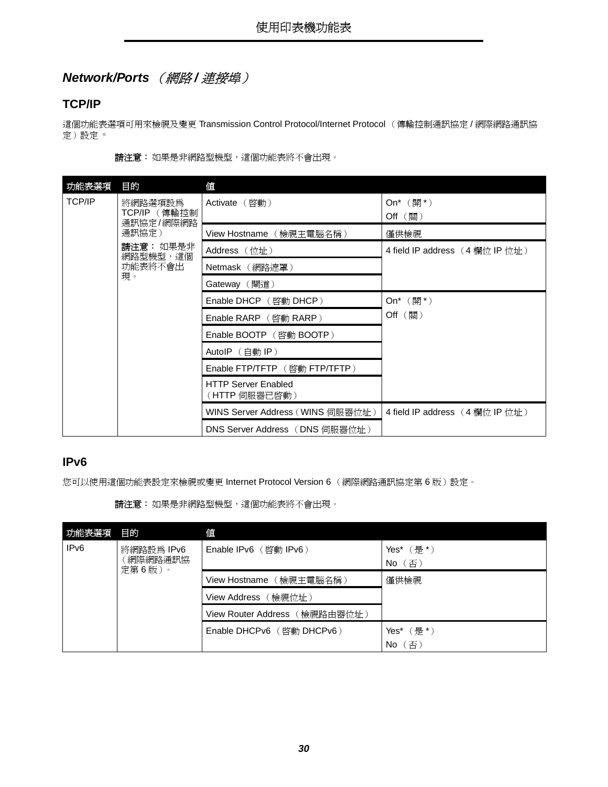### <span id="page-29-3"></span><span id="page-29-0"></span>**Network/Ports** (網路 **/** 連接埠)

#### <span id="page-29-4"></span>**TCP/IP**

這個功能表選項可用來檢視及變更 Transmission Control Protocol/Internet Protocol (傳輸控制通訊協定 / 網際網路通訊協 定)設定。

|  |  | <b>請注意:</b> 如果是非網路型機型,這個功能表將不會出現。 |  |
|--|--|-----------------------------------|--|
|--|--|-----------------------------------|--|

| 功能表選項         | 目的                        | 值                                           |                                     |
|---------------|---------------------------|---------------------------------------------|-------------------------------------|
| <b>TCP/IP</b> | 將網路選項設爲                   | Activate (啓動)                               | On* $(\mathbb{H}^*)$                |
|               | TCP/IP (傳輸控制<br>通訊協定/網際網路 |                                             | $Off$ (關)                           |
|               | 通訊協定)                     | View Hostname (檢視主電腦名稱)                     | 僅供檢視                                |
|               | 請注意: 如果是非<br>網路型機型,這個     | Address (位址)                                | 4 field IP address (4 欄位 IP 位址)     |
|               | 功能表將不會出                   | Netmask (網路遮罩)                              |                                     |
|               | 現。                        | Gateway (閘道)                                |                                     |
|               |                           | Enable DHCP (啓動 DHCP)                       | On <sup>*</sup> $(\frac{\pi}{2})^*$ |
|               |                           | Enable RARP (啓動 RARP)                       | Off (關)                             |
|               |                           | Enable BOOTP (啓動 BOOTP)                     |                                     |
|               |                           | AutoIP $(\hat{\text{H}})$ IP)               |                                     |
|               |                           | Enable FTP/TFTP (啓動 FTP/TFTP)               |                                     |
|               |                           | <b>HTTP Server Enabled</b><br>(HTTP 伺服器已啓動) |                                     |
|               |                           | WINS Server Address (WINS 伺服器位址)            | 4 field IP address (4欄位 IP 位址)      |
|               |                           | DNS Server Address (DNS 伺服器位址)              |                                     |

#### <span id="page-29-1"></span>**IPv6**

您可以使用這個功能表設定來檢視或變更 Internet Protocol Version 6 (網際網路通訊協定第6版)設定。

請注意:如果是非網路型機型,這個功能表將不會出現。

<span id="page-29-2"></span>

| 功能表選項                                                | 目的 | 値                             |                                        |
|------------------------------------------------------|----|-------------------------------|----------------------------------------|
| IP <sub>v6</sub><br>將網路設為 IPv6<br>[網際網路通訊協<br>定第6版)。 |    | Enable IPv6 (啓動 IPv6)         | Yes* $(\frac{\pi}{6})^*$<br>【否)<br>No. |
|                                                      |    | (檢視主電腦名稱)<br>View Hostname    | 僅供檢視                                   |
|                                                      |    | (檢視位址)<br>View Address        |                                        |
|                                                      |    | View Router Address (檢視路由器位址) |                                        |
|                                                      |    |                               | Yes*(是 *)                              |
|                                                      |    |                               | [否]<br>No                              |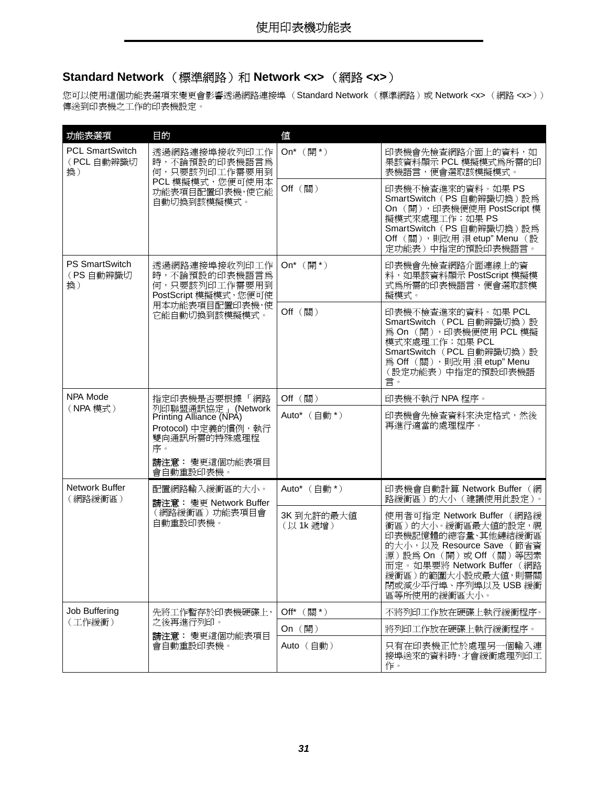### <span id="page-30-6"></span><span id="page-30-0"></span>**Standard Network** (標準網路)和 **Network <x>** (網路 **<x>**)

您可以使用這個功能表選項來變更會影響透過網路連接埠 (Standard Network (標準網路)或 Network <x> (網路 <x>)) 傳送到印表機之工作的印表機設定。

<span id="page-30-5"></span><span id="page-30-4"></span><span id="page-30-3"></span><span id="page-30-2"></span><span id="page-30-1"></span>

| 功能表選項                                      | 目的                                                                                                                          | 值                                 |                                                                                                                                                                                                                           |
|--------------------------------------------|-----------------------------------------------------------------------------------------------------------------------------|-----------------------------------|---------------------------------------------------------------------------------------------------------------------------------------------------------------------------------------------------------------------------|
| <b>PCL SmartSwitch</b><br>(PCL 自動辨識切<br>換) | 透過網路連接埠接收列印工作<br>時,不論預設的印表機語言為<br>何,只要該列印工作需要用到                                                                             | On <sup>*</sup> $(\frac{m}{2})^*$ | 印表機會先檢查網路介面上的資料,如<br>果該資料顯示 PCL 模擬模式為所需的印<br>表機語言,便會選取該模擬模式。                                                                                                                                                              |
|                                            | PCL 模擬模式,您便可使用本<br>功能表項目配置印表機,使它能<br>自動切換到該模擬模式。                                                                            | Off (關)                           | 印表機不檢查進來的資料。如果 PS<br>SmartSwitch (PS 自動辨識切換)設為<br>On (開), 印表機便使用 PostScript 模<br>擬模式來處理工作;如果 PS<br>SmartSwitch (PS 自動辨識切換)設為<br>Off (關),則改用 浿 etup" Menu (設<br>定功能表)中指定的預設印表機語言。                                          |
| <b>PS SmartSwitch</b><br>(PS 自動辨識切<br>換)   | 透過網路連接埠接收列印工作<br>時,不論預設的印表機語言為<br>何,只要該列印工作需要用到<br>PostScript 模擬模式, 您便可使                                                    | On <sup>*</sup> $(\frac{m}{2})^*$ | 印表機會先檢查網路介面連線上的資<br>料,如果該資料顯示 PostScript 模擬模<br>式為所需的印表機語言,便會選取該模<br>擬模式。                                                                                                                                                 |
|                                            | 用本功能表項目配置印表機,使<br>它能自動切換到該模擬模式。                                                                                             | Off (關)                           | 印表機不檢查進來的資料。如果 PCL<br>SmartSwitch (PCL 自動辨識切換)設<br>為 On (開), 印表機便使用 PCL 模擬<br>模式來處理工作;如果 PCL<br>SmartSwitch (PCL 自動辨識切換)設<br>為 Off (關),則改用 浿 etup" Menu<br>(設定功能表)中指定的預設印表機語<br>言。                                        |
| NPA Mode                                   | 指定印表機是否要根據 「網路                                                                                                              | Off (關)                           | 印表機不執行 NPA 程序。                                                                                                                                                                                                            |
| (NPA 模式)                                   | 列印聯盟通訊協定   (Network<br>Printing Alliance (NPA)<br>Protocol) 中定義的慣例, 執行<br>雙向通訊所需的特殊處理程<br>序。<br>請注意: 變更這個功能表項目<br>會自動重設印表機。 | Auto* (自動*)                       | 印表機會先檢查資料來決定格式,然後<br>再進行適當的處理程序。                                                                                                                                                                                          |
| Network Buffer<br>(網路緩衝區)                  | 配置網路輸入緩衝區的大小。<br>請注意: 變更 Network Buffer                                                                                     | Auto* (自動*)                       | 印表機會自動計算 Network Buffer (網<br>路緩衝區)的大小 (建議使用此設定)。                                                                                                                                                                         |
|                                            | (網路緩衝區)功能表項目會<br>自動重設印表機。                                                                                                   | 3K到允許的最大值<br>(以1k遞增)              | 使用者可指定 Network Buffer (網路緩<br>衝區)的大小。緩衝區最大值的設定,視<br>印表機記憶體的總容量、其他鏈結緩衝區<br>的大小, 以及 Resource Save (節省資<br>源)設為On (開)或Off (關)等因素<br>而定。如果要將 Network Buffer (網路<br>緩衝區)的範圍大小設成最大値,則需關<br>閉或減少平行埠、序列埠以及 USB 緩衝<br>區等所使用的緩衝區大小。 |
| Job Buffering                              | 先將工作暫存於印表機硬碟上,                                                                                                              | Off* (關*)                         | 不將列印工作放在硬碟上執行緩衝程序。                                                                                                                                                                                                        |
| (工作緩衝)                                     | 之後再進行列印。<br>請注意: 變更這個功能表項目<br>會自動重設印表機。                                                                                     | On (開)                            | 將列印工作放在硬碟上執行緩衝程序。                                                                                                                                                                                                         |
|                                            |                                                                                                                             | Auto (自動)                         | 只有在印表機正忙於處理另一個輸入連<br>接埠送來的資料時,才會緩衝處理列印工<br>作。                                                                                                                                                                             |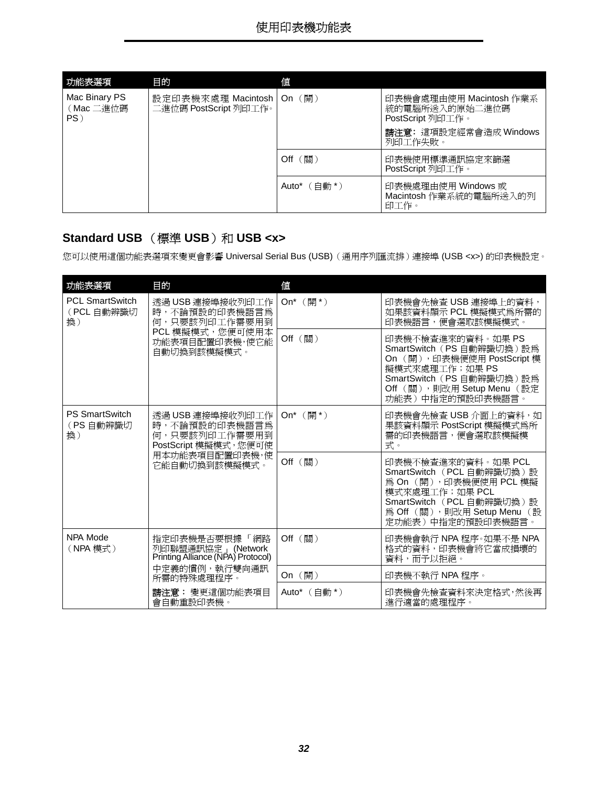<span id="page-31-1"></span>

| 功能表選項                                | 目的                                                   | 値                       |                                                               |
|--------------------------------------|------------------------------------------------------|-------------------------|---------------------------------------------------------------|
| Mac Binary PS<br>(Mac 二進位碼<br>$PS$ ) | 設定印表機來處理 Macintosh   On (開)<br>二進位碼 PostScript 列印工作。 |                         | 印表機會處理由使用 Macintosh 作業系<br>統的電腦所送入的原始二進位碼<br>PostScript 列印工作。 |
|                                      |                                                      |                         | 請注意: 這項設定經常會造成 Windows<br>列印工作失敗。                             |
|                                      |                                                      | $Off$ $(\frac{55}{10})$ | 印表機使用標準通訊協定來篩選<br>PostScript 列印工作。                            |
|                                      |                                                      | Auto* $($ 白動 * $)$      | 印表機處理由使用 Windows 或<br>Macintosh 作業系統的電腦所送入的列<br>印工作。          |

### <span id="page-31-0"></span>**Standard USB** (標準 USB) 和 USB <x>

您可以使用這個功能表選項來變更會影響 Universal Serial Bus (USB)(通用序列匯流排)連接埠 (USB <x>) 的印表機設定。

<span id="page-31-4"></span><span id="page-31-3"></span><span id="page-31-2"></span>

| 功能表選項                                      | 目的                                                                                                      | 値                                   |                                                                                                                                                                                |
|--------------------------------------------|---------------------------------------------------------------------------------------------------------|-------------------------------------|--------------------------------------------------------------------------------------------------------------------------------------------------------------------------------|
| <b>PCL SmartSwitch</b><br>(PCL 自動辨識切<br>換) | 透過 USB 連接埠接收列印工作<br>時,不論預設的印表機語言為<br>何,只要該列印工作需要用到<br>PCL 模擬模式,您便可使用本<br>功能表項目配置印表機,使它能<br>自動切換到該模擬模式。  | On <sup>*</sup> $(\frac{m}{2})^*$   | 印表機會先檢查 USB 連接埠上的資料,<br>如果該資料顯示 PCL 模擬模式為所需的<br>印表機語言,便會選取該模擬模式。                                                                                                               |
|                                            |                                                                                                         | Off (關)                             | 印表機不檢查進來的資料。如果 PS<br>SmartSwitch (PS 自動辨識切換)設為<br>On (開), 印表機便使用 PostScript 模<br>擬模式來處理工作;如果 PS<br>SmartSwitch (PS 自動辨識切換)設為<br>Off (關),則改用 Setup Menu (設定<br>功能表)中指定的預設印表機語言。 |
| <b>PS SmartSwitch</b><br>(PS 自動辨識切<br>換)   | 透過 USB 連接埠接收列印工作<br>時,不論預設的印表機語言為<br>何,只要該列印工作需要用到<br>PostScript 模擬模式,您便可使                              | On <sup>*</sup> $(\frac{\pi}{2})^*$ | 印表機會先檢查 USB 介面上的資料,如<br>果該資料顯示 PostScript 模擬模式為所<br>需的印表機語言,便會選取該模擬模<br>式。                                                                                                     |
|                                            | 用本功能表項目配置印表機,使<br>它能自動切換到該模擬模式。                                                                         | Off (關)                             | 印表機不檢杳進來的資料。如果 PCL<br>SmartSwitch (PCL 自動辨識切換)設<br>為 On (開), 印表機便使用 PCL 模擬<br>模式來處理工作;如果 PCL<br>SmartSwitch (PCL 自動辨識切換)設<br>為 Off (關), 則改用 Setup Menu (設<br>定功能表)中指定的預設印表機語言。 |
| NPA Mode<br>(NPA 模式)                       | 指定印表機是否要根據 「網路<br>列印聯盟通訊協定」(Network<br>Printing Alliance (NPA) Protocol)<br>中定義的慣例,執行雙向通訊<br>所需的特殊處理程序。 | $Off$ $(\frac{15}{10})$             | 印表機會執行 NPA 程序。如果不是 NPA<br>格式的資料,印表機會將它當成損壞的<br>資料,而予以拒絕。                                                                                                                       |
|                                            |                                                                                                         | On (開)                              | 印表機不執行 NPA 程序。                                                                                                                                                                 |
|                                            | 請注意: 變更這個功能表項目<br>會自動重設印表機。                                                                             | Auto* $($ 白動 *)                     | 印表機會先檢查資料來決定格式,然後再<br>淮行適當的處理程序。                                                                                                                                               |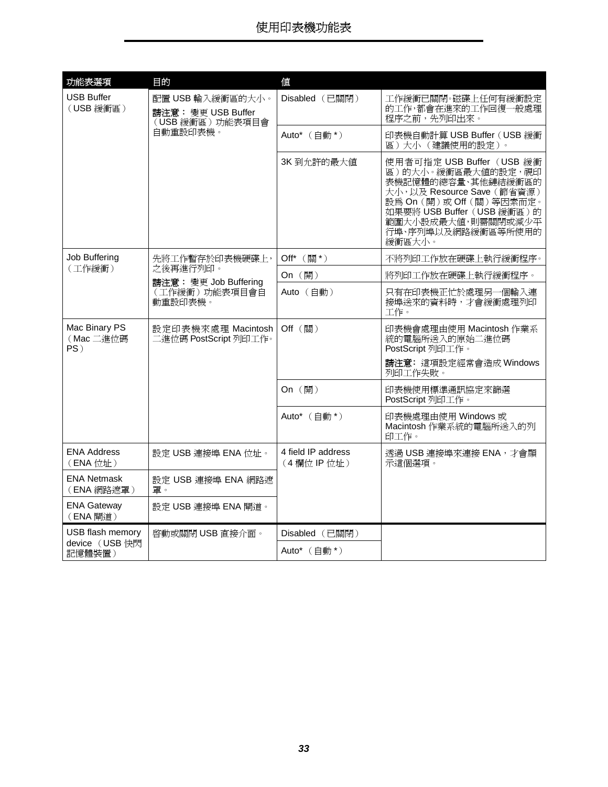<span id="page-32-6"></span><span id="page-32-5"></span><span id="page-32-4"></span><span id="page-32-3"></span><span id="page-32-2"></span><span id="page-32-1"></span><span id="page-32-0"></span>

| 功能表選項                             | 目的                                                            | 値                               |                                                                                                                                                                                                                     |
|-----------------------------------|---------------------------------------------------------------|---------------------------------|---------------------------------------------------------------------------------------------------------------------------------------------------------------------------------------------------------------------|
| <b>USB Buffer</b><br>(USB 緩衝區)    | 配置 USB 輸入緩衝區的大小。<br>請注意: 變更 USB Buffer<br>(USB 緩衝區)功能表項目會     | Disabled (已關閉)                  | 工作緩衝已關閉。磁碟上任何有緩衝設定<br>的工作,都會在進來的工作回復一般處理<br>程序之前,先列印出來。                                                                                                                                                             |
|                                   | 自動重設印表機。                                                      | Auto* (自動*)                     | 印表機自動計算 USB Buffer (USB 緩衝<br>區)大小(建議使用的設定)。                                                                                                                                                                        |
|                                   |                                                               | 3K到允許的最大值                       | 使用者可指定 USB Buffer (USB 緩衝<br>區)的大小。緩衝區最大值的設定,視印<br>表機記憶體的總容量、其他鏈結緩衝區的<br>大小,以及 Resource Save (節省資源)<br>設為 On (開)或 Off (關)等因素而定。<br>如果要將 USB Buffer (USB 緩衝區)的<br>範圍大小設成最大値,則需關閉或減少平<br>行埠、序列埠以及網路緩衝區等所使用的<br>緩衝區大小。 |
| Job Buffering                     | 先將工作暫存於印表機硬碟上,                                                | Off* (關*)                       | 不將列印工作放在硬碟上執行緩衝程序。                                                                                                                                                                                                  |
| (工作緩衝)                            | 之後再進行列印。<br>請注意: 變更 Job Buffering<br>(工作緩衝)功能表項目會自<br>動重設印表機。 | On (開)                          | 將列印工作放在硬碟上執行緩衝程序。                                                                                                                                                                                                   |
|                                   |                                                               | Auto (自動)                       | 只有在印表機正忙於處理另一個輸入連<br>接埠送來的資料時,才會緩衝處理列印<br>工作。                                                                                                                                                                       |
| Mac Binary PS<br>(Mac 二進位碼<br>PS) | 設定印表機來處理 Macintosh<br>二進位碼 PostScript 列印工作。                   | Off (關)                         | 印表機會處理由使用 Macintosh 作業系<br>統的電腦所送入的原始二進位碼<br>PostScript 列印工作。                                                                                                                                                       |
|                                   |                                                               |                                 | 請注意: 這項設定經常會造成 Windows<br>列印工作失敗。                                                                                                                                                                                   |
|                                   |                                                               | On (開)                          | 印表機使用標準通訊協定來篩選<br>PostScript 列印工作。                                                                                                                                                                                  |
|                                   |                                                               | Auto* (自動*)                     | 印表機處理由使用 Windows 或<br>Macintosh 作業系統的電腦所送入的列<br>印工作。                                                                                                                                                                |
| <b>ENA Address</b><br>(ENA 位址)    | 設定 USB 連接埠 ENA 位址。                                            | 4 field IP address<br>(4欄位IP位址) | 透過 USB 連接埠來連接 ENA,才會顯<br>示這個選項。                                                                                                                                                                                     |
| <b>ENA Netmask</b><br>(ENA 網路遮罩)  | 設定 USB 連接埠 ENA 網路遮<br>罩。                                      |                                 |                                                                                                                                                                                                                     |
| <b>ENA Gateway</b><br>(ENA 閘道)    | 設定 USB 連接埠 ENA 閘道。                                            |                                 |                                                                                                                                                                                                                     |
| USB flash memory                  | 啓動或關閉 USB 直接介面。                                               | Disabled (已關閉)                  |                                                                                                                                                                                                                     |
| device (USB 快閃<br>記憶體裝置)          |                                                               | Auto* (自動*)                     |                                                                                                                                                                                                                     |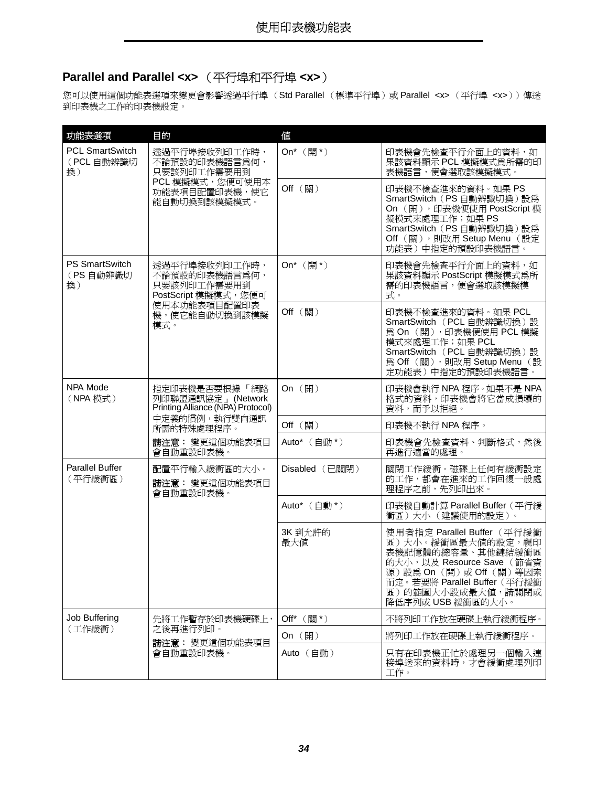## <span id="page-33-4"></span><span id="page-33-0"></span>**Parallel and Parallel <x>** (平行埠和平行埠 **<x>**)

您可以使用這個功能表選項來變更會影響透過平行埠 (Std Parallel (標準平行埠)或 Parallel <x> (平行埠 <x>))傳送 到印表機之工作的印表機設定。

<span id="page-33-6"></span><span id="page-33-5"></span><span id="page-33-3"></span><span id="page-33-2"></span><span id="page-33-1"></span>

| 功能表選項                                      | 目的                                                                                                      | 値                                 |                                                                                                                                                                                                        |
|--------------------------------------------|---------------------------------------------------------------------------------------------------------|-----------------------------------|--------------------------------------------------------------------------------------------------------------------------------------------------------------------------------------------------------|
| <b>PCL SmartSwitch</b><br>(PCL 自動辨識切<br>換) | 透過平行埠接收列印工作時,<br>不論預設的印表機語言為何,<br>只要該列印工作需要用到                                                           | On <sup>*</sup> $(\frac{m}{2})^*$ | 印表機會先檢查平行介面上的資料,如<br>果該資料顯示 PCL 模擬模式為所需的印<br>表機語言,便會選取該模擬模式。                                                                                                                                           |
|                                            | PCL 模擬模式,您便可使用本<br>功能表項目配置印表機,使它<br>能自動切換到該模擬模式。                                                        | Off (關)                           | 印表機不檢查進來的資料。如果 PS<br>SmartSwitch (PS 自動辨識切換)設為<br>On (開), 印表機便使用 PostScript 模<br>擬模式來處理工作;如果 PS<br>SmartSwitch (PS 自動辨識切換)設為<br>Off (關),則改用 Setup Menu (設定<br>功能表)中指定的預設印表機語言。                         |
| <b>PS SmartSwitch</b><br>(PS自動辨識切<br>換)    | 透過平行埠接收列印工作時,<br>不論預設的印表機語言為何,<br>只要該列印工作需要用到<br>PostScript 模擬模式,您便可                                    | On* $(\frac{\pi}{2})$             | 印表機會先檢查平行介面上的資料,如<br>果該資料顯示 PostScript 模擬模式為所<br>需的印表機語言,便會選取該模擬模<br>式。                                                                                                                                |
|                                            | 使用本功能表項目配置印表<br>機,使它能自動切換到該模擬<br>模式。                                                                    | Off (關)                           | 印表機不檢查進來的資料。如果 PCL<br>SmartSwitch (PCL 自動辨識切換)設<br>為 On (開), 印表機便使用 PCL 模擬<br>模式來處理工作;如果 PCL<br>SmartSwitch (PCL 自動辨識切換)設<br>為 Off (關),則改用 Setup Menu (設<br>定功能表)中指定的預設印表機語言。                          |
| NPA Mode<br>(NPA 模式)                       | 指定印表機是否要根據 「網路<br>列印聯盟通訊協定」(Network<br>Printing Alliance (NPA) Protocol)<br>中定義的慣例,執行雙向通訊<br>所需的特殊處理程序。 | On (開)                            | 印表機會執行 NPA 程序。如果不是 NPA<br>格式的資料,印表機會將它當成損壞的<br>資料,而予以拒絕。                                                                                                                                               |
|                                            |                                                                                                         | Off (關)                           | 印表機不執行 NPA 程序。                                                                                                                                                                                         |
|                                            | 請注意:變更這個功能表項目<br>會自動重設印表機。                                                                              | Auto* (自動*)                       | 印表機會先檢查資料、判斷格式,然後<br>再進行適當的處理。                                                                                                                                                                         |
| <b>Parallel Buffer</b><br>(平行緩衝區)          | 配置平行輸入緩衝區的大小。<br>請注意: 變更這個功能表項目<br>會自動重設印表機。                                                            | Disabled (已關閉)                    | 關閉工作緩衝。磁碟上任何有緩衝設定<br>的工作,都會在進來的工作回復一般處<br>理程序之前,先列印出來。                                                                                                                                                 |
|                                            |                                                                                                         | Auto* (自動*)                       | 印表機自動計算 Parallel Buffer (平行緩<br>衝區)大小 (建議使用的設定)。                                                                                                                                                       |
|                                            |                                                                                                         | 3K 到允許的<br>最大値                    | 使用者指定 Parallel Buffer (平行緩衝<br>區)大小。緩衝區最大值的設定,視印<br>表機記憶體的總容量、其他鏈結緩衝區<br>的大小, 以及 Resource Save (節省資<br>源)設為On (開)或Off (關)等因素<br>而定。若要將 Parallel Buffer (平行緩衝<br>區)的範圍大小設成最大值,請關閉或<br>降低序列或 USB 緩衝區的大小。 |
| Job Buffering                              | 先將工作暫存於印表機硬碟上,                                                                                          | Off* (關*)                         | 不將列印工作放在硬碟上執行緩衝程序。                                                                                                                                                                                     |
| (工作緩衝)                                     | 之後再進行列印。<br>請注意: 變更這個功能表項目<br>會自動重設印表機。                                                                 | On $(\mathbb{H})$                 | 將列印工作放在硬碟上執行緩衝程序。                                                                                                                                                                                      |
|                                            |                                                                                                         | Auto (自動)                         | 只有在印表機正忙於處理另一個輸入連<br>接埠送來的資料時,才會緩衝處理列印<br>工作。                                                                                                                                                          |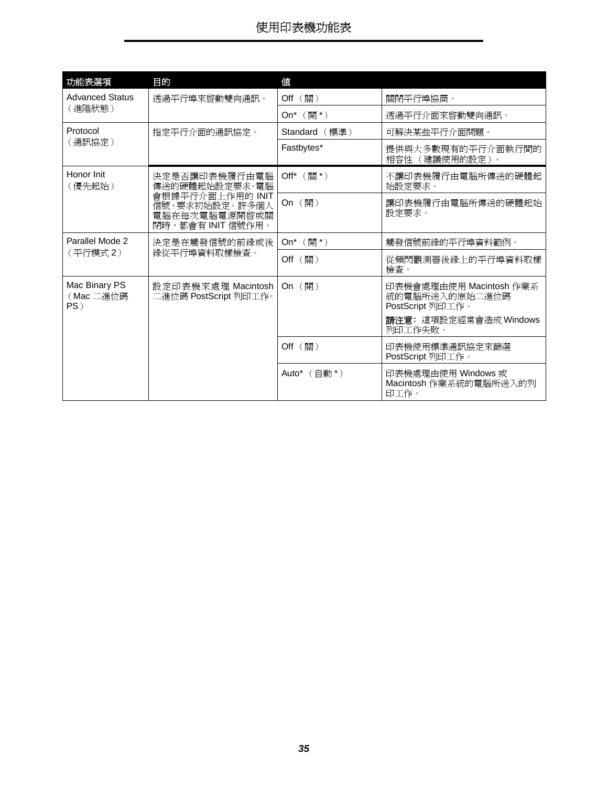<span id="page-34-4"></span><span id="page-34-3"></span><span id="page-34-2"></span><span id="page-34-1"></span><span id="page-34-0"></span>

| 功能表選項                                | 目的                                                                       | 値                                 |                                                               |
|--------------------------------------|--------------------------------------------------------------------------|-----------------------------------|---------------------------------------------------------------|
| <b>Advanced Status</b>               | 透過平行埠來啓動雙向通訊。                                                            | Off (關)                           | 關閉平行埠協商。                                                      |
| (進階狀態)                               |                                                                          | On* $(\boxplus^*)$                | 透過平行介面來啓動雙向通訊。                                                |
| Protocol                             | 指定平行介面的通訊協定。                                                             | Standard (標準)                     | 可解決某些平行介面問題。                                                  |
| (通訊協定)                               |                                                                          | Fastbytes*                        | 提供與大多數現有的平行介面執行間的<br>相容性 (建議使用的設定)。                           |
| Honor Init<br>(優先起始)                 | 決定是否讓印表機履行由電腦<br>傳送的硬體起始設定要求。電腦                                          | Off* (關*)                         | 不讓印表機履行由電腦所傳送的硬體起<br>始設定要求。                                   |
|                                      | 會根據平行介面上作用的 INIT<br>信號,要求初始設定。許多個人<br>電腦在每次電腦電源開啓或關<br>閉時,都會有 INIT 信號作用。 | On (開)                            | 讓印表機履行由電腦所傳送的硬體起始<br>設定要求。                                    |
| Parallel Mode 2                      | 決定是在觸發信號的前緣或後<br>緣從平行埠資料取樣檢杳。                                            | On <sup>*</sup> $(\frac{m}{2})^*$ | 觸發信號前緣的平行埠資料範例。                                               |
| (平行模式2)                              |                                                                          | Off (關)                           | 從頻閃觀測器後緣上的平行埠資料取樣<br>檢查。                                      |
| Mac Binary PS<br>(Mac 二進位碼<br>$PS$ ) | 設定印表機來處理 Macintosh<br>二進位碼 PostScript 列印工作。                              | On (開)                            | 印表機會處理由使用 Macintosh 作業系<br>統的電腦所送入的原始二進位碼<br>PostScript 列印工作。 |
|                                      |                                                                          |                                   | 請注意: 這項設定經常會造成 Windows<br>列印工作失敗。                             |
|                                      |                                                                          | Off (關)                           | 印表機使用標準通訊協定來篩選<br>PostScript 列印工作。                            |
|                                      |                                                                          | Auto* $($ 白動 * $)$                | 印表機處理由使用 Windows 或<br>Macintosh 作業系統的電腦所送入的列<br>印工作。          |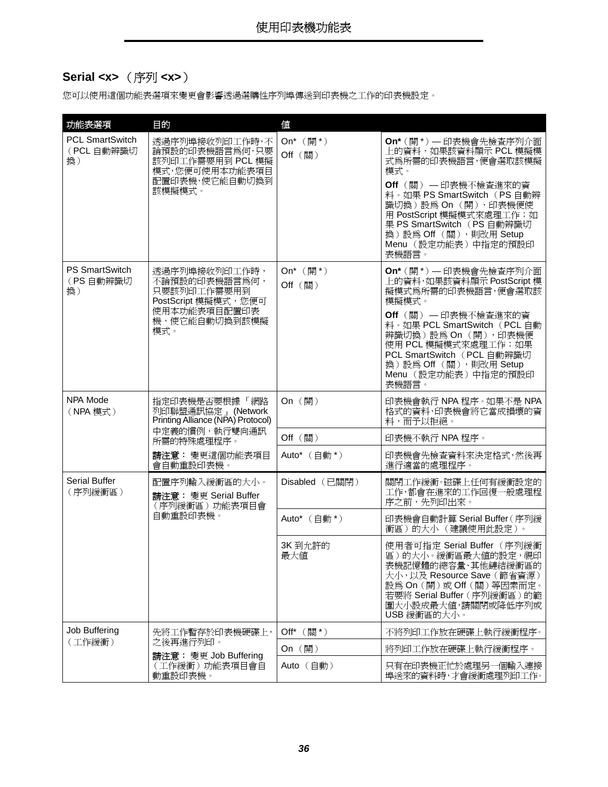### <span id="page-35-5"></span><span id="page-35-0"></span>**Serial <x>** (序列 **<x>**)

您可以使用這個功能表選項來變更會影響透過選購性序列埠傳送到印表機之工作的印表機設定。

<span id="page-35-6"></span><span id="page-35-4"></span><span id="page-35-3"></span><span id="page-35-2"></span><span id="page-35-1"></span>

| 功能表選項                                      | 目的                                                                                                           | 値                                            |                                                                                                                                                                                                                                                                                  |
|--------------------------------------------|--------------------------------------------------------------------------------------------------------------|----------------------------------------------|----------------------------------------------------------------------------------------------------------------------------------------------------------------------------------------------------------------------------------------------------------------------------------|
| <b>PCL SmartSwitch</b><br>(PCL 自動辨識切<br>換) | 透過序列埠接收列印工作時,不<br>論預設的印表機語言為何,只要<br>該列印工作需要用到 PCL 模擬<br>模式,您便可使用本功能表項目<br>配置印表機,使它能自動切換到<br>該模擬模式。           | On* $(\overline{\mathbb{H}}^*)$<br>Off (關)   | On*(開*) 一印表機會先檢查序列介面<br>上的資料,如果該資料顯示 PCL 模擬模<br>式爲所需的印表機語言,便會選取該模擬<br>模式。<br><b>Off</b> (關) — 印表機不檢查進來的資<br>料。如果 PS SmartSwitch (PS 自動辨<br>識切換)設為On (開),印表機便使<br>用 PostScript 模擬模式來處理工作;如<br>果 PS SmartSwitch (PS 自動辨識切<br>換)設為Off (關),則改用 Setup<br>Menu (設定功能表)中指定的預設印<br>表機語言。 |
| <b>PS SmartSwitch</b><br>(PS 自動辨識切<br>換)   | 透過序列埠接收列印工作時,<br>不論預設的印表機語言爲何,<br>只要該列印工作需要用到<br>PostScript 模擬模式,您便可<br>使用本功能表項目配置印表<br>機,使它能自動切換到該模擬<br>模式。 | On <sup>*</sup> $(\frac{m}{2})^*$<br>Off (關) | On*(開*) 一印表機會先檢查序列介面<br>上的資料,如果該資料顯示 PostScript 模<br>擬模式為所需的印表機語言,便會選取該<br>模擬模式。<br>Off (關) - 印表機不檢查進來的資<br>料。如果 PCL SmartSwitch (PCL 自動<br>辨識切換)設為On (開),印表機便<br>使用 PCL 模擬模式來處理工作; 如果<br>PCL SmartSwitch (PCL 自動辨識切<br>換)設為 Off (關),則改用 Setup<br>Menu (設定功能表)中指定的預設印<br>表機語言。   |
| NPA Mode<br>(NPA 模式)                       | 指定印表機是否要根據 「網路<br>列印聯盟通訊協定」(Network<br>Printing Alliance (NPA) Protocol)                                     | On (開)                                       | 印表機會執行 NPA 程序。如果不是 NPA<br>格式的資料,印表機會將它當成損壞的資<br>料,而予以拒絕。                                                                                                                                                                                                                         |
|                                            | 中定義的慣例,執行雙向通訊<br>所需的特殊處理程序。                                                                                  | Off (關)                                      | 印表機不執行 NPA 程序。                                                                                                                                                                                                                                                                   |
|                                            | 請注意:變更這個功能表項目<br>會自動重設印表機。                                                                                   | Auto* (自動*)                                  | 印表機會先檢查資料來決定格式,然後再<br>進行適當的處理程序。                                                                                                                                                                                                                                                 |
| <b>Serial Buffer</b><br>(序列緩衝區)            | 配置序列輸入緩衝區的大小。<br>請注意: 變更 Serial Buffer<br>(序列緩衝區)功能表項目會<br>自動重設印表機。                                          | Disabled (已關閉)                               | 關閉工作緩衝。磁碟上任何有緩衝設定的<br>工作,都會在進來的工作回復一般處理程<br>序之前,先列印出來。                                                                                                                                                                                                                           |
|                                            |                                                                                                              | Auto* (自動*)                                  | 印表機會自動計算 Serial Buffer (序列緩<br>衝區)的大小(建議使用此設定)。                                                                                                                                                                                                                                  |
|                                            |                                                                                                              | 3K 到允許的<br>最大値                               | 使用者可指定 Serial Buffer (序列緩衝<br>區)的大小。緩衝區最大值的設定,視印<br>表機記憶體的總容量、其他鏈結緩衝區的<br>大小,以及 Resource Save (節省資源)<br>設為 On (開)或 Off (關)等因素而定。<br>若要將 Serial Buffer (序列緩衝區)的範<br>圍大小設成最大値,請關閉或降低序列或<br>USB 緩衝區的大小。                                                                             |
| Job Buffering                              | 先將工作暫存於印表機硬碟上,                                                                                               | Off* (關*)                                    | 不將列印工作放在硬碟上執行緩衝程序。                                                                                                                                                                                                                                                               |
| (工作緩衝)                                     | 之後再進行列印。<br>請注意: 變更 Job Buffering                                                                            | On (開)                                       | 將列印工作放在硬碟上執行緩衝程序。                                                                                                                                                                                                                                                                |
|                                            | (工作緩衝)功能表項目會自<br>動重設印表機。                                                                                     | Auto (自動)                                    | 只有在印表機正忙於處理另一個輸入連接<br>埠送來的資料時,才會緩衝處理列印工作。                                                                                                                                                                                                                                        |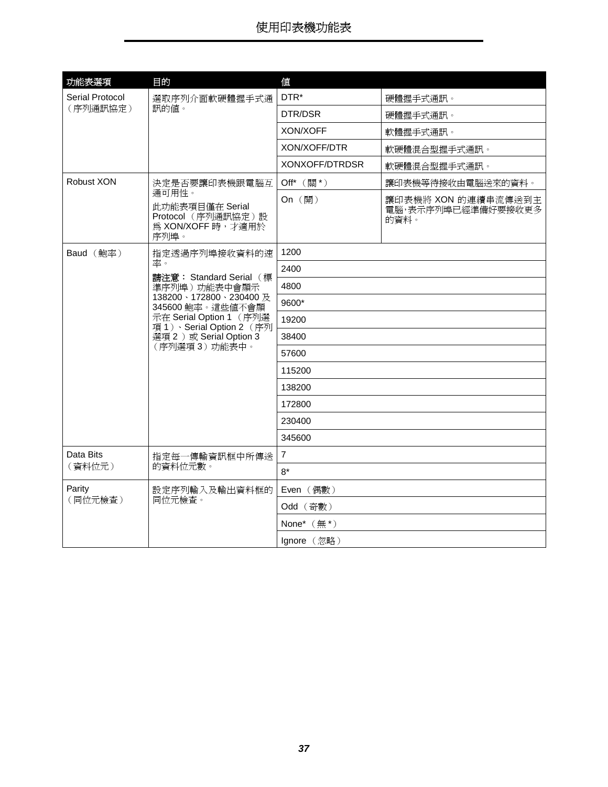<span id="page-36-4"></span><span id="page-36-3"></span><span id="page-36-2"></span><span id="page-36-1"></span><span id="page-36-0"></span>

| 功能表選項<br>Serial Protocol | 目的                                                                                                                                                                                              | 値<br>DTR*       |                                                   |
|--------------------------|-------------------------------------------------------------------------------------------------------------------------------------------------------------------------------------------------|-----------------|---------------------------------------------------|
| (序列通訊協定)                 | 選取序列介面軟硬體握手式通<br>訊的値。                                                                                                                                                                           |                 | 硬體握手式通訊。                                          |
|                          |                                                                                                                                                                                                 | DTR/DSR         | 硬體握手式通訊。                                          |
|                          |                                                                                                                                                                                                 | <b>XON/XOFF</b> | 軟體握手式通訊。                                          |
|                          |                                                                                                                                                                                                 | XON/XOFF/DTR    | 軟硬體混合型握手式通訊。                                      |
|                          |                                                                                                                                                                                                 | XONXOFF/DTRDSR  | 軟硬體混合型握手式通訊。                                      |
| Robust XON               | 決定是否要讓印表機跟電腦互                                                                                                                                                                                   | Off* (關*)       | 讓印表機等待接收由電腦送來的資料。                                 |
|                          | 通可用性。<br>此功能表項目僅在 Serial<br>Protocol (序列通訊協定)設<br>為 XON/XOFF 時,才適用於<br>序列埠。                                                                                                                     | On (開)          | 讓印表機將 XON 的連續串流傳送到主<br>電腦,表示序列埠已經準備好要接收更多<br>的資料。 |
| Baud (鮑率)                | 指定透過序列埠接收資料的速<br>率。<br>請注意: Standard Serial (標<br>準序列埠)功能表中會顯示<br>138200、172800、230400及<br>345600 鮑率。這些值不會顯<br>示在 Serial Option 1 (序列選<br>項1) · Serial Option 2 (序列<br>選項 2 ) 或 Serial Option 3 | 1200            |                                                   |
|                          |                                                                                                                                                                                                 | 2400            |                                                   |
|                          |                                                                                                                                                                                                 | 4800            |                                                   |
|                          |                                                                                                                                                                                                 | 9600*           |                                                   |
|                          |                                                                                                                                                                                                 | 19200           |                                                   |
|                          |                                                                                                                                                                                                 | 38400           |                                                   |
|                          | (序列選項3)功能表中。                                                                                                                                                                                    | 57600           |                                                   |
|                          |                                                                                                                                                                                                 | 115200          |                                                   |
|                          |                                                                                                                                                                                                 | 138200          |                                                   |
|                          |                                                                                                                                                                                                 | 172800          |                                                   |
|                          |                                                                                                                                                                                                 | 230400          |                                                   |
|                          |                                                                                                                                                                                                 | 345600          |                                                   |
| Data Bits                | 指定每一傳輸資訊框中所傳送                                                                                                                                                                                   | $\overline{7}$  |                                                   |
| (資料位元)                   | 的資料位元數。                                                                                                                                                                                         | $8*$            |                                                   |
| Parity                   | 設定序列輸入及輸出資料框的                                                                                                                                                                                   | Even (偶數)       |                                                   |
| (同位元檢查)                  | 同位元檢查。                                                                                                                                                                                          | Odd (奇數)        |                                                   |
|                          |                                                                                                                                                                                                 | None* $(\#^*)$  |                                                   |
|                          |                                                                                                                                                                                                 | Ignore (忽略)     |                                                   |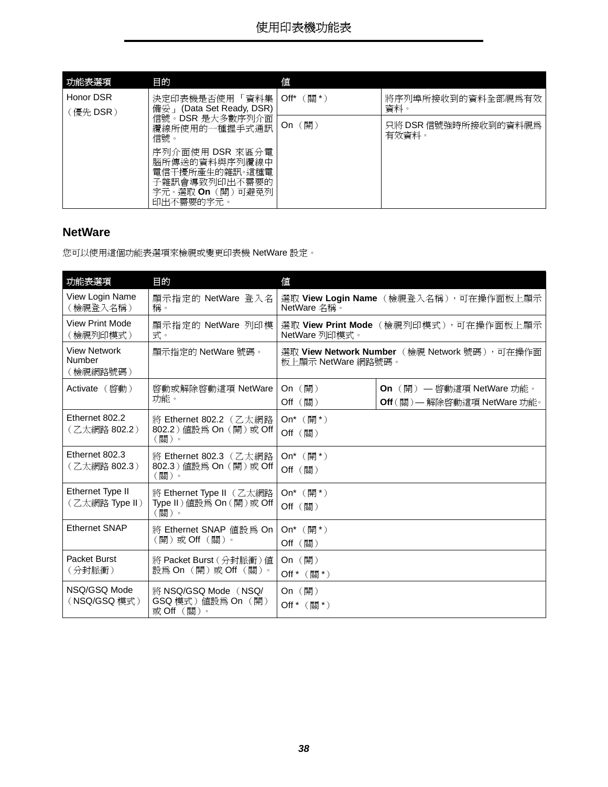<span id="page-37-6"></span>

| 功能表選項     | 目的                                                                                                  | 値                 |                               |
|-----------|-----------------------------------------------------------------------------------------------------|-------------------|-------------------------------|
| Honor DSR | 決定印表機是否使用 「 資料集                                                                                     | (關*)<br>$Off^*$   | 將序列埠所接收到的資料全部視爲有效<br>資料。      |
| 〔優先 DSR ) | (Data Set Ready, DSR)<br>備妥」<br>信號。DSR 是大多數序列介面<br>纜線所使用的一種握手式通訊<br>信號。                             | On $(\mathbb{H})$ | 只將 DSR 信號強時所接收到的資料視爲<br>有效資料。 |
|           | 序列介面使用 DSR 來區分電<br>腦所傳送的資料與序列纜線中<br>電信干擾所產生的雜訊。這種電<br>子雜訊會導致列印出不需要的<br>字元。選取 On(開)可避免列<br>印出不需要的字元。 |                   |                               |

#### <span id="page-37-7"></span><span id="page-37-0"></span>**NetWare**

您可以使用這個功能表選項來檢視或變更印表機 NetWare 設定。

<span id="page-37-12"></span><span id="page-37-11"></span><span id="page-37-10"></span><span id="page-37-9"></span><span id="page-37-8"></span><span id="page-37-5"></span><span id="page-37-4"></span><span id="page-37-3"></span><span id="page-37-2"></span><span id="page-37-1"></span>

| 功能表選項                                     | 目的                                                           | 値                                                      |                                                                  |
|-------------------------------------------|--------------------------------------------------------------|--------------------------------------------------------|------------------------------------------------------------------|
| View Login Name<br>(檢視登入名稱)               | 顯示指定的 NetWare 登入名<br>稱。                                      | 選取 View Login Name (檢視登入名稱), 可在操作面板上顯示<br>NetWare 名稱。  |                                                                  |
| <b>View Print Mode</b><br>(檢視列印模式)        | 顯示指定的 NetWare 列印模<br>式。                                      | 選取 View Print Mode (檢視列印模式),可在操作面板上顯示<br>NetWare 列印模式。 |                                                                  |
| <b>View Network</b><br>Number<br>(檢視網路號碼) | 顯示指定的 NetWare 號碼。<br>板上顯示 NetWare 網路號碼。                      |                                                        | 選取 View Network Number (檢視 Network 號碼),可在操作面                     |
| Activate (啓動)                             | 啓動或解除啓動這項 NetWare<br>功能。                                     | On $(\mathbb{H})$<br>Off (關)                           | <b>On</b> (開) — 啓動這項 NetWare 功能。<br>Off (關) — 解除啓動這項 NetWare 功能。 |
| Ethernet 802.2<br>(乙太網路 802.2)            | 將 Ethernet 802.2 (乙太網路<br>802.2) 值設為 On (開) 或 Off<br>(關)。    | On <sup>*</sup> $(\frac{\mathbb{H}^*}{})$<br>Off (關)   |                                                                  |
| Ethernet 802.3<br>(乙太網路 802.3)            | 將 Ethernet 802.3 (乙太網路<br>802.3) 值設為 On (開)或 Off<br>(關)。     | On <sup>*</sup> $(\frac{\mathbb{H}^*}{})$<br>Off (關)   |                                                                  |
| Ethernet Type II<br>(乙太網路 Type II)        | 將 Ethernet Type II (乙太網路<br>Type II) 值設為 On (開)或 Off<br>(關)。 | On <sup>*</sup> $(\frac{m}{2})^*$<br>Off (關)           |                                                                  |
| <b>Ethernet SNAP</b>                      | 將 Ethernet SNAP 值設為 On<br>(開)或 Off (關)。                      | On <sup>*</sup> $(\frac{m}{2})^*$<br>Off (關)           |                                                                  |
| Packet Burst<br>(分封脈衝)                    | 將 Packet Burst (分封脈衝) 値<br>設爲 On(開)或 Off(關)。                 | On $(\mathbb{H})$<br>Off * (關*)                        |                                                                  |
| NSQ/GSQ Mode<br>(NSQ/GSQ 模式)              | 將 NSQ/GSQ Mode (NSQ/<br>GSQ 模式) 值設為 On (開)<br>或Off(關)。       | On $(\mathbb{H})$<br>Off $*$ (關*)                      |                                                                  |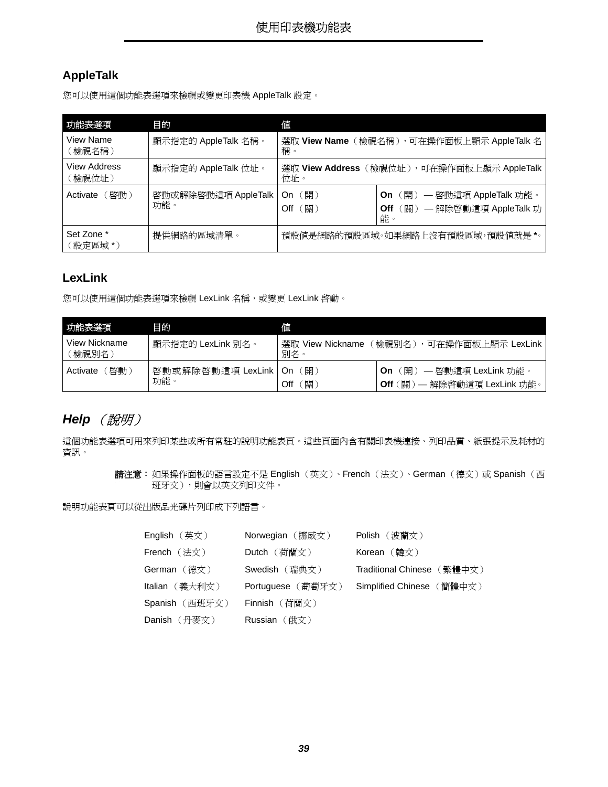### <span id="page-38-5"></span><span id="page-38-1"></span>**AppleTalk**

您可以使用這個功能表選項來檢視或變更印表機 AppleTalk 設定。

<span id="page-38-10"></span><span id="page-38-9"></span><span id="page-38-3"></span>

| 功能表選項                              | 目的                         | 値                                                |                                                                                      |
|------------------------------------|----------------------------|--------------------------------------------------|--------------------------------------------------------------------------------------|
| View Name<br>(檢視名稱)                | 顯示指定的 AppleTalk 名稱。        | 選取 View Name(檢視名稱),可在操作面板上顯示 AppleTalk 名<br>稱。   |                                                                                      |
| <b>View Address</b><br>(檢視位址)      | 顯示指定的 AppleTalk 位址。        | 選取 View Address(檢視位址),可在操作面板上顯示 AppleTalk<br>位址。 |                                                                                      |
| (啓動)<br>Activate                   | 啓動或解除啓動這項 AppleTalk<br>功能。 | 〔開〕<br>On<br>〔關〕<br>Off                          | (開) 一 啓動這項 AppleTalk 功能。<br><b>On</b><br>(關) 一解除啓動這項 AppleTalk 功<br><b>Off</b><br>能。 |
| Set Zone *<br>提供網路的區域清單。<br>設定區域*) |                            |                                                  | 預設値是網路的預設區域。如果網路上沒有預設區域,預設値就是 *。                                                     |

### <span id="page-38-8"></span><span id="page-38-7"></span><span id="page-38-2"></span>**LexLink**

您可以使用這個功能表選項來檢視 LexLink 名稱,或變更 LexLink 啓動。

<span id="page-38-11"></span><span id="page-38-4"></span>

| 功能表選項                    | 目的                       | 値                       |                                                                      |
|--------------------------|--------------------------|-------------------------|----------------------------------------------------------------------|
| View Nickname<br>「檢視別名 ) | 顯示指定的 LexLink 別名。        | 選取 View Nickname<br>別名。 | 椧視別名<br>可在操作面板上顯示 LexLink                                            |
| 啓動<br>Activate           | 啓動或解除啓動這項 LexLink<br>功能。 | 開<br>. On<br>關<br>Off   | 〔開〕<br>— 啓動這項 LexLink 功能。<br>On<br>、關<br>— 解除啓動這項 LexLink 功能。<br>Off |

### <span id="page-38-6"></span><span id="page-38-0"></span>**Help** (說明)

這個功能表選項可用來列印某些或所有常駐的說明功能表頁。這些頁面內含有關印表機連接、列印品質、紙張提示及耗材的 資訊。

> 請注意: 如果操作面板的語言設定不是 English (英文)、French (法文)、German (德文)或 Spanish (西 班牙文),則會以英文列印文件。

說明功能表頁可以從出版品光碟片列印成下列語言。

| <b>English</b> $(\n$ 英 $)$ | Norwegian (挪威文)   | Polish (波蘭文)               |
|----------------------------|-------------------|----------------------------|
| <b>French</b> $($ 法文)      | Dutch (荷蘭文)       |                            |
| German (德文)                | Swedish (瑞典文)     | Traditional Chinese (繁體中文) |
| Italian (義大利文)             | Portuguese (葡萄牙文) | Simplified Chinese (簡體中文)  |
| Spanish (西班牙文)             | Finnish (荷蘭文)     |                            |
| Danish (丹麥文)               | Russian  (俄文)     |                            |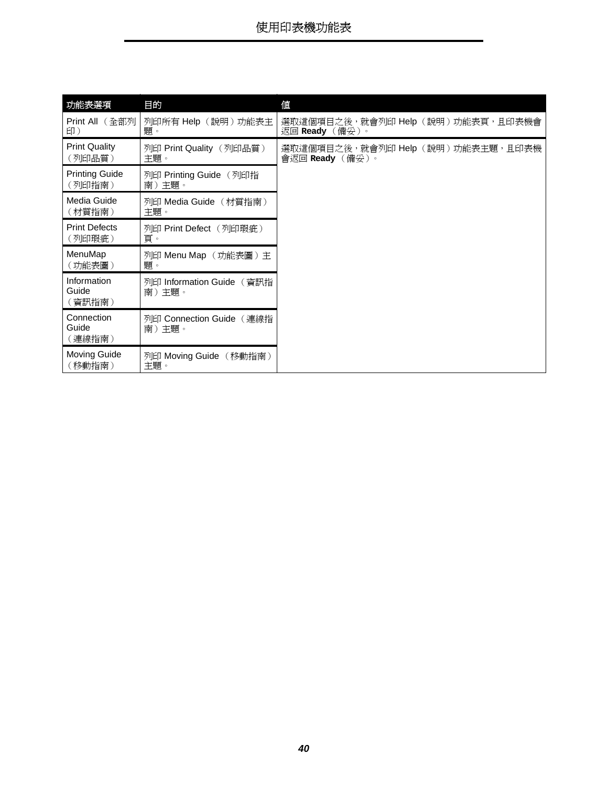<span id="page-39-17"></span><span id="page-39-16"></span><span id="page-39-15"></span><span id="page-39-14"></span><span id="page-39-13"></span><span id="page-39-12"></span><span id="page-39-11"></span><span id="page-39-10"></span><span id="page-39-9"></span><span id="page-39-8"></span><span id="page-39-7"></span><span id="page-39-6"></span><span id="page-39-5"></span><span id="page-39-4"></span><span id="page-39-3"></span><span id="page-39-2"></span><span id="page-39-1"></span><span id="page-39-0"></span>

| 功能表選項                           | 目的                                 | 値                                                   |  |
|---------------------------------|------------------------------------|-----------------------------------------------------|--|
| Print All (全部列<br>印)            | 列印所有 Help(說明)功能表主<br>題。            | 選取這個項目之後,就會列印 Help(說明)功能表頁,且印表機會<br>返回 Ready(備妥)。   |  |
| <b>Print Quality</b><br>(列印品質)  | 列印 Print Quality (列印品質)<br>主題。     | 選取這個項目之後,就會列印 Help(說明)功能表主題,且印表機<br>會返回 Ready (備妥)。 |  |
| <b>Printing Guide</b><br>(列印指南) | 列印 Printing Guide (列印指<br>南)主題。    |                                                     |  |
| Media Guide<br>(材質指南)           | 列印 Media Guide (材質指南)<br>主題。       |                                                     |  |
| <b>Print Defects</b><br>(列印瑕疵)  | 列印 Print Defect (列印瑕疵)<br>頁。       |                                                     |  |
| MenuMap<br>〔功能表圖〕               | 列印 Menu Map (功能表圖)主<br>題。          |                                                     |  |
| Information<br>Guide<br>(資訊指南)  | 列印 Information Guide (資訊指<br>南)主題。 |                                                     |  |
| Connection<br>Guide<br>(連線指南)   | 列印 Connection Guide (連線指<br>南)主題。  |                                                     |  |
| <b>Moving Guide</b><br>(移動指南)   | 列印 Moving Guide (移動指南)<br>主題。      |                                                     |  |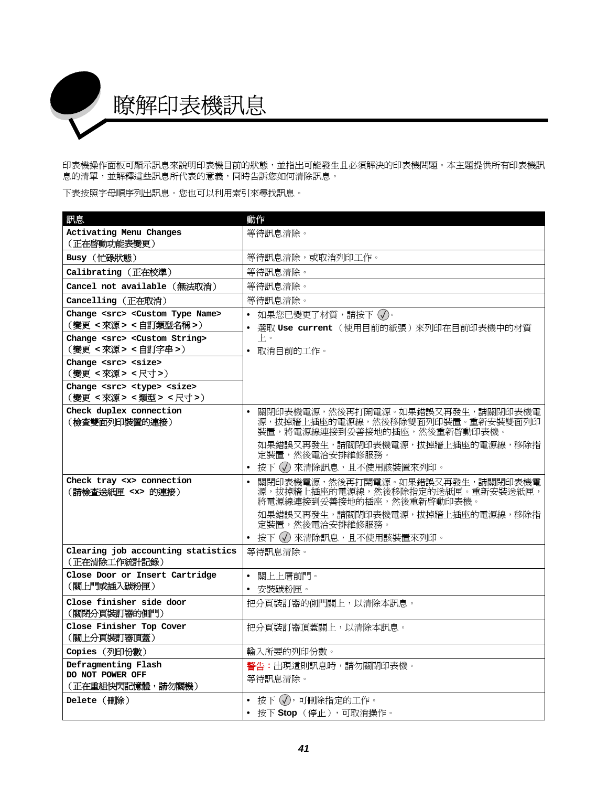<span id="page-40-0"></span>

印表機操作面板可顯示訊息來說明印表機目前的狀態,並指出可能發生且必須解決的印表機問題。本主題提供所有印表機訊 息的清單,並解釋這些訊息所代表的意義,同時告訴您如何清除訊息。

下表按照字母順序列出訊息。您也可以利用索引來尋找訊息。

<span id="page-40-17"></span><span id="page-40-16"></span><span id="page-40-15"></span><span id="page-40-14"></span><span id="page-40-13"></span><span id="page-40-12"></span><span id="page-40-11"></span><span id="page-40-10"></span><span id="page-40-9"></span><span id="page-40-8"></span><span id="page-40-7"></span><span id="page-40-6"></span><span id="page-40-5"></span><span id="page-40-4"></span><span id="page-40-3"></span><span id="page-40-2"></span><span id="page-40-1"></span>

| 訊息                                                                              | 動作                                                                                                                |
|---------------------------------------------------------------------------------|-------------------------------------------------------------------------------------------------------------------|
| Activating Menu Changes                                                         | 等待訊息清除。                                                                                                           |
| (正在啓動功能表變更)                                                                     |                                                                                                                   |
| Busy (忙碌狀態)                                                                     | 等待訊息清除,或取消列印工作。                                                                                                   |
| Calibrating(正在校準)                                                               | 等待訊息清除。                                                                                                           |
| Cancel not available(無法取消)                                                      | 等待訊息清除。                                                                                                           |
| Cancelling(正在取消)                                                                | 等待訊息清除。                                                                                                           |
| Change <src> <custom name="" type=""></custom></src>                            | • 如果您已變更了材質,請按下 ⑦。                                                                                                |
| (變更 <來源 > <自訂類型名稱 >)                                                            | • 選取 Use current (使用目前的紙張)來列印在目前印表機中的材質                                                                           |
| Change <src> <custom string=""><br/>(變更 &lt;來源&gt; &lt;自訂字串&gt;)</custom></src> | $\vdash$ $\circ$<br>• 取消目前的工作。                                                                                    |
| Change <src> <size></size></src>                                                |                                                                                                                   |
| (變更<來源><尺寸>)                                                                    |                                                                                                                   |
| Change <src> <type> <size></size></type></src>                                  |                                                                                                                   |
| (變更 <來源 > <類型 > <尺寸 >)                                                          |                                                                                                                   |
| Check duplex connection<br>(檢查雙面列印裝置的連接)                                        | 關閉印表機電源,然後再打開電源。如果錯誤又再發生,請關閉印表機電<br>$\bullet$<br>源,拔掉牆上插座的電源線,然後移除雙面列印裝置。重新安裝雙面列印<br>裝置,將電源線連接到妥善接地的插座,然後重新啓動印表機。 |
|                                                                                 | 如果錯誤又再發生,請關閉印表機電源,拔掉牆上插座的電源線,移除指<br>定裝置,然後電洽安排維修服務。                                                               |
|                                                                                 | • 按下 (√) 來清除訊息,且不使用該裝置來列印。                                                                                        |
| Check tray <x> connection<br/>(請檢查送紙匣 <x> 的連接)</x></x>                          | 關閉印表機電源,然後再打開電源。如果錯誤又再發生,請關閉印表機電<br>$\bullet$<br>源,拔掉牆上插座的電源線,然後移除指定的送紙匣。重新安裝送紙匣,<br>將電源線連接到妥善接地的插座,然後重新啓動印表機。    |
|                                                                                 | 如果錯誤又再發生,請關閉印表機電源,拔掉牆上插座的電源線,移除指<br>定裝置,然後電洽安排維修服務。                                                               |
|                                                                                 | • 按下 (√) 來清除訊息,且不使用該裝置來列印。                                                                                        |
| Clearing job accounting statistics<br>(正在清除工作統計記錄)                              | 等待訊息清除。                                                                                                           |
| Close Door or Insert Cartridge                                                  | • 關上上層前門。                                                                                                         |
| (關上門或插入碳粉匣)                                                                     | • 安裝碳粉匣。                                                                                                          |
| Close finisher side door<br>(關閉分頁裝訂器的側門)                                        | 把分頁裝訂器的側門關上,以清除本訊息。                                                                                               |
| Close Finisher Top Cover<br>(關上分頁裝訂器頂蓋)                                         | 把分頁裝訂器頂蓋關上,以清除本訊息。                                                                                                |
| Copies (列印份數)                                                                   | 輸入所要的列印份數。                                                                                                        |
| Defragmenting Flash                                                             | 警告:出現這則訊息時,請勿關閉印表機。                                                                                               |
| DO NOT POWER OFF<br>(正在重組快閃記憶體,請勿關機)                                            | 等待訊息清除。                                                                                                           |
| Delete (删除)                                                                     | • 按下 (√),可刪除指定的工作。                                                                                                |
|                                                                                 | • 按下 Stop (停止),可取消操作。                                                                                             |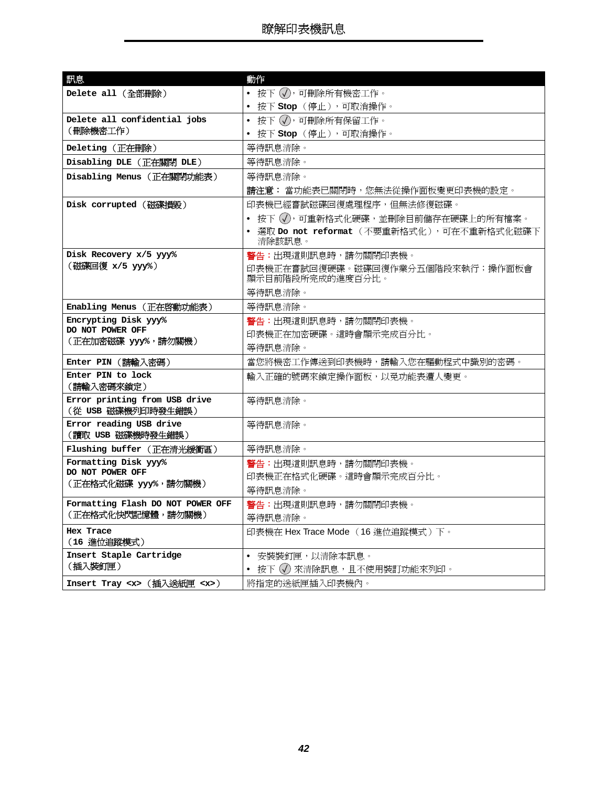<span id="page-41-18"></span><span id="page-41-17"></span><span id="page-41-16"></span><span id="page-41-15"></span><span id="page-41-14"></span><span id="page-41-13"></span><span id="page-41-12"></span><span id="page-41-11"></span><span id="page-41-10"></span><span id="page-41-9"></span><span id="page-41-8"></span><span id="page-41-7"></span><span id="page-41-6"></span><span id="page-41-5"></span><span id="page-41-4"></span><span id="page-41-3"></span><span id="page-41-2"></span><span id="page-41-1"></span><span id="page-41-0"></span>

| 訊息                                                  | 動作                                                   |
|-----------------------------------------------------|------------------------------------------------------|
| Delete all (全部删除)                                   | • 按下 $(\sqrt{2})$ ,可刪除所有機密工作。                        |
|                                                     | • 按下 Stop (停止),可取消操作。                                |
| Delete all confidential jobs                        | • 按下 ⑦, 可刪除所有保留工作。                                   |
| (刪除機密工作)                                            | • 按下 Stop (停止),可取消操作。                                |
| Deleting (正在删除)                                     | 等待訊息清除。                                              |
| Disabling DLE (正在關閉 DLE)                            | 等待訊息清除。                                              |
| Disabling Menus (正在關閉功能表)                           | 等待訊息清除。                                              |
|                                                     | 請注意: 當功能表已關閉時,您無法從操作面板變更印表機的設定。                      |
| Disk corrupted (磁碟損毀)                               | 印表機已經嘗試磁碟回復處理程序,但無法修復磁碟。                             |
|                                                     | • 按下 (√),可重新格式化硬碟,並刪除目前儲存在硬碟上的所有檔案。                  |
|                                                     | • 選取 Do not reformat (不要重新格式化),可在不重新格式化磁碟下<br>清除該訊息。 |
| Disk Recovery x/5 yyy%                              | 警告:出現這則訊息時,請勿關閉印表機。                                  |
| (磁碟回復 x/5 yyy%)                                     | 印表機正在嘗試回復硬碟。磁碟回復作業分五個階段來執行;操作面板會<br>顯示目前階段所完成的進度百分比。 |
|                                                     | 等待訊息清除。                                              |
| Enabling Menus (正在啓動功能表)                            | 等待訊息清除。                                              |
| Encrypting Disk yyy%                                | <b>警告:</b> H現這則訊息時,請勿關閉印表機。                          |
| DO NOT POWER OFF                                    | 印表機正在加密硬碟。這時會顯示完成百分比。                                |
| (正在加密磁碟 yyy%,請勿關機)                                  | 等待訊息清除。                                              |
| Enter PIN (請輸入密碼)                                   | 當您將機密工作傳送到印表機時,請輸入您在驅動程式中識別的密碼。                      |
| Enter PIN to lock                                   | 輸入正確的號碼來鎖定操作面板,以免功能表遭人變更。                            |
| (請輸入密碼來鎖定)                                          |                                                      |
| Error printing from USB drive<br>(從 USB 磁碟機列印時發生錯誤) | 等待訊息清除。                                              |
| Error reading USB drive                             | 等待訊息清除。                                              |
| (讀取 USB 磁碟機時發生錯誤)                                   |                                                      |
| Flushing buffer (正在清光緩衝區)                           | 等待訊息清除。                                              |
| Formatting Disk yyy%                                | 警告:出現這則訊息時,請勿關閉印表機。                                  |
| DO NOT POWER OFF                                    | 印表機正在格式化硬碟。這時會顯示完成百分比。                               |
| (正在格式化磁碟 yyy%,請勿關機)                                 | 等待訊息清除。                                              |
| Formatting Flash DO NOT POWER OFF                   | 警告:出現這則訊息時,請勿關閉印表機。                                  |
| (正在格式化快閃記憶體,請勿關機)                                   | 等待訊息清除。                                              |
| Hex Trace<br>(16 進位追蹤模式)                            | 印表機在 Hex Trace Mode (16 進位追蹤模式)下。                    |
| Insert Staple Cartridge                             | • 安裝裝釘匣,以清除本訊息。                                      |
| (插入裝釘匣)                                             | • 按下 (√) 來清除訊息,且不使用裝訂功能來列印。                          |
| Insert Tray <x> (插入送紙匣 <x>)</x></x>                 | 將指定的送紙匣插入印表機內。                                       |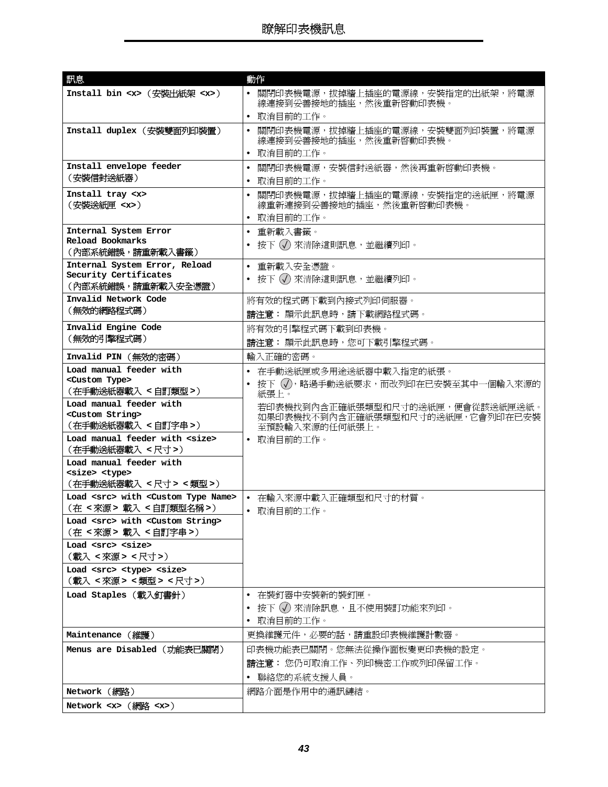<span id="page-42-21"></span><span id="page-42-20"></span><span id="page-42-19"></span><span id="page-42-18"></span><span id="page-42-17"></span><span id="page-42-16"></span><span id="page-42-15"></span><span id="page-42-14"></span><span id="page-42-13"></span><span id="page-42-12"></span><span id="page-42-11"></span><span id="page-42-10"></span><span id="page-42-9"></span><span id="page-42-8"></span><span id="page-42-7"></span><span id="page-42-6"></span><span id="page-42-5"></span><span id="page-42-4"></span><span id="page-42-3"></span><span id="page-42-2"></span><span id="page-42-1"></span><span id="page-42-0"></span>

| 訊息                                                      | 動作                                                                     |
|---------------------------------------------------------|------------------------------------------------------------------------|
| Install bin <x> (安裝出紙架 <x>)</x></x>                     | 關閉印表機電源,拔掉牆上插座的電源線,安裝指定的出紙架,將電源<br>$\bullet$<br>線連接到妥善接地的插座,然後重新啓動印表機。 |
|                                                         | • 取消目前的工作。                                                             |
| Install duplex (安裝雙面列印裝置)                               | 關閉印表機電源,拔掉牆上插座的電源線,安裝雙面列印裝置,將電源<br>$\bullet$<br>線連接到妥善接地的插座,然後重新啓動印表機。 |
|                                                         | 取消目前的工作。<br>$\bullet$                                                  |
| Install envelope feeder                                 | 關閉印表機電源,安裝信封送紙器,然後再重新啓動印表機。<br>$\bullet$                               |
| (安裝信封送紙器)                                               | 取消目前的工作。<br>٠                                                          |
| Install tray <x></x>                                    | 關閉印表機電源,拔掉牆上插座的電源線,安裝指定的送紙匣,將電源<br>$\bullet$                           |
| (安裝送紙匣 <x>)</x>                                         | 線重新連接到妥善接地的插座,然後重新啓動印表機。                                               |
|                                                         | • 取消目前的工作。                                                             |
| Internal System Error<br><b>Reload Bookmarks</b>        | • 重新載入書籤。                                                              |
| (內部系統錯誤,請重新載入書籤)                                        | 按下 (√) 來清除這則訊息,並繼續列印。                                                  |
| Internal System Error, Reload                           | • 重新載入安全憑證。                                                            |
| Security Certificates                                   | • 按下 (√) 來清除這則訊息,並繼續列印。                                                |
| (內部系統錯誤,請重新載入安全憑證)                                      |                                                                        |
| Invalid Network Code<br>(無效的網路程式碼)                      | 將有效的程式碼下載到內接式列印伺服器。                                                    |
|                                                         | 請注意: 顯示此訊息時,請下載網路程式碼。                                                  |
| Invalid Engine Code<br>(無效的引擎程式碼)                       | 將有效的引擎程式碼下載到印表機。                                                       |
|                                                         | 請注意: 顯示此訊息時,您可下載引擎程式碼。                                                 |
| Invalid PIN (無效的密碼)                                     | 輸入正確的密碼。                                                               |
| Load manual feeder with                                 | • 在手動送紙匣或多用途送紙器中載入指定的紙張。                                               |
| <custom type=""><br/>(在手動送紙器載入 &lt;自訂類型&gt;)</custom>   | • 按下 (√),略過手動送紙要求,而改列印在已安裝至其中一個輸入來源的                                   |
| Load manual feeder with                                 | 紙張上。                                                                   |
| <custom string=""></custom>                             | 若印表機找到內含正確紙張類型和尺寸的送紙匣,便會從該送紙匣送紙。<br>如果印表機找不到內含正確紙張類型和尺寸的送紙匣,它會列印在已安裝   |
| (在手動送紙器載入 <自訂字串>)                                       | 至預設輸入來源的任何紙張上。                                                         |
| Load manual feeder with <size></size>                   | • 取消目前的工作。                                                             |
| (在手動送紙器載入 < 尺寸 >)<br>Load manual feeder with            |                                                                        |
| <size> <type></type></size>                             |                                                                        |
| (在手動送紙器載入 <尺寸> <類型>)                                    |                                                                        |
| Load <src> with <custom name="" type=""></custom></src> | • 在輸入來源中載入正確類型和尺寸的材質。                                                  |
| (在 < 來源 > 載入 < 自訂類型名稱 >)                                | • 取消目前的工作。                                                             |
| Load <src> with <custom string=""></custom></src>       |                                                                        |
| (在 <來源 > 載入 <自訂字串 >)<br>Load <src> <size></size></src>  |                                                                        |
| (載入 <來源 > < 尺寸 >)                                       |                                                                        |
| Load <src> <type> <size></size></type></src>            |                                                                        |
| (載入 <來源 > <類型 > <尺寸 >)                                  |                                                                        |
| Load Staples (載入釘書針)                                    | • 在裝釘器中安裝新的裝釘匣。                                                        |
|                                                         | 按下 (√) 來清除訊息,且不使用裝訂功能來列印。                                              |
|                                                         | • 取消目前的工作。                                                             |
| Maintenance (維護)                                        | 更換維護元件,必要的話,請重設印表機維護計數器。                                               |
| Menus are Disabled (功能表已關閉)                             | 印表機功能表已關閉。您無法從操作面板變更印表機的設定。                                            |
|                                                         | 請注意: 您仍可取消工作、列印機密工作或列印保留工作。                                            |
|                                                         | • 聯絡您的系統支援人員。                                                          |
| Network (網路)                                            | 網路介面是作用中的通訊鏈結。                                                         |
| Network $\langle x \rangle$ (網路 $\langle x \rangle$ )   |                                                                        |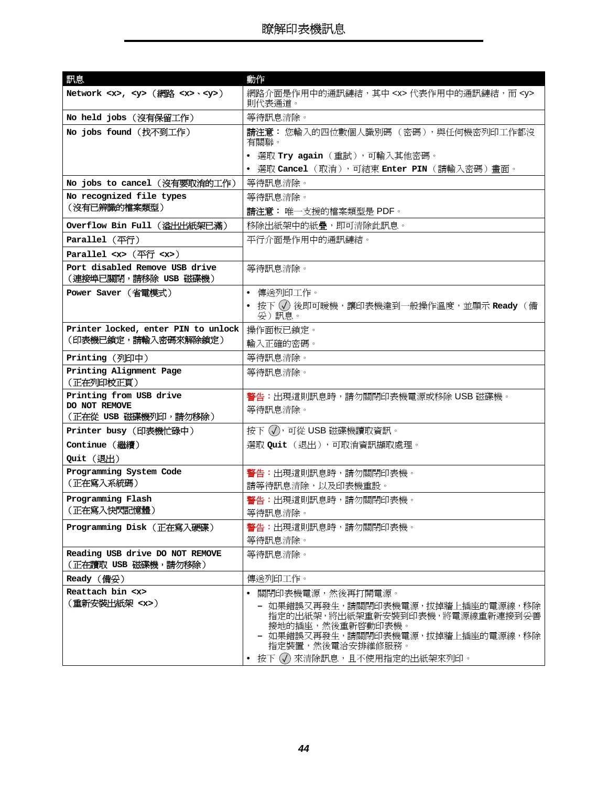<span id="page-43-20"></span><span id="page-43-19"></span><span id="page-43-18"></span><span id="page-43-17"></span><span id="page-43-16"></span><span id="page-43-15"></span><span id="page-43-14"></span><span id="page-43-13"></span><span id="page-43-12"></span><span id="page-43-11"></span><span id="page-43-10"></span><span id="page-43-9"></span><span id="page-43-8"></span><span id="page-43-7"></span><span id="page-43-6"></span><span id="page-43-5"></span><span id="page-43-4"></span><span id="page-43-3"></span><span id="page-43-2"></span><span id="page-43-1"></span><span id="page-43-0"></span>

| 訊息                                                     | 動作                                                                                                                                                                                 |
|--------------------------------------------------------|------------------------------------------------------------------------------------------------------------------------------------------------------------------------------------|
| Network $<\times$ , $<\n y$ (網路 $<\n x$ $<\n y$ $>$ )  | 網路介面是作用中的通訊鏈結,其中 <x> 代表作用中的通訊鏈結,而 <y><br/>則代表通道。</y></x>                                                                                                                           |
| No held jobs(沒有保留工作)                                   | 等待訊息清除。                                                                                                                                                                            |
| No jobs found (找不到工作)                                  | 請注意: 您輸入的四位數個人識別碼( 密碼 ),與任何機密列印工作都沒<br>有關聯。                                                                                                                                        |
|                                                        | • 選取 Try again(重試),可輸入其他密碼。                                                                                                                                                        |
|                                                        | • 選取 Cancel(取消),可結束 Enter PIN(請輸入密碼)畫面。                                                                                                                                            |
| No jobs to cancel (沒有要取消的工作)                           | 等待訊息清除。                                                                                                                                                                            |
| No recognized file types                               | 等待訊息清除。                                                                                                                                                                            |
| (沒有已辨識的檔案類型)                                           | 請注意:唯一支援的檔案類型是 PDF。                                                                                                                                                                |
| Overflow Bin Full (溢出出紙架已滿)                            | 移除出紙架中的紙疊,即可清除此訊息。                                                                                                                                                                 |
| Parallel (平行)                                          | 平行介面是作用中的通訊鏈結。                                                                                                                                                                     |
| Parallel $\infty$ ( $\overline{P}f$ $\infty$ )         |                                                                                                                                                                                    |
| Port disabled Remove USB drive<br>(連接埠已關閉,請移除 USB 磁碟機) | 等待訊息清除。                                                                                                                                                                            |
| Power Saver (省電模式)                                     | • 傳送列印工作。                                                                                                                                                                          |
|                                                        | • 按下 ① 後即可暖機,讓印表機達到一般操作溫度,並顯示 Ready (備<br>妥)訊息。                                                                                                                                    |
| Printer locked, enter PIN to unlock                    | 操作面板已鎖定。                                                                                                                                                                           |
| (印表機已鎖定,請輸入密碼來解除鎖定)                                    | 輸入正確的密碼。                                                                                                                                                                           |
| Printing(列印中)                                          | 等待訊息清除。                                                                                                                                                                            |
| Printing Alignment Page<br>(正在列印校正頁)                   | 等待訊息清除。                                                                                                                                                                            |
| Printing from USB drive                                | 警告:出現這則訊息時,請勿關閉印表機電源或移除 USB 磁碟機。                                                                                                                                                   |
| DO NOT REMOVE<br>(正在從 USB 磁碟機列印,請勿移除)                  | 等待訊息清除。                                                                                                                                                                            |
| Printer busy (印表機忙碌中)                                  | 按下 (√), 可從 USB 磁碟機讀取資訊。                                                                                                                                                            |
| Continue (繼續)                                          | 選取 Quit (退出),可取消資訊擷取處理。                                                                                                                                                            |
| Quit (退出)                                              |                                                                                                                                                                                    |
| Programming System Code                                | 警告:出現這則訊息時,請勿關閉印表機。                                                                                                                                                                |
| (正在寫入系統碼)                                              | 請等待訊息清除,以及印表機重設。                                                                                                                                                                   |
| Programming Flash                                      | <b>警告:</b> 出現這則訊息時,請勿關閉印表機。                                                                                                                                                        |
| (正在寫入快閃記憶體)                                            | 等待訊息清除。                                                                                                                                                                            |
| Programming Disk (正在寫入硬碟)                              | <b>警告:</b> 出現這則訊息時,請勿關閉印表機。                                                                                                                                                        |
|                                                        | 等待訊息清除。                                                                                                                                                                            |
| Reading USB drive DO NOT REMOVE<br>(正在讀取 USB 磁碟機,請勿移除) | 等待訊息清除。                                                                                                                                                                            |
| Ready (備妥)                                             | 傳送列印工作。                                                                                                                                                                            |
| Reattach bin <x></x>                                   | 關閉印表機電源,然後再打開電源。<br>$\bullet$                                                                                                                                                      |
| (重新安裝出紙架 <x>)</x>                                      | - 如果錯誤又再發生,請關閉印表機電源,拔掉牆上插座的電源線,移除<br>指定的出紙架,將出紙架重新安裝到印表機,將電源線重新連接到妥善<br>接地的插座,然後重新啓動印表機。<br>- 如果錯誤又再發生,請關閉印表機電源,拔掉牆上插座的電源線,移除<br>指定裝置,然後電洽安排維修服務。<br>• 按下 (√) 來清除訊息,且不使用指定的出紙架來列印。 |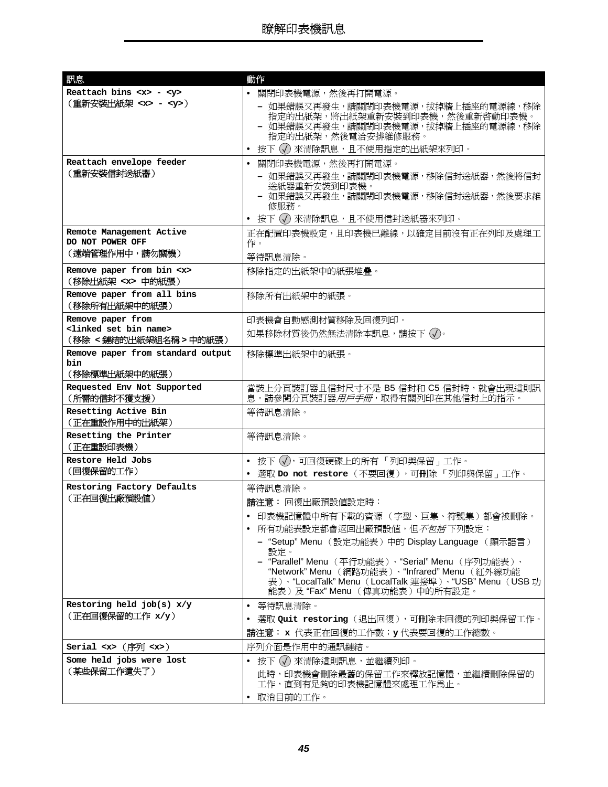<span id="page-44-12"></span><span id="page-44-11"></span><span id="page-44-10"></span><span id="page-44-9"></span><span id="page-44-8"></span><span id="page-44-7"></span><span id="page-44-6"></span><span id="page-44-5"></span><span id="page-44-4"></span><span id="page-44-3"></span><span id="page-44-2"></span><span id="page-44-1"></span><span id="page-44-0"></span>

| 訊息                                                                       | 動作                                                                                                                                                                                          |
|--------------------------------------------------------------------------|---------------------------------------------------------------------------------------------------------------------------------------------------------------------------------------------|
| Reattach bins $< x > - < y >$                                            | • 關閉印表機電源,然後再打開電源。                                                                                                                                                                          |
| (重新安裝出紙架 <x> - <y>)</y></x>                                              | - 如果錯誤又再發生,請關閉印表機電源,拔掉牆上插座的電源線,移除<br>指定的出紙架,將出紙架重新安裝到印表機,然後重新啓動印表機。<br>- 如果錯誤又再發生,請關閉印表機電源,拔掉牆上插座的電源線,移除<br>指定的出紙架,然後電洽安排維修服務。                                                              |
|                                                                          | 按下 (√) 來清除訊息,且不使用指定的出紙架來列印。<br>$\bullet$                                                                                                                                                    |
| Reattach envelope feeder                                                 | • 關閉印表機電源,然後再打開電源。                                                                                                                                                                          |
| (重新安裝信封送紙器)                                                              | - 如果錯誤又再發生,請關閉印表機電源,移除信封送紙器,然後將信封<br>送紙器重新安裝到印表機。<br>- 如果錯誤又再發生,請關閉印表機電源,移除信封送紙器,然後要求維<br>修服務。                                                                                              |
|                                                                          | • 按下 (√) 來清除訊息,且不使用信封送紙器來列印。                                                                                                                                                                |
| Remote Management Active<br>DO NOT POWER OFF                             | 正在配置印表機設定,且印表機已離線,以確定目前沒有正在列印及處理工<br>作。                                                                                                                                                     |
| (遠端管理作用中,請勿關機)                                                           | 等待訊息清除。                                                                                                                                                                                     |
| Remove paper from bin <x></x>                                            | 移除指定的出紙架中的紙張堆疊。                                                                                                                                                                             |
| (移除出紙架 <x> 中的紙張)</x>                                                     |                                                                                                                                                                                             |
| Remove paper from all bins<br>(移除所有出紙架中的紙張)                              | 移除所有出紙架中的紙張。                                                                                                                                                                                |
| Remove paper from                                                        | 印表機會自動感測材質移除及回復列印。                                                                                                                                                                          |
| <linked bin="" name="" set=""><br/>(移除 &lt;鏈結的出紙架組名稱 &gt; 中的紙張)</linked> | 如果移除材質後仍然無法清除本訊息,請按下 (√)。                                                                                                                                                                   |
| Remove paper from standard output<br>bin                                 | 移除標準出紙架中的紙張。                                                                                                                                                                                |
| (移除標準出紙架中的紙張)                                                            |                                                                                                                                                                                             |
| Requested Env Not Supported<br>(所需的信封不獲支援)                               | 當裝上分頁裝訂器且信封尺寸不是 B5 信封和 C5 信封時,就會出現這則訊<br>息。請參閱分頁裝訂器 <i>用戶手冊</i> ,取得有關列印在其他信封上的指示。                                                                                                           |
| Resetting Active Bin<br>(正在重設作用中的出紙架)                                    | 等待訊息清除。                                                                                                                                                                                     |
| Resetting the Printer<br>(正在重設印表機)                                       | 等待訊息清除。                                                                                                                                                                                     |
| Restore Held Jobs                                                        | • 按下 (√),可回復硬碟上的所有 「列印與保留」工作。                                                                                                                                                               |
| (回復保留的工作)                                                                | • 選取 Do not restore (不要回復),可刪除「列印與保留」工作。                                                                                                                                                    |
| Restoring Factory Defaults<br>(正在回復出廠預設値)                                | 等待訊息清除。                                                                                                                                                                                     |
|                                                                          | 請注意: 回復出廠預設値設定時:                                                                                                                                                                            |
|                                                                          | - 印表機記憶體中所有下載的資源( 字型、巨集、符號集 )都會被刪除。                                                                                                                                                         |
|                                                                          | 所有功能表設定都會返回出廠預設値,但 <i>不包括</i> 下列設定:                                                                                                                                                         |
|                                                                          | - "Setup" Menu (設定功能表)中的 Display Language (顯示語言)<br>設定。                                                                                                                                     |
|                                                                          | - "Parallel" Menu (平行功能表)、 "Serial" Menu (序列功能表)、<br>"Network" Menu (網路功能表)、"Infrared" Menu (紅外線功能<br>表)、"LocalTalk" Menu (LocalTalk 連接埠)、"USB" Menu (USB 功<br>能表)及"Fax"Menu (傳真功能表)中的所有設定。 |
| Restoring held $job(s) x/y$                                              | • 等待訊息清除。                                                                                                                                                                                   |
| (正在回復保留的工作 x/y)                                                          | • 選取 Quit restoring (退出回復),可刪除未回復的列印與保留工作。                                                                                                                                                  |
|                                                                          | 請注意: × 代表正在回復的工作數;y 代表要回復的工作總數。                                                                                                                                                             |
| Serial $\langle x \rangle$ (序列 $\langle x \rangle$ )                     | 序列介面是作用中的通訊鏈結。                                                                                                                                                                              |
| Some held jobs were lost                                                 | • 按下 (√) 來清除這則訊息,並繼續列印。                                                                                                                                                                     |
| (某些保留工作遺失了)                                                              | 此時,印表機會刪除最舊的保留工作來釋放記憶體,並繼續刪除保留的<br>工作,直到有足夠的印表機記憶體來處理工作為止。                                                                                                                                  |
|                                                                          | • 取消目前的工作。                                                                                                                                                                                  |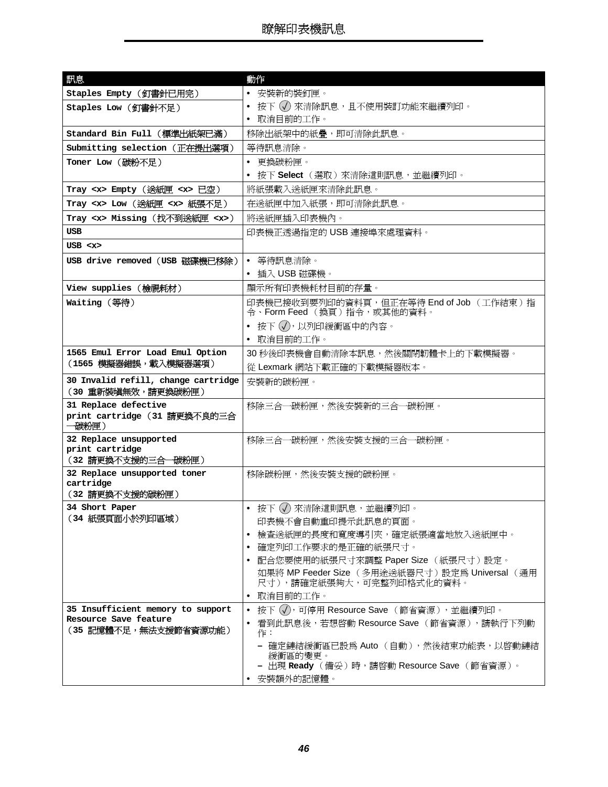<span id="page-45-19"></span><span id="page-45-18"></span><span id="page-45-17"></span><span id="page-45-16"></span><span id="page-45-15"></span><span id="page-45-14"></span><span id="page-45-13"></span><span id="page-45-12"></span><span id="page-45-11"></span><span id="page-45-10"></span><span id="page-45-9"></span><span id="page-45-8"></span><span id="page-45-7"></span><span id="page-45-6"></span><span id="page-45-5"></span><span id="page-45-4"></span><span id="page-45-3"></span><span id="page-45-2"></span><span id="page-45-1"></span><span id="page-45-0"></span>

| Staples Empty (釘書針已用完)<br>• 安裝新的裝釘匣。<br>• 按下 (√) 來清除訊息,且不使用裝訂功能來繼續列印。<br>Staples Low (釘書針不足)<br>• 取消目前的工作。<br>Standard Bin Full (標準出紙架已滿)<br>移除出紙架中的紙疊,即可清除此訊息。<br>Submitting selection (正在提出選項)<br>等待訊息清除。<br>• 更換碳粉匣。<br>Toner Low (碳粉不足)<br>• 按下 Select(選取)來清除這則訊息,並繼續列印。<br>Tray <x> Empty (送紙匣 <x> 已空)<br/>將紙張載入送紙匣來清除此訊息。<br/>Tray <x> Low (送紙匣 <x> 紙張不足)<br/>在送紙匣中加入紙張,即可清除此訊息。<br/>將送紙匣插入印表機內。<br/>Tray <x> Missing (找不到送紙匣 <x>)<br/><b>USB</b><br/>印表機正透過指定的 USB 連接埠來處理資料。<br/>USB &lt; x<br/>• 等待訊息清除。<br/>USB drive removed (USB 磁碟機已移除)<br/>• 插入 USB 磁碟機。<br/>View supplies (檢視耗材)<br/>顯示所有印表機耗材目前的存量。<br/>印表機已接收到要列印的資料頁,但正在等待 End of Job (工作結束)指<br/>Waiting (等待)<br/>令、Form Feed (換頁)指令,或其他的資料。<br/>• 按下 ⑦,以列印緩衝區中的內容。<br/>• 取消目前的工作。<br/>1565 Emul Error Load Emul Option<br/>30 秒後印表機會自動清除本訊息,然後關閉韌體卡上的下載模擬器。<br/>(1565 模擬器錯誤,載入模擬器選項)<br/>從 Lexmark 網站下載正確的下載模擬器版本。<br/>30 Invalid refill, change cartridge<br/>安裝新的碳粉匣。<br/>(30 重新裝塡無效,請更換碳粉匣)<br/>31 Replace defective<br/>移除三合一碳粉匣,然後安裝新的三合一碳粉匣。<br/>print cartridge (31 請更換不良的三合<br/>一碳粉匣)<br/>32 Replace unsupported<br/>移除三合一碳粉匣,然後安裝支援的三合一碳粉匣。<br/>print cartridge<br/>(32 請更換不支援的三合一碳粉匣)<br/>32 Replace unsupported toner<br/>移除碳粉匣,然後安裝支援的碳粉匣。<br/>cartridge<br/>(32 請更換不支援的碳粉匣)<br/>34 Short Paper<br/>● 按下 (√) 來清除這則訊息,並繼續列印。<br/>(34 紙張頁面小於列印區域)<br/>印表機不會自動重印提示此訊息的頁面。<br/>檢查送紙匣的長度和寬度導引夾,確定紙張適當地放入送紙匣中。<br/><math display="inline">\bullet</math><br/>確定列印工作要求的是正確的紙張尺寸。</x></x></x></x></x></x> | 訊息 | 動作                                  |
|----------------------------------------------------------------------------------------------------------------------------------------------------------------------------------------------------------------------------------------------------------------------------------------------------------------------------------------------------------------------------------------------------------------------------------------------------------------------------------------------------------------------------------------------------------------------------------------------------------------------------------------------------------------------------------------------------------------------------------------------------------------------------------------------------------------------------------------------------------------------------------------------------------------------------------------------------------------------------------------------------------------------------------------------------------------------------------------------------------------------------------------------------------------------------------------------------------------------------------------------------------------------------------------------------------------------------------------------------------------------------------------------------------------------------------------------------------------------------------|----|-------------------------------------|
|                                                                                                                                                                                                                                                                                                                                                                                                                                                                                                                                                                                                                                                                                                                                                                                                                                                                                                                                                                                                                                                                                                                                                                                                                                                                                                                                                                                                                                                                                  |    |                                     |
|                                                                                                                                                                                                                                                                                                                                                                                                                                                                                                                                                                                                                                                                                                                                                                                                                                                                                                                                                                                                                                                                                                                                                                                                                                                                                                                                                                                                                                                                                  |    |                                     |
|                                                                                                                                                                                                                                                                                                                                                                                                                                                                                                                                                                                                                                                                                                                                                                                                                                                                                                                                                                                                                                                                                                                                                                                                                                                                                                                                                                                                                                                                                  |    |                                     |
|                                                                                                                                                                                                                                                                                                                                                                                                                                                                                                                                                                                                                                                                                                                                                                                                                                                                                                                                                                                                                                                                                                                                                                                                                                                                                                                                                                                                                                                                                  |    |                                     |
|                                                                                                                                                                                                                                                                                                                                                                                                                                                                                                                                                                                                                                                                                                                                                                                                                                                                                                                                                                                                                                                                                                                                                                                                                                                                                                                                                                                                                                                                                  |    |                                     |
|                                                                                                                                                                                                                                                                                                                                                                                                                                                                                                                                                                                                                                                                                                                                                                                                                                                                                                                                                                                                                                                                                                                                                                                                                                                                                                                                                                                                                                                                                  |    |                                     |
|                                                                                                                                                                                                                                                                                                                                                                                                                                                                                                                                                                                                                                                                                                                                                                                                                                                                                                                                                                                                                                                                                                                                                                                                                                                                                                                                                                                                                                                                                  |    |                                     |
|                                                                                                                                                                                                                                                                                                                                                                                                                                                                                                                                                                                                                                                                                                                                                                                                                                                                                                                                                                                                                                                                                                                                                                                                                                                                                                                                                                                                                                                                                  |    |                                     |
|                                                                                                                                                                                                                                                                                                                                                                                                                                                                                                                                                                                                                                                                                                                                                                                                                                                                                                                                                                                                                                                                                                                                                                                                                                                                                                                                                                                                                                                                                  |    |                                     |
|                                                                                                                                                                                                                                                                                                                                                                                                                                                                                                                                                                                                                                                                                                                                                                                                                                                                                                                                                                                                                                                                                                                                                                                                                                                                                                                                                                                                                                                                                  |    |                                     |
|                                                                                                                                                                                                                                                                                                                                                                                                                                                                                                                                                                                                                                                                                                                                                                                                                                                                                                                                                                                                                                                                                                                                                                                                                                                                                                                                                                                                                                                                                  |    |                                     |
|                                                                                                                                                                                                                                                                                                                                                                                                                                                                                                                                                                                                                                                                                                                                                                                                                                                                                                                                                                                                                                                                                                                                                                                                                                                                                                                                                                                                                                                                                  |    |                                     |
|                                                                                                                                                                                                                                                                                                                                                                                                                                                                                                                                                                                                                                                                                                                                                                                                                                                                                                                                                                                                                                                                                                                                                                                                                                                                                                                                                                                                                                                                                  |    |                                     |
|                                                                                                                                                                                                                                                                                                                                                                                                                                                                                                                                                                                                                                                                                                                                                                                                                                                                                                                                                                                                                                                                                                                                                                                                                                                                                                                                                                                                                                                                                  |    |                                     |
|                                                                                                                                                                                                                                                                                                                                                                                                                                                                                                                                                                                                                                                                                                                                                                                                                                                                                                                                                                                                                                                                                                                                                                                                                                                                                                                                                                                                                                                                                  |    |                                     |
|                                                                                                                                                                                                                                                                                                                                                                                                                                                                                                                                                                                                                                                                                                                                                                                                                                                                                                                                                                                                                                                                                                                                                                                                                                                                                                                                                                                                                                                                                  |    |                                     |
|                                                                                                                                                                                                                                                                                                                                                                                                                                                                                                                                                                                                                                                                                                                                                                                                                                                                                                                                                                                                                                                                                                                                                                                                                                                                                                                                                                                                                                                                                  |    |                                     |
|                                                                                                                                                                                                                                                                                                                                                                                                                                                                                                                                                                                                                                                                                                                                                                                                                                                                                                                                                                                                                                                                                                                                                                                                                                                                                                                                                                                                                                                                                  |    |                                     |
|                                                                                                                                                                                                                                                                                                                                                                                                                                                                                                                                                                                                                                                                                                                                                                                                                                                                                                                                                                                                                                                                                                                                                                                                                                                                                                                                                                                                                                                                                  |    |                                     |
|                                                                                                                                                                                                                                                                                                                                                                                                                                                                                                                                                                                                                                                                                                                                                                                                                                                                                                                                                                                                                                                                                                                                                                                                                                                                                                                                                                                                                                                                                  |    |                                     |
|                                                                                                                                                                                                                                                                                                                                                                                                                                                                                                                                                                                                                                                                                                                                                                                                                                                                                                                                                                                                                                                                                                                                                                                                                                                                                                                                                                                                                                                                                  |    |                                     |
|                                                                                                                                                                                                                                                                                                                                                                                                                                                                                                                                                                                                                                                                                                                                                                                                                                                                                                                                                                                                                                                                                                                                                                                                                                                                                                                                                                                                                                                                                  |    |                                     |
|                                                                                                                                                                                                                                                                                                                                                                                                                                                                                                                                                                                                                                                                                                                                                                                                                                                                                                                                                                                                                                                                                                                                                                                                                                                                                                                                                                                                                                                                                  |    |                                     |
|                                                                                                                                                                                                                                                                                                                                                                                                                                                                                                                                                                                                                                                                                                                                                                                                                                                                                                                                                                                                                                                                                                                                                                                                                                                                                                                                                                                                                                                                                  |    |                                     |
|                                                                                                                                                                                                                                                                                                                                                                                                                                                                                                                                                                                                                                                                                                                                                                                                                                                                                                                                                                                                                                                                                                                                                                                                                                                                                                                                                                                                                                                                                  |    |                                     |
|                                                                                                                                                                                                                                                                                                                                                                                                                                                                                                                                                                                                                                                                                                                                                                                                                                                                                                                                                                                                                                                                                                                                                                                                                                                                                                                                                                                                                                                                                  |    |                                     |
|                                                                                                                                                                                                                                                                                                                                                                                                                                                                                                                                                                                                                                                                                                                                                                                                                                                                                                                                                                                                                                                                                                                                                                                                                                                                                                                                                                                                                                                                                  |    |                                     |
|                                                                                                                                                                                                                                                                                                                                                                                                                                                                                                                                                                                                                                                                                                                                                                                                                                                                                                                                                                                                                                                                                                                                                                                                                                                                                                                                                                                                                                                                                  |    |                                     |
|                                                                                                                                                                                                                                                                                                                                                                                                                                                                                                                                                                                                                                                                                                                                                                                                                                                                                                                                                                                                                                                                                                                                                                                                                                                                                                                                                                                                                                                                                  |    |                                     |
|                                                                                                                                                                                                                                                                                                                                                                                                                                                                                                                                                                                                                                                                                                                                                                                                                                                                                                                                                                                                                                                                                                                                                                                                                                                                                                                                                                                                                                                                                  |    |                                     |
|                                                                                                                                                                                                                                                                                                                                                                                                                                                                                                                                                                                                                                                                                                                                                                                                                                                                                                                                                                                                                                                                                                                                                                                                                                                                                                                                                                                                                                                                                  |    |                                     |
|                                                                                                                                                                                                                                                                                                                                                                                                                                                                                                                                                                                                                                                                                                                                                                                                                                                                                                                                                                                                                                                                                                                                                                                                                                                                                                                                                                                                                                                                                  |    | 配合您要使用的紙張尺寸來調整 Paper Size (紙張尺寸)設定。 |
| 如果將 MP Feeder Size (多用途送紙器尺寸)設定為 Universal (通用<br>尺寸),請確定紙張夠大,可完整列印格式化的資料。                                                                                                                                                                                                                                                                                                                                                                                                                                                                                                                                                                                                                                                                                                                                                                                                                                                                                                                                                                                                                                                                                                                                                                                                                                                                                                                                                                                                       |    |                                     |
| 取消目前的工作。<br>$\bullet$                                                                                                                                                                                                                                                                                                                                                                                                                                                                                                                                                                                                                                                                                                                                                                                                                                                                                                                                                                                                                                                                                                                                                                                                                                                                                                                                                                                                                                                            |    |                                     |
| 35 Insufficient memory to support<br>• 按下 (√),可停用 Resource Save (節省資源),並繼續列印。                                                                                                                                                                                                                                                                                                                                                                                                                                                                                                                                                                                                                                                                                                                                                                                                                                                                                                                                                                                                                                                                                                                                                                                                                                                                                                                                                                                                    |    |                                     |
| Resource Save feature<br>看到此訊息後,若想啓動 Resource Save (節省資源),請執行下列動                                                                                                                                                                                                                                                                                                                                                                                                                                                                                                                                                                                                                                                                                                                                                                                                                                                                                                                                                                                                                                                                                                                                                                                                                                                                                                                                                                                                                 |    |                                     |
| (35 記憶體不足,無法支援節省資源功能)<br>作:                                                                                                                                                                                                                                                                                                                                                                                                                                                                                                                                                                                                                                                                                                                                                                                                                                                                                                                                                                                                                                                                                                                                                                                                                                                                                                                                                                                                                                                      |    |                                     |
| - 確定鏈結緩衝區已設爲 Auto (自動),然後結束功能表,以啓動鏈結<br>緩衝區的變更。<br>- 出現 Ready(備妥)時,請啓動 Resource Save(節省資源)。                                                                                                                                                                                                                                                                                                                                                                                                                                                                                                                                                                                                                                                                                                                                                                                                                                                                                                                                                                                                                                                                                                                                                                                                                                                                                                                                                                                      |    |                                     |
| 安裝額外的記憶體。                                                                                                                                                                                                                                                                                                                                                                                                                                                                                                                                                                                                                                                                                                                                                                                                                                                                                                                                                                                                                                                                                                                                                                                                                                                                                                                                                                                                                                                                        |    |                                     |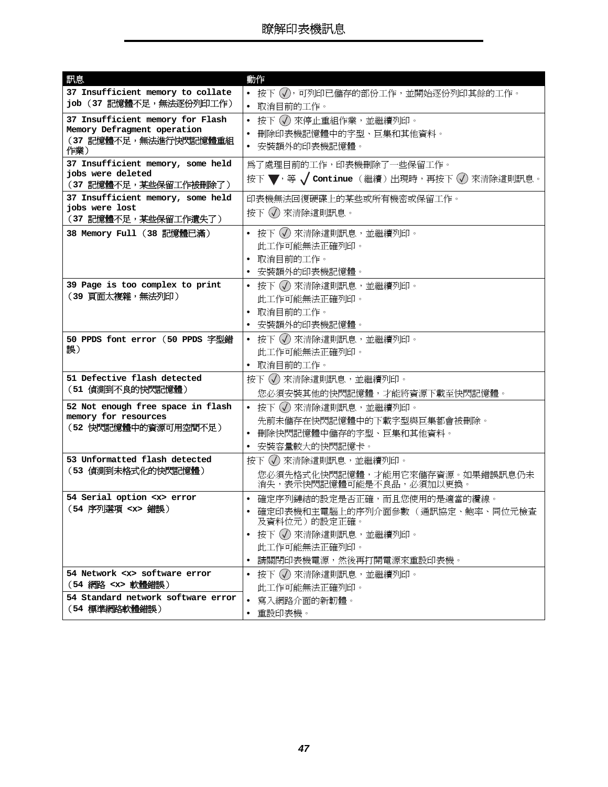<span id="page-46-11"></span><span id="page-46-10"></span><span id="page-46-9"></span><span id="page-46-8"></span><span id="page-46-7"></span><span id="page-46-6"></span><span id="page-46-5"></span><span id="page-46-4"></span><span id="page-46-3"></span><span id="page-46-2"></span><span id="page-46-1"></span><span id="page-46-0"></span>

| 訊息                                                         | 動作                                                          |
|------------------------------------------------------------|-------------------------------------------------------------|
| 37 Insufficient memory to collate                          | ● 按下 (√),可列印已儲存的部份工作,並開始逐份列印其餘的工作。                          |
| job (37 記憶體不足,無法逐份列印工作)                                    | • 取消目前的工作。                                                  |
| 37 Insufficient memory for Flash                           | • 按下 (√) 來停止重組作業,並繼續列印。                                     |
| Memory Defragment operation                                | 刪除印表機記憶體中的字型、巨集和其他資料。                                       |
| (37 記憶體不足,無法進行快閃記憶體重組<br>作業)                               | 安裝額外的印表機記憶體。                                                |
| 37 Insufficient memory, some held                          | 爲了處理目前的工作,印表機刪除了一些保留工作。                                     |
| iobs were deleted<br>(37 記憶體不足,某些保留工作被刪除了)                 | 按下 ▼, 等 √ continue (繼續) 出現時, 再按下 √) 來清除這則訊息。                |
| 37 Insufficient memory, some held                          | 印表機無法回復硬碟上的某些或所有機密或保留工作。                                    |
| jobs were lost                                             | 按下 (√) 來清除這則訊息。                                             |
| (37 記憶體不足,某些保留工作遺失了)                                       |                                                             |
| 38 Memory Full (38 記憶體已滿)                                  | ● 按下 (√) 來清除這則訊息,並繼續列印。                                     |
|                                                            | 此工作可能無法正確列印。                                                |
|                                                            | 取消目前的工作。                                                    |
|                                                            | • 安裝額外的印表機記憶體。                                              |
| 39 Page is too complex to print                            | • 按下 (√) 來清除這則訊息,並繼續列印。                                     |
| (39 頁面太複雜,無法列印)                                            | 此工作可能無法正確列印。                                                |
|                                                            | • 取消目前的工作。                                                  |
|                                                            | 安裝額外的印表機記憶體。                                                |
| 50 PPDS font error (50 PPDS 字型錯<br>誤)                      | • 按下 (√) 來清除這則訊息,並繼續列印。                                     |
|                                                            | 此工作可能無法正確列印。                                                |
|                                                            | • 取消目前的工作。                                                  |
| 51 Defective flash detected<br>(51 偵測到不良的快閃記憶體)            | 按下 (√) 來清除這則訊息,並繼續列印。                                       |
|                                                            | 您必須安裝其他的快閃記憶體,才能將資源下載至快閃記憶體。                                |
| 52 Not enough free space in flash<br>memory for resources  | ● 按下 (√) 來清除這則訊息,並繼續列印。                                     |
| (52 快閃記憶體中的資源可用空間不足)                                       | 先前未儲存在快閃記憶體中的下載字型與巨集都會被刪除。                                  |
|                                                            | 刪除快閃記憶體中儲存的字型、巨集和其他資料。<br>$\bullet$                         |
|                                                            | 安裝容量較大的快閃記憶卡。<br>$\bullet$                                  |
| 53 Unformatted flash detected<br>(53 偵測到未格式化的快閃記憶體)        | 按下 (√) 來清除這則訊息,並繼續列印。                                       |
|                                                            | 您必須先格式化快閃記憶體,才能用它來儲存資源。如果錯誤訊息仍未<br>消失,表示快閃記憶體可能是不良品,必須加以更換。 |
| 54 Serial option <x> error</x>                             | • 確定序列鏈結的設定是否正確,而且您使用的是適當的纜線。                               |
| (54 序列選項 <x> 錯誤)</x>                                       | • 確定印表機和主電腦上的序列介面參數(通訊協定、鮑率、同位元檢查                           |
|                                                            | 及資料位元)的設定正確。                                                |
|                                                            | - 按下 (√) 來清除這則訊息,並繼續列印。<br>$\bullet$                        |
|                                                            | 此工作可能無法正確列印。                                                |
|                                                            | • 請關閉印表機電源,然後再打開電源來重設印表機。                                   |
| 54 Network <x> software error<br/>(54 網路 <x> 軟體錯誤)</x></x> | • 按下 (√) 來清除這則訊息,並繼續列印。                                     |
| 54 Standard network software error                         | 此工作可能無法正確列印。                                                |
| (54 標準網路軟體錯誤)                                              | 寫入網路介面的新韌體。<br>$\bullet$                                    |
|                                                            | • 重設印表機。                                                    |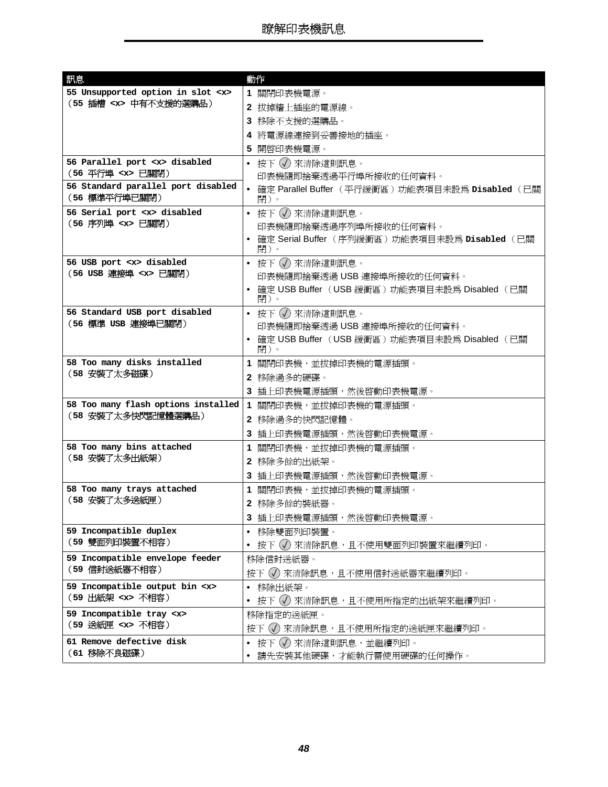<span id="page-47-13"></span><span id="page-47-12"></span><span id="page-47-11"></span><span id="page-47-10"></span><span id="page-47-9"></span><span id="page-47-8"></span><span id="page-47-7"></span><span id="page-47-6"></span><span id="page-47-5"></span><span id="page-47-4"></span><span id="page-47-3"></span><span id="page-47-2"></span><span id="page-47-1"></span><span id="page-47-0"></span>

| 訊息                                                  | 動作                                                        |
|-----------------------------------------------------|-----------------------------------------------------------|
| 55 Unsupported option in slot <x></x>               | 1 關閉印表機電源。                                                |
| (55 插槽 <x> 中有不支援的選購品)</x>                           | 2 拔掉牆上插座的電源線。                                             |
|                                                     | 3 移除不支援的選購品。                                              |
|                                                     | 4 將電源線連接到妥善接地的插座。                                         |
|                                                     | 5 開啓印表機電源。                                                |
| 56 Parallel port <x> disabled</x>                   | • 按下 (√) 來清除這則訊息。                                         |
| (56 平行埠 <x> 已關閉)</x>                                | 印表機隨即捨棄透過平行埠所接收的任何資料。                                     |
| 56 Standard parallel port disabled<br>(56 標準平行埠已關閉) | • 確定 Parallel Buffer (平行緩衝區) 功能表項目未設為 Disabled (已關<br>閉)。 |
| 56 Serial port <x> disabled</x>                     | • 按下 (√) 來清除這則訊息。                                         |
| (56 序列埠 <x> 已關閉)</x>                                | 印表機隨即捨棄透過序列埠所接收的任何資料。                                     |
|                                                     | • 確定 Serial Buffer (序列緩衝區) 功能表項目未設為 Disabled (已關<br>閉)。   |
| 56 USB port <x> disabled</x>                        | • 按下 (√) 來清除這則訊息。                                         |
| (56 USB 連接埠 <x> 已關閉)</x>                            | 印表機隨即捨棄透過 USB 連接埠所接收的任何資料。                                |
|                                                     | • 確定 USB Buffer (USB 緩衝區) 功能表項目未設為 Disabled (已關<br>閉)。    |
| 56 Standard USB port disabled                       | • 按下 (√) 來清除這則訊息。                                         |
| (56 標準 USB 連接埠已關閉)                                  | 印表機隨即捨棄透過 USB 連接埠所接收的任何資料。                                |
|                                                     | • 確定 USB Buffer (USB 緩衝區) 功能表項目未設為 Disabled (已關<br>閉)。    |
| 58 Too many disks installed                         | 1 關閉印表機,並拔掉印表機的電源插頭。                                      |
| (58 安裝了太多磁碟)                                        | 2 移除過多的硬碟。                                                |
|                                                     | 3 插上印表機電源插頭,然後啓動印表機電源。                                    |
| 58 Too many flash options installed                 | 1 關閉印表機,並拔掉印表機的電源插頭。                                      |
| (58 安裝了太多快閃記憶體選購品)                                  | 2 移除過多的快閃記憶體。                                             |
|                                                     | 3 插上印表機電源插頭,然後啓動印表機電源。                                    |
| 58 Too many bins attached                           | 1 關閉印表機,並拔掉印表機的電源插頭。                                      |
| (58 安裝了太多出紙架)                                       | 2 移除多餘的出紙架。                                               |
|                                                     | 3 插上印表機電源插頭,然後啓動印表機電源。                                    |
| 58 Too many trays attached                          | 1 關閉印表機,並拔掉印表機的電源插頭。                                      |
| (58 安裝了太多送紙匣)                                       | 2 移除多餘的裝紙器。                                               |
|                                                     | 3 插上印表機電源插頭,然後啓動印表機電源。                                    |
| 59 Incompatible duplex                              | • 移除雙面列印裝置。                                               |
| (59 雙面列印裝置不相容)                                      | 按下 (√) 來清除訊息,且不使用雙面列印裝置來繼續列印。<br>$\bullet$                |
| 59 Incompatible envelope feeder                     | 移除信封送紙器。                                                  |
| (59 信封送紙器不相容)                                       | 按下 (√) 來清除訊息,且不使用信封送紙器來繼續列印。                              |
| 59 Incompatible output bin <x></x>                  | 移除出紙架。<br>$\bullet$                                       |
| (59 出紙架 <x> 不相容)</x>                                | 按下 (√) 來清除訊息,且不使用所指定的出紙架來繼續列印。<br>$\bullet$               |
| 59 Incompatible tray <x></x>                        | 移除指定的送紙匣。                                                 |
| (59 送紙匣 <x> 不相容)</x>                                | 按下 (√) 來清除訊息,且不使用所指定的送紙匣來繼續列印。                            |
| 61 Remove defective disk                            | - 按下 (√)來清除這則訊息,並繼續列印。                                    |
| (61 移除不良磁碟)                                         | 請先安裝其他硬碟,才能執行需使用硬碟的任何操作。                                  |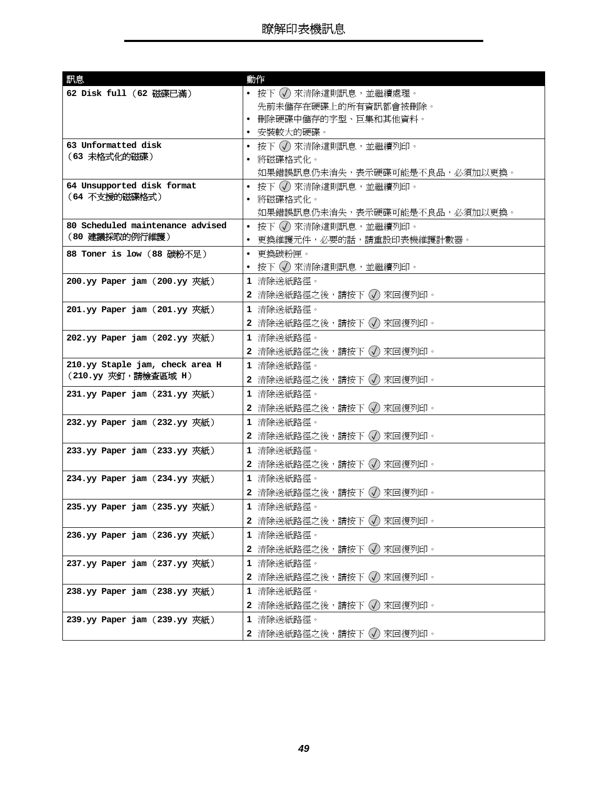<span id="page-48-17"></span><span id="page-48-16"></span><span id="page-48-15"></span><span id="page-48-14"></span><span id="page-48-13"></span><span id="page-48-12"></span><span id="page-48-11"></span><span id="page-48-10"></span><span id="page-48-9"></span><span id="page-48-8"></span><span id="page-48-7"></span><span id="page-48-6"></span><span id="page-48-5"></span><span id="page-48-4"></span><span id="page-48-3"></span><span id="page-48-2"></span><span id="page-48-1"></span><span id="page-48-0"></span>

| • 按下 (√) 來清除這則訊息,並繼續處理。<br>62 Disk full (62 磁碟已滿)<br>先前未儲存在硬碟上的所有資訊都會被刪除。<br>• 刪除硬碟中儲存的字型、巨集和其他資料。<br>• 安裝較大的硬碟。<br>63 Unformatted disk<br>• 按下 (√) 來清除這則訊息,並繼續列印。<br>(63 未格式化的磁碟)<br>將磁碟格式化。<br>如果錯誤訊息仍未消失,表示硬碟可能是不良品,必須加以更換。<br>64 Unsupported disk format<br>• 按下 (√) 來清除這則訊息,並繼續列印。<br>(64 不支援的磁碟格式)<br>• 將磁碟格式化。<br>如果錯誤訊息仍未消失,表示硬碟可能是不良品,必須加以更換。<br>80 Scheduled maintenance advised<br>● 按下 (√) 來清除這則訊息,並繼續列印。<br>(80 建議採取的例行維護)<br>• 更換維護元件,必要的話,請重設印表機維護計數器。<br>• 更換碳粉匣。<br>88 Toner is low (88 碳粉不足)<br>● 按下 (√) 來清除這則訊息,並繼續列印。<br>200.yy Paper jam (200.yy 夾紙)<br>1 清除送紙路徑。<br>2 清除送紙路徑之後,請按下 √ 來回復列印。<br>1 清除送紙路徑。<br>$201.yy$ Paper jam $(201.yy$ 夾紙)<br>2 清除送紙路徑之後,請按下 (√) 來回復列印。<br>1 清除送紙路徑。<br>$202.yy$ Paper jam $(202.yy \cancel{\text{KML}})$<br>2 清除送紙路徑之後,請按下 (√) 來回復列印。<br>210.yy Staple jam, check area H |
|-----------------------------------------------------------------------------------------------------------------------------------------------------------------------------------------------------------------------------------------------------------------------------------------------------------------------------------------------------------------------------------------------------------------------------------------------------------------------------------------------------------------------------------------------------------------------------------------------------------------------------------------------------------------------------------------------------------------------------------------------------------------------------------------------------------------------------------|
|                                                                                                                                                                                                                                                                                                                                                                                                                                                                                                                                                                                                                                                                                                                                                                                                                                   |
|                                                                                                                                                                                                                                                                                                                                                                                                                                                                                                                                                                                                                                                                                                                                                                                                                                   |
|                                                                                                                                                                                                                                                                                                                                                                                                                                                                                                                                                                                                                                                                                                                                                                                                                                   |
|                                                                                                                                                                                                                                                                                                                                                                                                                                                                                                                                                                                                                                                                                                                                                                                                                                   |
|                                                                                                                                                                                                                                                                                                                                                                                                                                                                                                                                                                                                                                                                                                                                                                                                                                   |
|                                                                                                                                                                                                                                                                                                                                                                                                                                                                                                                                                                                                                                                                                                                                                                                                                                   |
|                                                                                                                                                                                                                                                                                                                                                                                                                                                                                                                                                                                                                                                                                                                                                                                                                                   |
|                                                                                                                                                                                                                                                                                                                                                                                                                                                                                                                                                                                                                                                                                                                                                                                                                                   |
|                                                                                                                                                                                                                                                                                                                                                                                                                                                                                                                                                                                                                                                                                                                                                                                                                                   |
|                                                                                                                                                                                                                                                                                                                                                                                                                                                                                                                                                                                                                                                                                                                                                                                                                                   |
|                                                                                                                                                                                                                                                                                                                                                                                                                                                                                                                                                                                                                                                                                                                                                                                                                                   |
|                                                                                                                                                                                                                                                                                                                                                                                                                                                                                                                                                                                                                                                                                                                                                                                                                                   |
|                                                                                                                                                                                                                                                                                                                                                                                                                                                                                                                                                                                                                                                                                                                                                                                                                                   |
|                                                                                                                                                                                                                                                                                                                                                                                                                                                                                                                                                                                                                                                                                                                                                                                                                                   |
|                                                                                                                                                                                                                                                                                                                                                                                                                                                                                                                                                                                                                                                                                                                                                                                                                                   |
|                                                                                                                                                                                                                                                                                                                                                                                                                                                                                                                                                                                                                                                                                                                                                                                                                                   |
|                                                                                                                                                                                                                                                                                                                                                                                                                                                                                                                                                                                                                                                                                                                                                                                                                                   |
|                                                                                                                                                                                                                                                                                                                                                                                                                                                                                                                                                                                                                                                                                                                                                                                                                                   |
|                                                                                                                                                                                                                                                                                                                                                                                                                                                                                                                                                                                                                                                                                                                                                                                                                                   |
|                                                                                                                                                                                                                                                                                                                                                                                                                                                                                                                                                                                                                                                                                                                                                                                                                                   |
| 1 清除送紙路徑。<br>(210.yy 夾釘,請檢查區域 H)<br>2 清除送紙路徑之後,請按下 (√) 來回復列印。                                                                                                                                                                                                                                                                                                                                                                                                                                                                                                                                                                                                                                                                                                                                                                     |
| 1 清除送紙路徑。<br>$231.yy$ Paper jam $(231.yy \cancel{\text{KML}})$                                                                                                                                                                                                                                                                                                                                                                                                                                                                                                                                                                                                                                                                                                                                                                    |
| 2 清除送紙路徑之後,請按下 (√) 來回復列印。                                                                                                                                                                                                                                                                                                                                                                                                                                                                                                                                                                                                                                                                                                                                                                                                         |
| 232.yy Paper jam (232.yy 夾紙)<br>1 清除送紙路徑。                                                                                                                                                                                                                                                                                                                                                                                                                                                                                                                                                                                                                                                                                                                                                                                         |
| 2 清除送紙路徑之後,請按下 (√) 來回復列印。                                                                                                                                                                                                                                                                                                                                                                                                                                                                                                                                                                                                                                                                                                                                                                                                         |
| $233.yy$ Paper jam $(233.yy \cancel{\text{Km}})$<br>1 清除送紙路徑。                                                                                                                                                                                                                                                                                                                                                                                                                                                                                                                                                                                                                                                                                                                                                                     |
| 2 清除送紙路徑之後,請按下(√) 來回復列印。                                                                                                                                                                                                                                                                                                                                                                                                                                                                                                                                                                                                                                                                                                                                                                                                          |
| 1 清除送紙路徑。<br>$234.yy$ Paper jam $(234.yy \cancel{\text{KML}})$                                                                                                                                                                                                                                                                                                                                                                                                                                                                                                                                                                                                                                                                                                                                                                    |
| 2 清除送紙路徑之後,請按下 (√) 來回復列印。                                                                                                                                                                                                                                                                                                                                                                                                                                                                                                                                                                                                                                                                                                                                                                                                         |
| 1 清除送紙路徑。<br>$235.$ yy Paper jam $(235.$ yy 夾紙)                                                                                                                                                                                                                                                                                                                                                                                                                                                                                                                                                                                                                                                                                                                                                                                   |
| 2 清除送紙路徑之後,請按下 (√) 來回復列印。                                                                                                                                                                                                                                                                                                                                                                                                                                                                                                                                                                                                                                                                                                                                                                                                         |
| 1 清除送紙路徑。<br>236.yy Paper jam $(236.$ yy 夾紙)                                                                                                                                                                                                                                                                                                                                                                                                                                                                                                                                                                                                                                                                                                                                                                                      |
| 2 清除送紙路徑之後,請按下 (√) 來回復列印。                                                                                                                                                                                                                                                                                                                                                                                                                                                                                                                                                                                                                                                                                                                                                                                                         |
| 237.yy Paper jam (237.yy 夾紙)<br>1 清除送紙路徑。                                                                                                                                                                                                                                                                                                                                                                                                                                                                                                                                                                                                                                                                                                                                                                                         |
| 2 清除送紙路徑之後,請按下 (√) 來回復列印。                                                                                                                                                                                                                                                                                                                                                                                                                                                                                                                                                                                                                                                                                                                                                                                                         |
| 1 清除送紙路徑。<br>238.yy Paper jam $(238. yy \cancel{K})$                                                                                                                                                                                                                                                                                                                                                                                                                                                                                                                                                                                                                                                                                                                                                                              |
|                                                                                                                                                                                                                                                                                                                                                                                                                                                                                                                                                                                                                                                                                                                                                                                                                                   |
|                                                                                                                                                                                                                                                                                                                                                                                                                                                                                                                                                                                                                                                                                                                                                                                                                                   |
| 2 清除送紙路徑之後,請按下 (√) 來回復列印。<br>239.yy Paper jam (239.yy 夾紙)<br>1 清除送紙路徑。                                                                                                                                                                                                                                                                                                                                                                                                                                                                                                                                                                                                                                                                                                                                                            |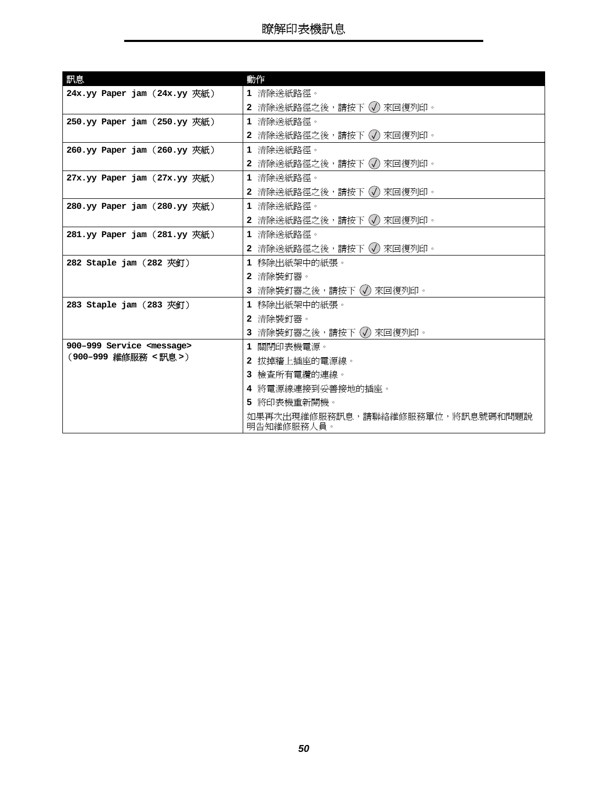<span id="page-49-8"></span><span id="page-49-7"></span><span id="page-49-6"></span><span id="page-49-5"></span><span id="page-49-4"></span><span id="page-49-3"></span><span id="page-49-2"></span><span id="page-49-1"></span><span id="page-49-0"></span>

| 訊息                                                        | 動作                                             |
|-----------------------------------------------------------|------------------------------------------------|
| $24x.yy$ Paper jam $(24x.yy$ 夾紙)                          | 1 清除送紙路徑。                                      |
|                                                           | 2 清除送紙路徑之後,請按下 (√) 來回復列印。                      |
| $250.$ yy Paper jam $(250.$ yy 夾紙)                        | 1 清除送紙路徑。                                      |
|                                                           | 2 清除送紙路徑之後,請按下 √ 來回復列印。                        |
| 260.yy Paper jam (260.yy 夾紙)                              | 1 清除送紙路徑。                                      |
|                                                           | 2 清除送紙路徑之後,請按下 (√) 來回復列印。                      |
| 27x.yy Paper jam (27x.yy 夾紙)                              | 1 清除送紙路徑。                                      |
|                                                           | 2 清除送紙路徑之後,請按下 (√) 來回復列印。                      |
| 280.yy Paper jam (280.yy 夾紙)                              | 1 清除送紙路徑。                                      |
|                                                           | 2 清除送紙路徑之後,請按下 √ 來回復列印。                        |
| $281.yy$ Paper jam $(281.yy \n \mathcal{R}^2\mathcal{M})$ | 1 清除送紙路徑。                                      |
|                                                           | 2 清除送紙路徑之後,請按下 (√) 來回復列印。                      |
| $282$ Staple jam $(282 \n\sqrt{T})$                       | 1 移除出紙架中的紙張。                                   |
|                                                           | 2 清除裝釘器。                                       |
|                                                           | 3 清除裝釘器之後,請按下 (√) 來回復列印。                       |
| $283$ Staple jam $(283 \nabla \mathcal{F} )$              | 1 移除出紙架中的紙張。                                   |
|                                                           | 2 清除裝釘器。                                       |
|                                                           | 3 清除裝釘器之後,請按下 (√) 來回復列印。                       |
| 900-999 Service <message></message>                       | 1 關閉印表機電源。                                     |
| (900-999 維修服務 <訊息>)                                       | 2 拔掉牆上插座的電源線。                                  |
|                                                           | 3 檢查所有電纜的連線。                                   |
|                                                           | 4 將電源線連接到妥善接地的插座。                              |
|                                                           | 5 將印表機重新開機。                                    |
|                                                           | 如果再次出現維修服務訊息,請聯絡維修服務單位,將訊息號碼和問題說<br>明告知維修服務人員。 |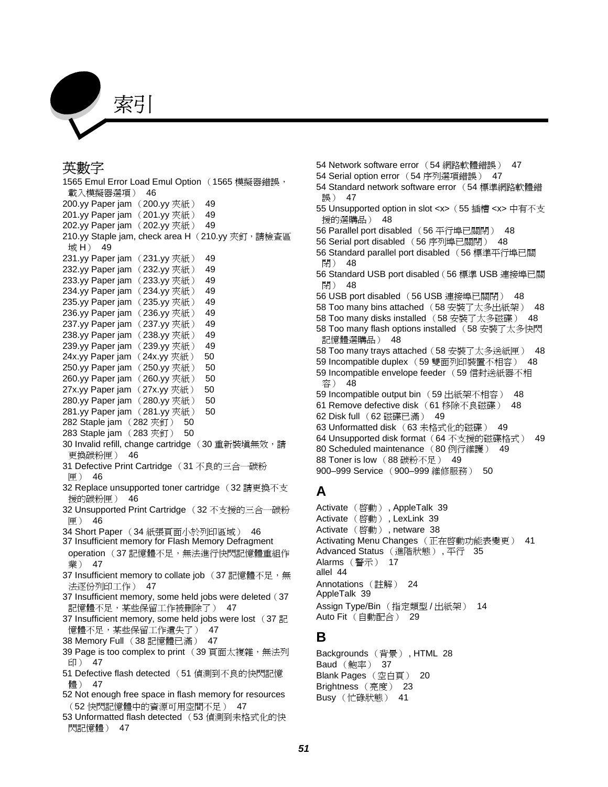

#### 英數字

[1565 Emul Error Load Emul Option](#page-45-0) (1565 模擬器錯誤, 載入模擬器選項) 46 [200.yy Paper jam](#page-48-0) (200.yy 夾紙) 49 [201.yy Paper jam](#page-48-1) (201.yy 夾紙) 49 [202.yy Paper jam](#page-48-2) (202.yy 夾紙) 49 [210.yy Staple jam, check area H](#page-48-3) (210.yy 夾釘,請檢查區 域 H) 49 [231.yy Paper jam](#page-48-4) (231.yy 夾紙) 49 [232.yy Paper jam](#page-48-5) (232.yy 夾紙) 49 [233.yy Paper jam](#page-48-6) (233.yy 夾紙) 49 [234.yy Paper jam](#page-48-7) (234.yy 夾紙) 49 [235.yy Paper jam](#page-48-8) (235.yy 夾紙) 49 [236.yy Paper jam](#page-48-9) (236.yy 夾紙) 49 [237.yy Paper jam](#page-48-10) (237.yy 夾紙) 49 [238.yy Paper jam](#page-48-11) (238.yy 夾紙) 49 [239.yy Paper jam](#page-48-12) (239.yy 夾紙) 49 [24x.yy Paper jam](#page-49-0) (24x.yy 夾紙) 50 [250.yy Paper jam](#page-49-1) (250.yy 夾紙) 50 [260.yy Paper jam](#page-49-2) (260.yy 夾紙) 50 [27x.yy Paper jam](#page-49-3) (27x.yy 夾紙) 50 [280.yy Paper jam](#page-49-4) (280.yy 夾紙) 50 [281.yy Paper jam](#page-49-5) (281.yy 夾紙) 50 [282 Staple jam](#page-49-6) (282 夾釘) 50 [283 Staple jam](#page-49-7) (283 夾釘) 50 [30 Invalid refill, change cartridge](#page-45-1) (30 重新裝塡無效,請 更換碳粉匣) 46 [31 Defective Print Cartridge](#page-45-2) (31 不良的三合一碳粉 匣) 46 [32 Replace unsupported toner cartridge](#page-45-3) (32 請更換不支 援的碳粉匣) 46 [32 Unsupported Print Cartridge](#page-45-4) (32 不支援的三合一碳粉 匣) 46 34 Short Paper (34 [紙張頁面小於列印區域\)](#page-45-5) 46 [37 Insufficient memory for Flash Memory Defragment](#page-46-0)  operation (37記憶體不足,無法進行快閃記憶體重組作 業) 47 [37 Insufficient memory to collate job](#page-46-1) (37 記憶體不足,無 法逐份列印工作) 47 [37 Insufficient memory, some held jobs were deleted](#page-46-2) (37 記憶體不足,某些保留工作被刪除了) 47 [37 Insufficient memory, some held jobs were lost](#page-46-3) (37 記 憶體不足,某些保留工作遺失了) 47 [38 Memory Full](#page-46-4) (38 記憶體已滿) 47 [39 Page is too complex to print](#page-46-5) (39 頁面太複雜,無法列 印) 47 [51 Defective flash detected](#page-46-6) (51 偵測到不良的快閃記憶 體) 47 [52 Not enough free space in flash memory for resources](#page-46-7) (52 快閃記憶體中的資源可用空間不足) 47

[53 Unformatted flash detected](#page-46-8) (53 偵測到未格式化的快 閃記憶體) 47

[54 Network software error](#page-46-9) (54 網路軟體錯誤) 47 [54 Serial option error](#page-46-10) (54 序列選項錯誤) 47 [54 Standard network software error](#page-46-11) (54 標準網路軟體錯 誤) 47 [55 Unsupported option in slot <x>](#page-47-0)(55 插槽 <x> 中有不支 援的選購品) 48 [56 Parallel port disabled](#page-47-1) (56 平行埠已關閉) 48 [56 Serial port disabled](#page-47-2) (56 序列埠已關閉) 48 [56 Standard parallel port disabled](#page-47-3) (56 標準平行埠已關 閉) 48 [56 Standard USB port disabled](#page-47-4)(56 標準 USB 連接埠已關 閉) 48 [56 USB port disabled](#page-47-5) (56 USB 連接埠已關閉) 48 [58 Too many bins attached](#page-47-6) (58 安裝了太多出紙架) 48 [58 Too many disks installed](#page-47-7) (58 安裝了太多磁碟) 48 [58 Too many flash options installed](#page-47-8) (58 安裝了太多快閃 記憶體選購品) 48 [58 Too many trays attached](#page-47-9) (58 安裝了太多送紙匣) 48 [59 Incompatible duplex](#page-47-10) (59 雙面列印裝置不相容) 48 [59 Incompatible envelope feeder](#page-47-11) (59 信封送紙器不相 容) 48 [59 Incompatible output bin](#page-47-12) (59 出紙架不相容) 48 [61 Remove defective disk](#page-47-13) (61 移除不良磁碟) 48 62 Disk full (62 [磁碟已滿\)](#page-48-13) 49 [63 Unformatted disk](#page-48-14) (63 未格式化的磁碟) 49 [64 Unsupported disk format](#page-48-15) (64 不支援的磁碟格式) 49 [80 Scheduled maintenance](#page-48-16) (80 例行維護) 49 [88 Toner is low](#page-48-17) (88 碳粉不足) 49 [900–999 Service](#page-49-8) (900–999 維修服務) 50

#### **A**

Activate (啓動)[, AppleTalk 39](#page-38-3) Activate (啓動)[, LexLink 39](#page-38-4) Activate (啓動) [, netware 38](#page-37-1) [Activating Menu Changes](#page-40-1) (正在啓動功能表變更) 41 [Advanced Status](#page-34-0) (進階狀態), 平行 35 Alarms [\(警示\)](#page-16-0) 17 [allel 44](#page-43-0) [Annotations](#page-23-1) (註解) 24 [AppleTalk 39](#page-38-5) [Assign Type/Bin](#page-13-3) (指定類型 / 出紙架) 14 Auto Fit [\(自動配合\)](#page-28-2) 29

#### **B**

[Backgrounds](#page-27-1) (背景) , HTML 28 **Baud** [\(鮑率\)](#page-36-0) 37 [Blank Pages](#page-19-1) (空白頁) 20 [Brightness](#page-22-2) (亮度) 23 Busy [\(忙碌狀態\)](#page-40-2) 41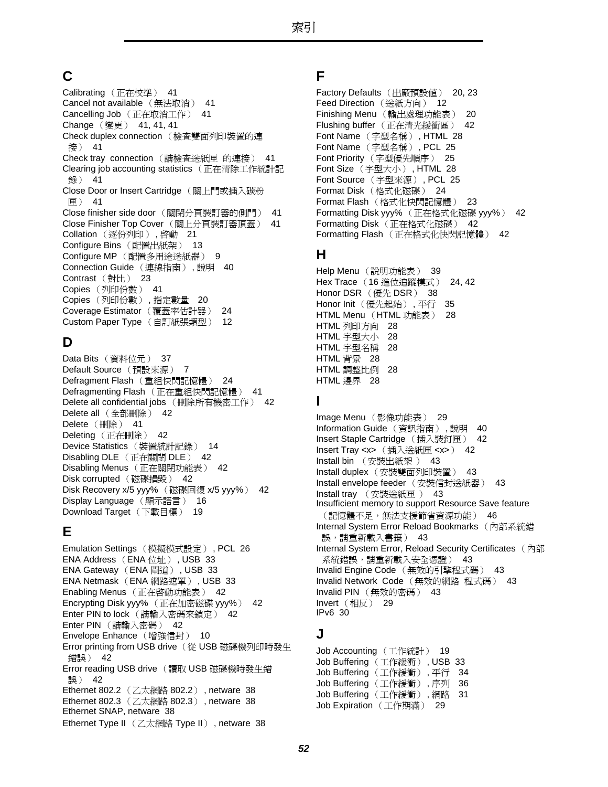### **C**

Calibrating [\(正在校準\)](#page-40-3) 41 [Cancel not available](#page-40-4) (無法取消) 41 Cancelling Job [\(正在取消工作\)](#page-40-5) 41 Change (變更) [41](#page-40-6), [41](#page-40-7), [41](#page-40-8) [Check duplex connection](#page-40-9) (檢查雙面列印裝置的連 接) 41 Check tray connection (請檢查送紙匣 的連接) [41](#page-40-10) [Clearing job accounting statistics](#page-40-11) (正在清除工作統計記 錄) 41 [Close Door or Insert Cartridge](#page-40-12) (關上門或插入碳粉 匣) 41 Close finisher side door [\(關閉分頁裝訂器的側門\)](#page-40-13) 41 [Close Finisher Top Cover](#page-40-14) (關上分頁裝訂器頂蓋) 41 Collation [\(逐份列印\)](#page-20-0), 啓動 21 Configure Bins [\(配置出紙架\)](#page-12-1) 13 Configure MP [\(配置多用途送紙器\)](#page-8-1) 9 [Connection Guide](#page-39-9) (連線指南) , 說明 40 Contrast [\(對比\)](#page-22-3) 23 Copies [\(列印份數\)](#page-40-15) 41 Copies [\(列印份數\)](#page-19-2) , 指定數量 20 [Coverage Estimator](#page-23-2) (覆蓋率估計器) 24 [Custom Paper Type](#page-11-2) (自訂紙張類型) 12

### **D**

Data Bits [\(資料位元\)](#page-36-1) 37 [Default Source](#page-6-4) (預設來源) 7 Defragment Flash [\(重組快閃記憶體\)](#page-23-3) 24 Defragmenting Flash [\(正在重組快閃記憶體\)](#page-40-16) 41 [Delete all confidential jobs](#page-41-0) (刪除所有機密工作) 42 Delete all [\(全部刪除\)](#page-41-1) 42 Delete [\(刪除\)](#page-40-17) 41 Deleting [\(正在刪除\)](#page-41-2) 42 Device Statistics [\(裝置統計記錄\)](#page-13-4) 14 [Disabling DLE](#page-41-3) (正在關閉 DLE) 42 Disabling Menus [\(正在關閉功能表\)](#page-41-4) 42 [Disk corrupted](#page-41-5) (磁碟損毀) 42 [Disk Recovery x/5 yyy%](#page-41-6) (磁碟回復 x/5 yyy%) 42 [Display Language](#page-15-3) (顯示語言) 16 [Download Target](#page-18-0) (下載目標) 19

### **E**

[Emulation Settings](#page-25-0) (模擬模式設定) , PCL 26 [ENA Address](#page-32-0) (ENA 位址) , USB 33 [ENA Gateway](#page-32-1) (ENA 閘道) , USB 33 [ENA Netmask](#page-32-2) (ENA 網路遮罩) , USB 33 Enabling Menus (正在啓動功能表) 42 [Encrypting Disk yyy%](#page-41-8) (正在加密磁碟 yyy%) 42 Enter PIN to lock [\(請輸入密碼來鎖定\)](#page-41-9) 42 Enter PIN [\(請輸入密碼\)](#page-41-10) 42 [Envelope Enhance](#page-9-3) (增強信封) 10 [Error printing from USB drive](#page-41-11) (從 USB 磁碟機列印時發生 錯誤) 42 [Error reading USB drive](#page-41-12) (讀取 USB 磁碟機時發生錯 誤) 42 [Ethernet 802.2](#page-37-2) (乙太網路 802.2) , netware 38 [Ethernet 802.3](#page-37-3) (乙太網路 802.3) , netware 38 [Ethernet SNAP, netware 38](#page-37-4) [Ethernet Type II](#page-37-5) (乙太網路 Type II) , netware 38

#### **F**

```
Factory Defaults (出廠預設值) 20, 23
Feed Direction (送紙方向) 12
Finishing Menu (輸出處理功能表) 20
Flushing buffer (正在清光緩衝區) 42
Font Name (字型名稱) , HTML 28
Font Name (字型名稱) , PCL 25
Font Priority (字型優先順序) 25
Font Size (字型大小) , HTML 28
Font Source (字型來源) , PCL 25
Format Disk (格式化磁碟) 24
Format Flash (格式化快閃記憶體) 23
Formatting Disk yyy% (正在格式化磁碟 yyy%) 42
Formatting Disk (正在格式化磁碟) 42
Formatting Flash (正在格式化快閃記憶體) 42
```
### **H**

Help Menu [\(說明功能表\)](#page-38-6) 39 Hex Trace (16 [進位追蹤模式\)](#page-23-5) 24, [42](#page-41-16) [Honor DSR](#page-37-6) (優先 DSR) 38 Honor Init [\(優先起始\)](#page-34-1) , 平行 35 [HTML Menu](#page-27-4) (HTML 功能表) 28 HTML [列印方向](#page-27-5) 28 HTML [字型大小](#page-27-3) 28 HTML [字型名稱](#page-27-2) 28 [HTML](#page-27-1) 背景 28 HTML [調整比例](#page-27-6) 28 [HTML](#page-27-7) 邊界 28

#### **I**

Image Menu [\(影像功能表\)](#page-28-3) 29 [Information Guide](#page-39-10) (資訊指南) , 說明 40 [Insert Staple Cartridge](#page-41-17) (插入裝釘匣) 42 [Insert Tray <x>](#page-41-18) (插入送紙匣 <x>) 42 Install bin (安裝出紙架 ) [43](#page-42-0) Install duplex [\(安裝雙面列印裝置\)](#page-42-1) 43 [Install envelope feeder](#page-42-2) (安裝信封送紙器) 43 Install tray (安裝送紙匣 ) [43](#page-42-3) [Insufficient memory to support Resource Save feature](#page-45-6) (記憶體不足,無法支援節省資源功能) 46 [Internal System Error Reload Bookmarks](#page-42-4) (內部系統錯 誤,請重新載入書籤) 43 [Internal System Error, Reload Security Certificates](#page-42-5) (內部 系統錯誤,請重新載入安全憑證) 43 Invalid Engine Code [\(無效的引擎程式碼\)](#page-42-6) 43 Invalid Network Code (無效的網路 程式碼) [43](#page-42-7) Invalid PIN [\(無效的密碼\)](#page-42-8) 43 Invert [\(相反\)](#page-28-4) 29 [IPv6 30](#page-29-2)

### **J**

[Job Accounting](#page-18-1) (工作統計) 19 Job Buffering [\(工作緩衝\)](#page-32-3) , USB 33 Job Buffering [\(工作緩衝\)](#page-33-1) , 平行 34 Job Buffering [\(工作緩衝\)](#page-35-1) , 序列 36 Job Buffering [\(工作緩衝\)](#page-30-1) , 網路 31 [Job Expiration](#page-28-5) (工作期滿) 29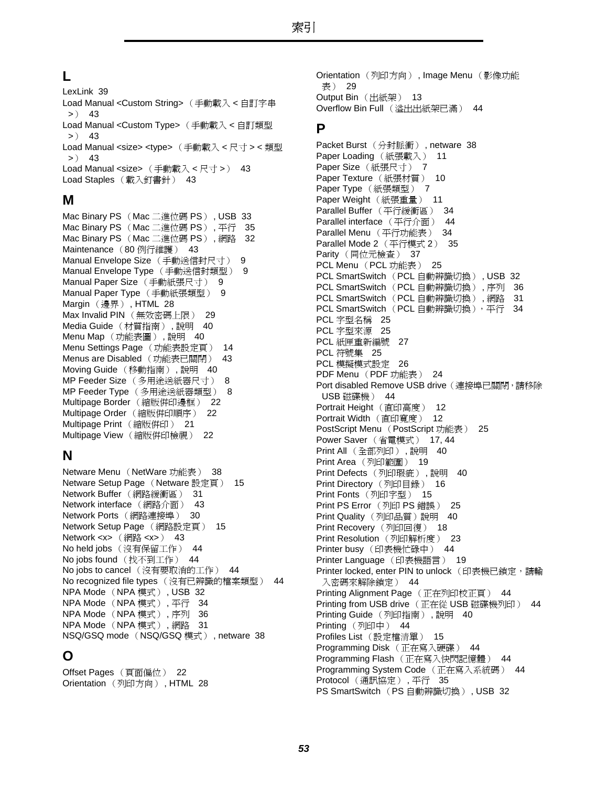### **L**

[LexLink 39](#page-38-7) [Load Manual <Custom String>](#page-42-9) (手動載入 < 自訂字串  $> 43$ [Load Manual <Custom Type>](#page-42-10) (手動載入 < 自訂類型  $> 43$ [Load Manual <size> <type>](#page-42-11) (手動載入 < 尺寸 > < 類型  $> 9$  43 [Load Manual <size>](#page-42-12) (手動載入 < 尺寸 >) 43 Load Staples [\(載入釘書針\)](#page-42-13) 43

#### **M**

[Mac Binary PS](#page-32-4) (Mac 二進位碼 PS) , USB 33 [Mac Binary PS](#page-34-2) (Mac 二進位碼 PS) , 平行 35 [Mac Binary PS](#page-31-1) (Mac 二進位碼 PS) , 網路 32 [Maintenance](#page-42-14) (80 例行維護) 43 [Manual Envelope Size](#page-8-2) (手動送信封尺寸) 9 [Manual Envelope Type](#page-8-3) (手動送信封類型) 9 [Manual Paper Size](#page-8-4) (手動紙張尺寸) 9 [Manual Paper Type](#page-8-5) (手動紙張類型) 9 Margin (邊界) [, HTML 28](#page-27-7) Max Invalid PIN [\(無效密碼上限\)](#page-28-6) 29 Media Guide [\(材質指南\)](#page-39-11) , 說明 40 Menu Map [\(功能表圖\)](#page-39-12),說明 40 [Menu Settings Page](#page-13-5) (功能表設定頁) 14 [Menus are Disabled](#page-42-15) (功能表已關閉) 43 [Moving Guide](#page-39-13) (移動指南) , 說明 40 MP Feeder Size [\(多用途送紙器尺寸\)](#page-7-0) 8 MP Feeder Type [\(多用途送紙器類型\)](#page-7-1) 8 Multipage Border [\(縮版併印邊框\)](#page-21-0) 22 Multipage Order [\(縮版併印順序\)](#page-21-1) 22 [Multipage Print](#page-20-1) (縮版併印) 21 Multipage View [\(縮版併印檢視\)](#page-21-2) 22

### **N**

[Netware Menu](#page-37-7) (NetWare 功能表) 38 [Netware Setup Page](#page-14-5) (Netware 設定頁) 15 Network Buffer [\(網路緩衝區\)](#page-30-2) 31 [Network interface](#page-42-16) (網路介面) 43 Network Ports [\(網路連接埠\)](#page-29-3) 30 [Network Setup Page](#page-14-6) (網路設定頁) 15 [Network <x>](#page-42-17) (網路 <x>) 43 No held jobs [\(沒有保留工作\)](#page-43-1) 44 No jobs found [\(找不到工作\)](#page-43-2) 44 No jobs to cancel [\(沒有要取消的工作\)](#page-43-3) 44 No recognized file types [\(沒有已辨識的檔案類型\)](#page-43-4) 44 [NPA Mode](#page-31-2) (NPA 模式) , USB 32 [NPA Mode](#page-33-2) (NPA 模式) , 平行 34 [NPA Mode](#page-35-2) (NPA 模式) , 序列 36 [NPA Mode](#page-30-3) (NPA 模式) , 網路 31 [NSQ/GSQ mode](#page-37-8) (NSQ/GSQ 模式) , netware 38

### **O**

Offset Pages [\(頁面偏位\)](#page-21-3) 22 Orientation [\(列印方向\)](#page-27-5) , HTML 28 Orientation (列印方向) [, Image Menu](#page-28-7) (影像功能 表) 29 Output Bin [\(出紙架\)](#page-12-2) 13 Overflow Bin Full [\(溢出出紙架已滿\)](#page-43-5) 44

#### **P**

Packet Burst [\(分封脈衝\)](#page-37-9) , netware 38 [Paper Loading](#page-10-1) (紙張載入) 11 Paper Size [\(紙張尺寸\)](#page-6-5) 7 [Paper Texture](#page-9-4) (紙張材質) 10 Paper Type [\(紙張類型\)](#page-6-5) 7 Paper Weight [\(紙張重量\)](#page-10-2) 11 Parallel Buffer [\(平行緩衝區\)](#page-33-3) 34 [Parallel interface](#page-43-6) (平行介面) 44 Parallel Menu [\(平行功能表\)](#page-33-4) 34 [Parallel Mode 2](#page-34-3) (平行模式 2) 35 Parity [\(同位元檢查\)](#page-36-2) 37 [PCL Menu](#page-24-5) (PCL 功能表) 25 [PCL SmartSwitch](#page-31-3) (PCL 自動辨識切換) , USB 32 [PCL SmartSwitch](#page-35-3) (PCL 自動辨識切換) , 序列 36 [PCL SmartSwitch](#page-30-4) (PCL 自動辨識切換) , 網路 31 PCL SmartSwitch (PCL 自動辨識切換), 平行 34 PCL [字型名稱](#page-24-2) 25 PCL [字型來源](#page-24-4) 25 PCL [紙匣重新編號](#page-26-0) 27 PCL [符號集](#page-24-6) 25 PCL [模擬模式設定](#page-25-0) 26 [PDF Menu](#page-23-6) (PDF 功能表) 24 [Port disabled Remove USB drive](#page-43-7) (連接埠已關閉,請移除 USB 磁碟機) 44 [Portrait Height](#page-11-4) (直印高度) 12 Portrait Width [\(直印寬度\)](#page-11-5) 12 [PostScript Menu](#page-24-7) (PostScript 功能表) 25 Power Saver [\(省電模式\)](#page-16-1) 17, [44](#page-43-8) Print All [\(全部列印\)](#page-39-14) , 說明 40 Print Area [\(列印範圍\)](#page-18-2) 19 Print Defects [\(列印瑕疵\)](#page-39-15) , 說明 40 [Print Directory](#page-15-4) (列印目錄) 16 Print Fonts [\(列印字型\)](#page-14-7) 15 [Print PS Error](#page-24-8) (列印 PS 錯誤) 25 Print Quality [\(列印品質\)說明](#page-39-16) 40 **[Print Recovery](#page-17-0)** (列印回復) 18 [Print Resolution](#page-22-6) (列印解析度) 23 Printer busy [\(印表機忙碌中\)](#page-43-9) 44 [Printer Language](#page-18-3) (印表機語言) 19 [Printer locked, enter PIN to unlock](#page-43-10) (印表機已鎖定,請輸 入密碼來解除鎖定) 44 [Printing Alignment Page](#page-43-11) (正在列印校正頁) 44 [Printing from USB drive](#page-43-12) (正在從 USB 磁碟機列印) 44 [Printing Guide](#page-39-17) (列印指南) , 說明 40 Printing [\(列印中\)](#page-43-13) 44 Profiles List [\(設定檔清單\)](#page-14-8) 15 [Programming Disk](#page-43-14) (正在寫入硬碟) 44 Programming Flash [\(正在寫入快閃記憶體\)](#page-43-15) 44 [Programming System Code](#page-43-16) (正在寫入系統碼) 44 Protocol [\(通訊協定\)](#page-34-4) , 平行 35 [PS SmartSwitch](#page-31-4) (PS 自動辨識切換) , USB 32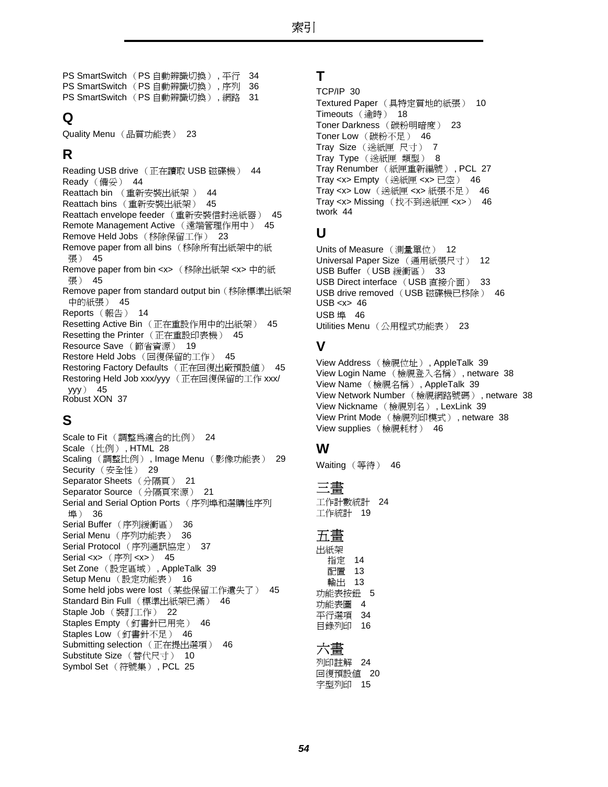[PS SmartSwitch](#page-33-6) (PS 自動辨識切換) , 平行 34 [PS SmartSwitch](#page-35-4) (PS 自動辨識切換) , 序列 36 [PS SmartSwitch](#page-30-5) (PS 自動辨識切換) , 網路 31

### **Q**

Quality Menu [\(品質功能表\)](#page-22-7) 23

### **R**

[Reading USB drive](#page-43-17) (正在讀取 USB 磁碟機) 44 Ready [\(備妥\)](#page-43-18) 44 Reattach bin (重新安裝出紙架 ) [44](#page-43-19) Reattach bins [\(重新安裝出紙架\)](#page-44-0) 45 [Reattach envelope feeder](#page-44-1) (重新安裝信封送紙器) 45 [Remote Management Active](#page-44-2) (遠端管理作用中) 45 [Remove Held Jobs](#page-22-8) (移除保留工作) 23 [Remove paper from all bins](#page-44-3) (移除所有出紙架中的紙 張) 45 [Remove paper from bin <x>](#page-44-4) (移除出紙架 <x> 中的紙 張) 45 [Remove paper from standard output bin](#page-44-5)(移除標準出紙架 中的紙張) 45 Reports [\(報告\)](#page-13-6) 14 Resetting Active Bin [\(正在重設作用中的出紙架\)](#page-44-6) 45 [Resetting the Printer](#page-44-7) (正在重設印表機) 45 [Resource Save](#page-18-4) (節省資源) 19 Restore Held Jobs [\(回復保留的工作\)](#page-44-8) 45 [Restoring Factory Defaults](#page-44-9) (正在回復出廠預設值) 45 [Restoring Held Job xxx/yyy](#page-44-10) (正在回復保留的工作 xxx/ yyy) 45 [Robust XON 37](#page-36-3)

### **S**

Scale to Fit [\(調整為適合的比例\)](#page-23-7) 24 Scale (比例) [, HTML 28](#page-27-6) Scaling (調整比例) , Image Menu [\(影像功能表\)](#page-28-8) 29 Security [\(安全性\)](#page-28-9) 29 [Separator Sheets](#page-20-2) (分隔頁) 21 [Separator Source](#page-20-3) (分隔頁來源) 21 [Serial and Serial Option Ports](#page-35-5) (序列埠和選購性序列 埠) 36 Serial Buffer [\(序列緩衝區\)](#page-35-6) 36 Serial Menu [\(序列功能表\)](#page-35-5) 36 Serial Protocol [\(序列通訊協定\)](#page-36-4) 37 [Serial <x>](#page-44-11) (序列 <x>) 45 Set Zone (設定區域) [, AppleTalk 39](#page-38-8) Setup Menu [\(設定功能表\)](#page-15-5) 16 [Some held jobs were lost](#page-44-12) (某些保留工作遺失了) 45 Standard Bin Full [\(標準出紙架已滿\)](#page-45-7) 46 Staple Job [\(裝訂工作\)](#page-21-4) 22 Staples Empty [\(釘書針已用完\)](#page-45-8) 46 Staples Low [\(釘書針不足\)](#page-45-9) 46 [Submitting selection](#page-45-10) (正在提出選項) 46 [Substitute Size](#page-9-5) (替代尺寸) 10 [Symbol Set](#page-24-6) (符號集) , PCL 25

#### **T**

```
TCP/IP 30
Textured Paper (具特定質地的紙張) 10
Timeouts (逾時) 18
Toner Darkness (碳粉明暗度) 23
Toner Low (碳粉不足) 46
Tray Size (送紙匣 尺寸) 7
Tray Type (送紙匣 類型) 8
Tray Renumber (紙匣重新編號) , PCL 27
Tray <x> Empty (送紙匣 <x> 已空) 46
Tray <x> Low (送紙匣 <x> 紙張不足) 46
Tray <x> Missing (找不到送紙匣 <x>) 46
twork 44
```
### **U**

[Units of Measure](#page-11-6) (測量單位) 12 [Universal Paper Size](#page-11-7) (通用紙張尺寸) 12 [USB Buffer](#page-32-5) (USB 緩衝區) 33 [USB Direct interface](#page-32-6) (USB 直接介面) 33 [USB drive removed](#page-45-15) (USB 磁碟機已移除) 46  $USB < x > 46$ [USB](#page-45-17) 埠 46 Utilities Menu [\(公用程式功能表\)](#page-22-10) 23

### **V**

View Address (檢視位址) [, AppleTalk 39](#page-38-9) View Login Name [\(檢視登入名稱\)](#page-37-10) , netware 38 View Name (檢視名稱) [, AppleTalk 39](#page-38-10) [View Network Number](#page-37-11) (檢視網路號碼) , netware 38 [View Nickname](#page-38-11) (檢視別名) , LexLink 39 View Print Mode [\(檢視列印模式\)](#page-37-12) , netware 38 [View supplies](#page-45-18) (檢視耗材) 46

### **W**

Waiting [\(等待\)](#page-45-19) 46

#### 三畫

[工作計數統計](#page-23-8) 24 [工作統計](#page-18-1) 19

#### 五畫

出紙架 [指定](#page-13-3) 14 [配置](#page-12-1) 13 [輸出](#page-12-2) 13 [功能表按鈕](#page-4-1) 5 [功能表圖](#page-3-1) 4 [平行選項](#page-33-4) 34 [目錄列印](#page-15-4) 16

#### 六畫

[列印註解](#page-23-1) 24 [回復預設值](#page-19-3) 20 [字型列印](#page-14-7) 15